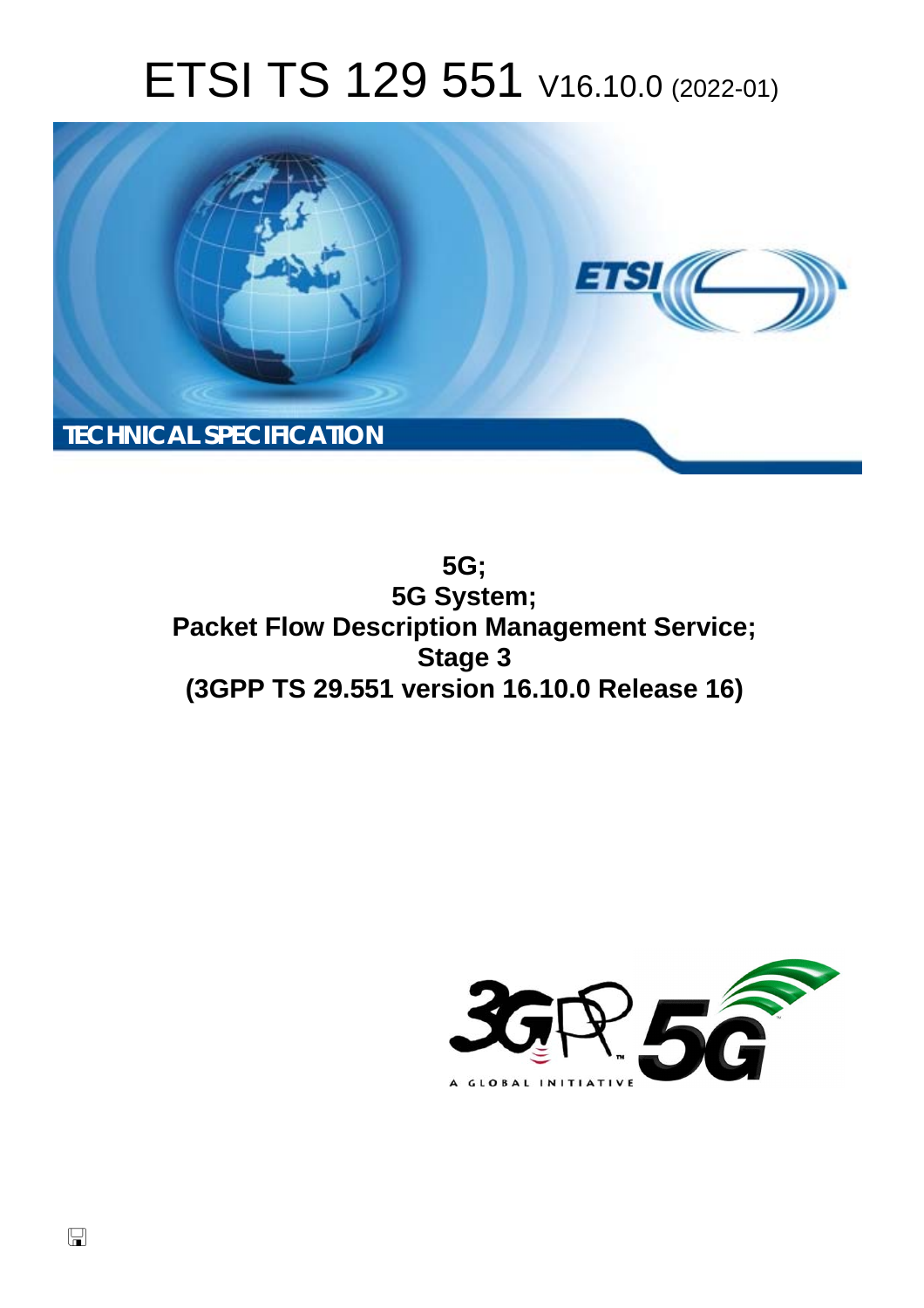# ETSI TS 129 551 V16.10.0 (2022-01)



**5G; 5G System; Packet Flow Description Management Service; Stage 3 (3GPP TS 29.551 version 16.10.0 Release 16)** 

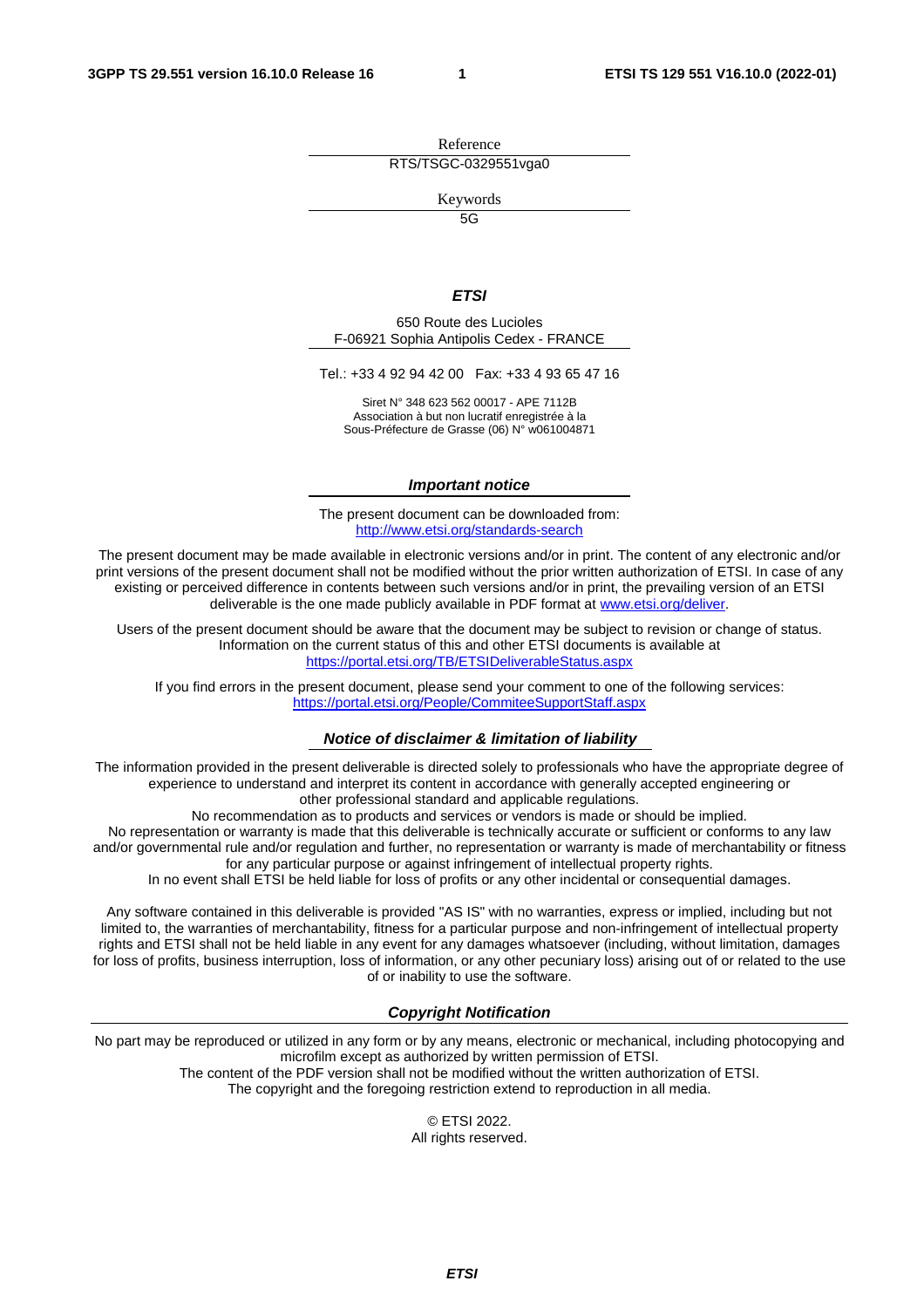Reference RTS/TSGC-0329551vga0

Keywords

 $\overline{5G}$ 

#### *ETSI*

650 Route des Lucioles F-06921 Sophia Antipolis Cedex - FRANCE

Tel.: +33 4 92 94 42 00 Fax: +33 4 93 65 47 16

Siret N° 348 623 562 00017 - APE 7112B Association à but non lucratif enregistrée à la Sous-Préfecture de Grasse (06) N° w061004871

#### *Important notice*

The present document can be downloaded from: <http://www.etsi.org/standards-search>

The present document may be made available in electronic versions and/or in print. The content of any electronic and/or print versions of the present document shall not be modified without the prior written authorization of ETSI. In case of any existing or perceived difference in contents between such versions and/or in print, the prevailing version of an ETSI deliverable is the one made publicly available in PDF format at [www.etsi.org/deliver](http://www.etsi.org/deliver).

Users of the present document should be aware that the document may be subject to revision or change of status. Information on the current status of this and other ETSI documents is available at <https://portal.etsi.org/TB/ETSIDeliverableStatus.aspx>

If you find errors in the present document, please send your comment to one of the following services: <https://portal.etsi.org/People/CommiteeSupportStaff.aspx>

#### *Notice of disclaimer & limitation of liability*

The information provided in the present deliverable is directed solely to professionals who have the appropriate degree of experience to understand and interpret its content in accordance with generally accepted engineering or other professional standard and applicable regulations.

No recommendation as to products and services or vendors is made or should be implied.

No representation or warranty is made that this deliverable is technically accurate or sufficient or conforms to any law and/or governmental rule and/or regulation and further, no representation or warranty is made of merchantability or fitness for any particular purpose or against infringement of intellectual property rights.

In no event shall ETSI be held liable for loss of profits or any other incidental or consequential damages.

Any software contained in this deliverable is provided "AS IS" with no warranties, express or implied, including but not limited to, the warranties of merchantability, fitness for a particular purpose and non-infringement of intellectual property rights and ETSI shall not be held liable in any event for any damages whatsoever (including, without limitation, damages for loss of profits, business interruption, loss of information, or any other pecuniary loss) arising out of or related to the use of or inability to use the software.

#### *Copyright Notification*

No part may be reproduced or utilized in any form or by any means, electronic or mechanical, including photocopying and microfilm except as authorized by written permission of ETSI. The content of the PDF version shall not be modified without the written authorization of ETSI.

The copyright and the foregoing restriction extend to reproduction in all media.

© ETSI 2022. All rights reserved.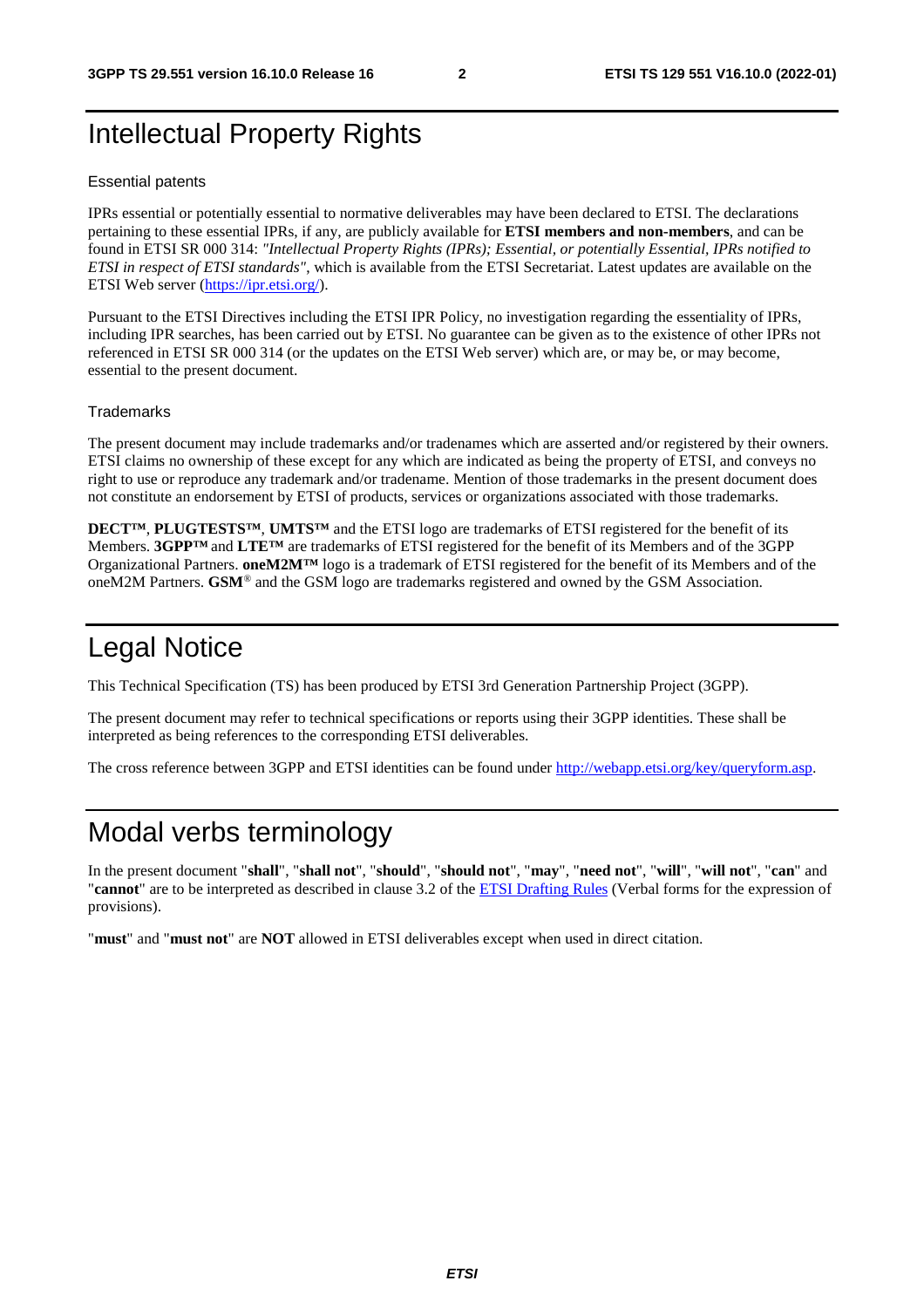# Intellectual Property Rights

#### Essential patents

IPRs essential or potentially essential to normative deliverables may have been declared to ETSI. The declarations pertaining to these essential IPRs, if any, are publicly available for **ETSI members and non-members**, and can be found in ETSI SR 000 314: *"Intellectual Property Rights (IPRs); Essential, or potentially Essential, IPRs notified to ETSI in respect of ETSI standards"*, which is available from the ETSI Secretariat. Latest updates are available on the ETSI Web server ([https://ipr.etsi.org/\)](https://ipr.etsi.org/).

Pursuant to the ETSI Directives including the ETSI IPR Policy, no investigation regarding the essentiality of IPRs, including IPR searches, has been carried out by ETSI. No guarantee can be given as to the existence of other IPRs not referenced in ETSI SR 000 314 (or the updates on the ETSI Web server) which are, or may be, or may become, essential to the present document.

#### **Trademarks**

The present document may include trademarks and/or tradenames which are asserted and/or registered by their owners. ETSI claims no ownership of these except for any which are indicated as being the property of ETSI, and conveys no right to use or reproduce any trademark and/or tradename. Mention of those trademarks in the present document does not constitute an endorsement by ETSI of products, services or organizations associated with those trademarks.

**DECT™**, **PLUGTESTS™**, **UMTS™** and the ETSI logo are trademarks of ETSI registered for the benefit of its Members. **3GPP™** and **LTE™** are trademarks of ETSI registered for the benefit of its Members and of the 3GPP Organizational Partners. **oneM2M™** logo is a trademark of ETSI registered for the benefit of its Members and of the oneM2M Partners. **GSM**® and the GSM logo are trademarks registered and owned by the GSM Association.

# Legal Notice

This Technical Specification (TS) has been produced by ETSI 3rd Generation Partnership Project (3GPP).

The present document may refer to technical specifications or reports using their 3GPP identities. These shall be interpreted as being references to the corresponding ETSI deliverables.

The cross reference between 3GPP and ETSI identities can be found under<http://webapp.etsi.org/key/queryform.asp>.

# Modal verbs terminology

In the present document "**shall**", "**shall not**", "**should**", "**should not**", "**may**", "**need not**", "**will**", "**will not**", "**can**" and "**cannot**" are to be interpreted as described in clause 3.2 of the [ETSI Drafting Rules](https://portal.etsi.org/Services/editHelp!/Howtostart/ETSIDraftingRules.aspx) (Verbal forms for the expression of provisions).

"**must**" and "**must not**" are **NOT** allowed in ETSI deliverables except when used in direct citation.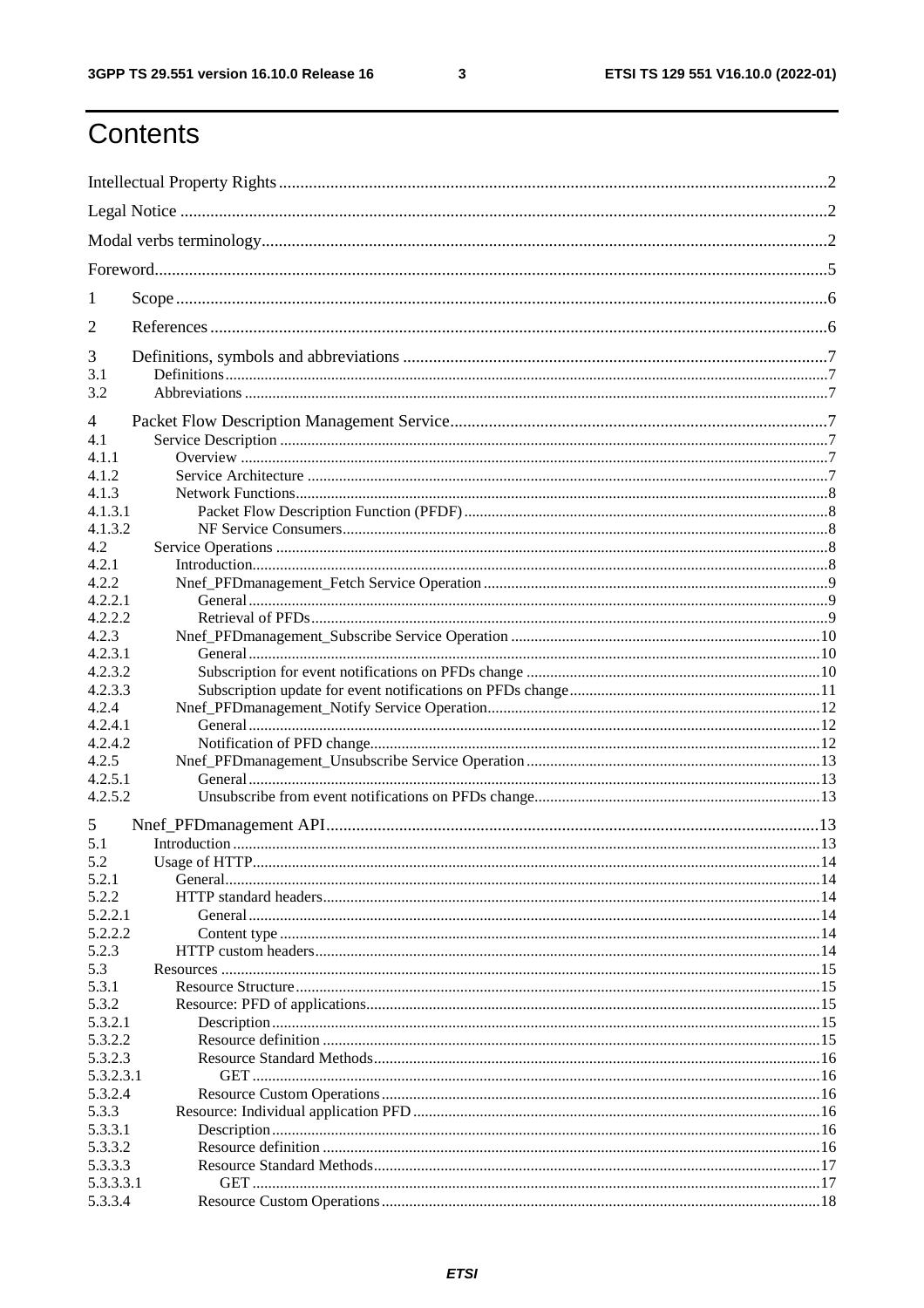$\mathbf{3}$ 

# Contents

| 1          |  |
|------------|--|
| 2          |  |
| 3          |  |
| 3.1<br>3.2 |  |
| 4          |  |
| 4.1        |  |
| 4.1.1      |  |
| 4.1.2      |  |
| 4.1.3      |  |
| 4.1.3.1    |  |
| 4.1.3.2    |  |
|            |  |
| 4.2        |  |
| 4.2.1      |  |
| 4.2.2      |  |
| 4.2.2.1    |  |
| 4.2.2.2    |  |
| 4.2.3      |  |
| 4.2.3.1    |  |
| 4.2.3.2    |  |
| 4.2.3.3    |  |
| 4.2.4      |  |
| 4.2.4.1    |  |
| 4.2.4.2    |  |
| 4.2.5      |  |
| 4.2.5.1    |  |
| 4.2.5.2    |  |
|            |  |
| 5          |  |
| 5.1        |  |
| 5.2        |  |
| 5.2.1      |  |
| 5.2.2      |  |
| 5.2.2.1    |  |
| 5.2.2.2    |  |
| 5.2.3      |  |
| 5.3        |  |
| 5.3.1      |  |
| 5.3.2      |  |
| 5.3.2.1    |  |
| 5.3.2.2    |  |
|            |  |
| 5.3.2.3    |  |
| 5.3.2.3.1  |  |
| 5.3.2.4    |  |
| 5.3.3      |  |
| 5.3.3.1    |  |
| 5.3.3.2    |  |
| 5.3.3.3    |  |
| 5.3.3.3.1  |  |
| 5.3.3.4    |  |
|            |  |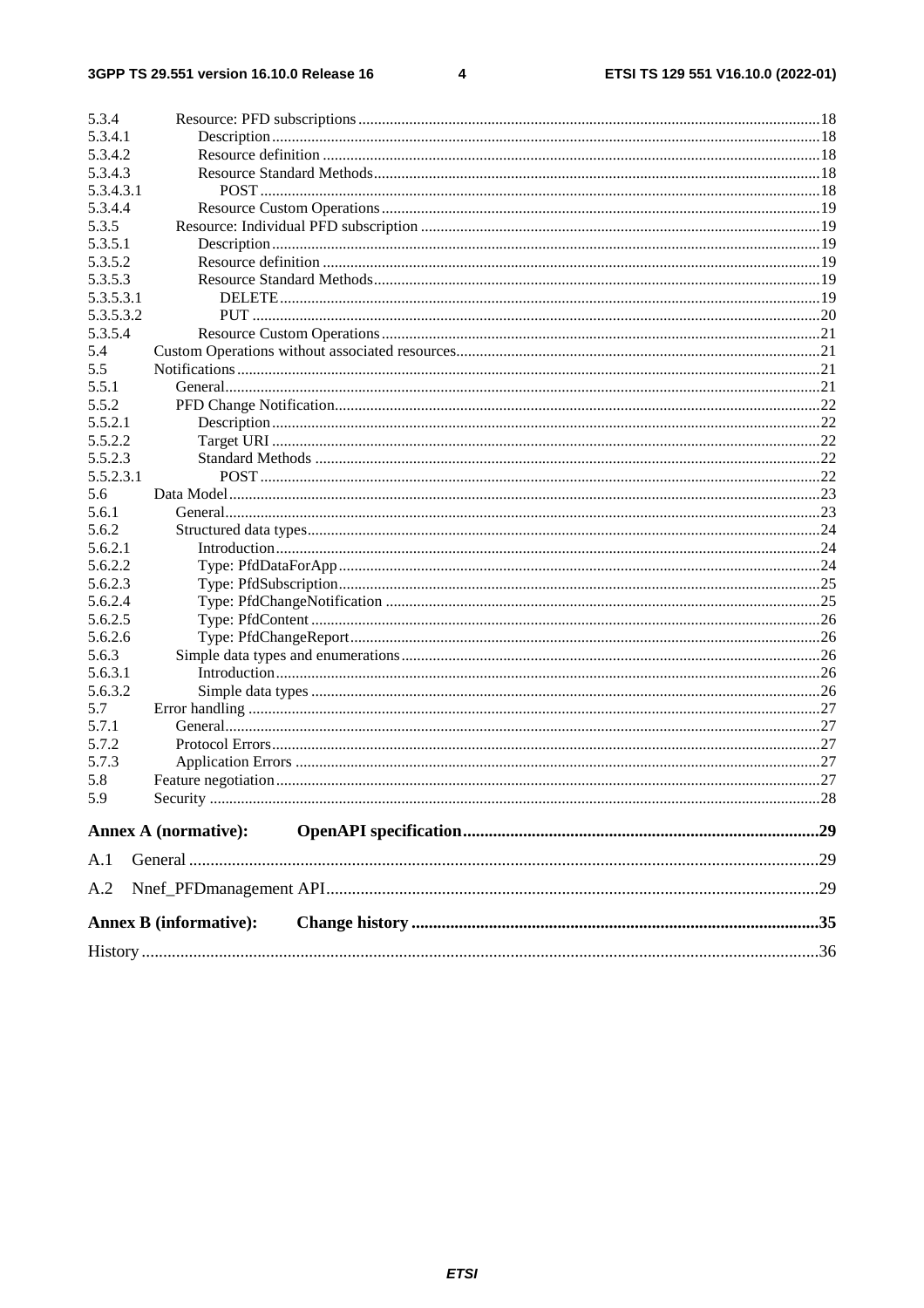$\overline{\mathbf{4}}$ 

| 5.3.4     |                               |  |  |  |  |  |  |
|-----------|-------------------------------|--|--|--|--|--|--|
| 5.3.4.1   |                               |  |  |  |  |  |  |
| 5.3.4.2   |                               |  |  |  |  |  |  |
| 5.3.4.3   |                               |  |  |  |  |  |  |
| 5.3.4.3.1 |                               |  |  |  |  |  |  |
| 5.3.4.4   |                               |  |  |  |  |  |  |
| 5.3.5     |                               |  |  |  |  |  |  |
| 5.3.5.1   |                               |  |  |  |  |  |  |
| 5.3.5.2   |                               |  |  |  |  |  |  |
| 5.3.5.3   |                               |  |  |  |  |  |  |
| 5.3.5.3.1 |                               |  |  |  |  |  |  |
| 5.3.5.3.2 |                               |  |  |  |  |  |  |
| 5.3.5.4   |                               |  |  |  |  |  |  |
| 5.4       |                               |  |  |  |  |  |  |
| 5.5       |                               |  |  |  |  |  |  |
| 5.5.1     |                               |  |  |  |  |  |  |
| 5.5.2     |                               |  |  |  |  |  |  |
| 5.5.2.1   |                               |  |  |  |  |  |  |
| 5.5.2.2   |                               |  |  |  |  |  |  |
| 5.5.2.3   |                               |  |  |  |  |  |  |
| 5.5.2.3.1 |                               |  |  |  |  |  |  |
| 5.6       |                               |  |  |  |  |  |  |
| 5.6.1     |                               |  |  |  |  |  |  |
| 5.6.2     |                               |  |  |  |  |  |  |
| 5.6.2.1   |                               |  |  |  |  |  |  |
| 5.6.2.2   |                               |  |  |  |  |  |  |
| 5.6.2.3   |                               |  |  |  |  |  |  |
| 5.6.2.4   |                               |  |  |  |  |  |  |
| 5.6.2.5   |                               |  |  |  |  |  |  |
| 5.6.2.6   |                               |  |  |  |  |  |  |
| 5.6.3     |                               |  |  |  |  |  |  |
| 5.6.3.1   |                               |  |  |  |  |  |  |
| 5.6.3.2   |                               |  |  |  |  |  |  |
| 5.7       |                               |  |  |  |  |  |  |
| 5.7.1     |                               |  |  |  |  |  |  |
| 5.7.2     |                               |  |  |  |  |  |  |
| 5.7.3     |                               |  |  |  |  |  |  |
| 5.8       |                               |  |  |  |  |  |  |
| 5.9       |                               |  |  |  |  |  |  |
|           | Annex A (normative):          |  |  |  |  |  |  |
| A.1       |                               |  |  |  |  |  |  |
| A.2       |                               |  |  |  |  |  |  |
|           | <b>Annex B</b> (informative): |  |  |  |  |  |  |
|           |                               |  |  |  |  |  |  |
|           |                               |  |  |  |  |  |  |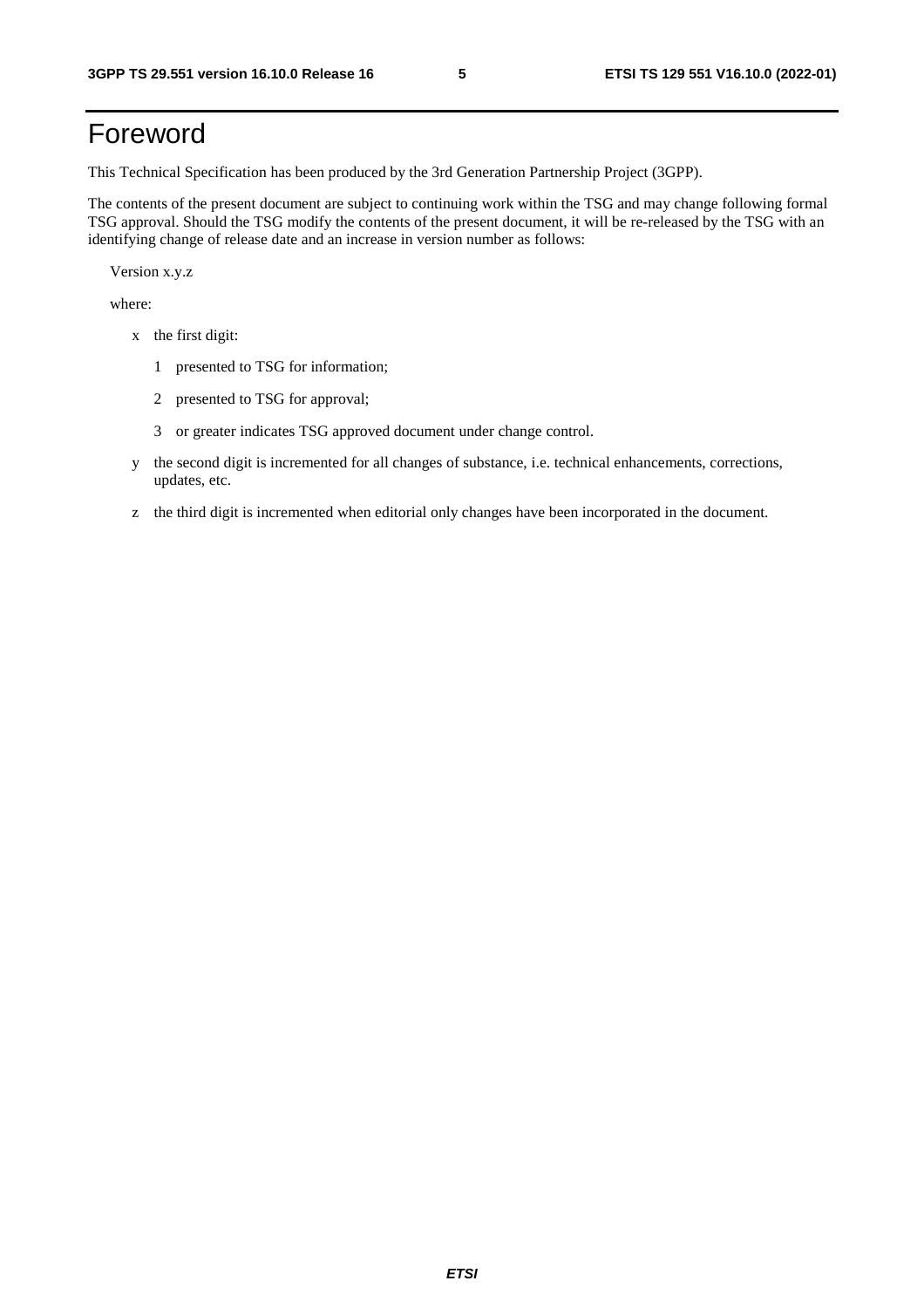# Foreword

This Technical Specification has been produced by the 3rd Generation Partnership Project (3GPP).

The contents of the present document are subject to continuing work within the TSG and may change following formal TSG approval. Should the TSG modify the contents of the present document, it will be re-released by the TSG with an identifying change of release date and an increase in version number as follows:

Version x.y.z

where:

- x the first digit:
	- 1 presented to TSG for information;
	- 2 presented to TSG for approval;
	- 3 or greater indicates TSG approved document under change control.
- y the second digit is incremented for all changes of substance, i.e. technical enhancements, corrections, updates, etc.
- z the third digit is incremented when editorial only changes have been incorporated in the document.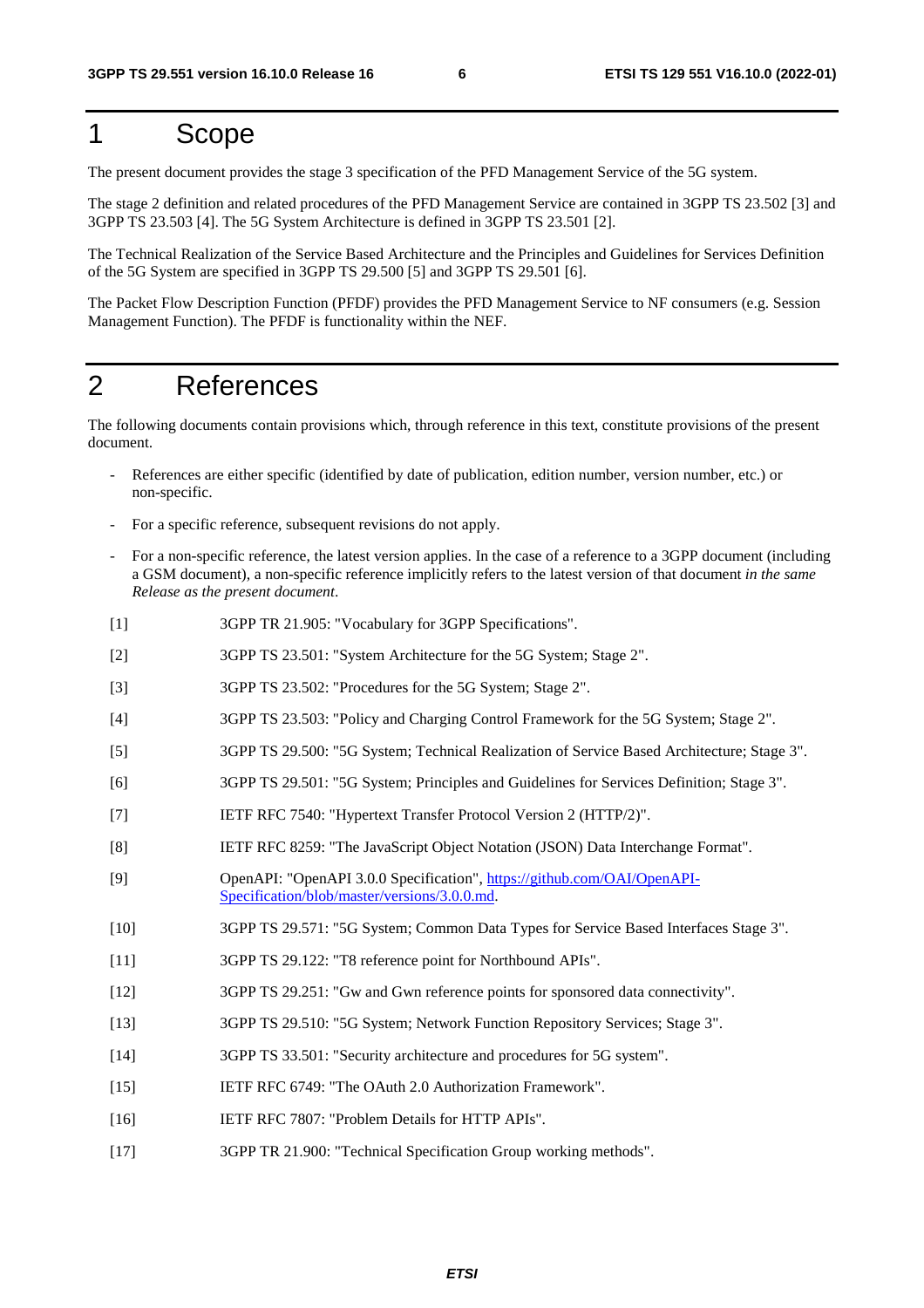# 1 Scope

The present document provides the stage 3 specification of the PFD Management Service of the 5G system.

The stage 2 definition and related procedures of the PFD Management Service are contained in 3GPP TS 23.502 [3] and 3GPP TS 23.503 [4]. The 5G System Architecture is defined in 3GPP TS 23.501 [2].

The Technical Realization of the Service Based Architecture and the Principles and Guidelines for Services Definition of the 5G System are specified in 3GPP TS 29.500 [5] and 3GPP TS 29.501 [6].

The Packet Flow Description Function (PFDF) provides the PFD Management Service to NF consumers (e.g. Session Management Function). The PFDF is functionality within the NEF.

# 2 References

The following documents contain provisions which, through reference in this text, constitute provisions of the present document.

- References are either specific (identified by date of publication, edition number, version number, etc.) or non-specific.
- For a specific reference, subsequent revisions do not apply.
- For a non-specific reference, the latest version applies. In the case of a reference to a 3GPP document (including a GSM document), a non-specific reference implicitly refers to the latest version of that document *in the same Release as the present document*.
- [1] 3GPP TR 21.905: "Vocabulary for 3GPP Specifications".
- [2] 3GPP TS 23.501: "System Architecture for the 5G System; Stage 2".
- [3] 3GPP TS 23.502: "Procedures for the 5G System; Stage 2".
- [4] 3GPP TS 23.503: "Policy and Charging Control Framework for the 5G System; Stage 2".
- [5] 3GPP TS 29.500: "5G System; Technical Realization of Service Based Architecture; Stage 3".
- [6] 3GPP TS 29.501: "5G System; Principles and Guidelines for Services Definition; Stage 3".
- [7] IETF RFC 7540: "Hypertext Transfer Protocol Version 2 (HTTP/2)".
- [8] IETF RFC 8259: "The JavaScript Object Notation (JSON) Data Interchange Format".
- [9] OpenAPI: "OpenAPI 3.0.0 Specification", [https://github.com/OAI/OpenAPI](https://github.com/OAI/OpenAPI-Specification/blob/master/versions/3.0.0.md)-[Specification/blob/master/versions/3.0.0.md](https://github.com/OAI/OpenAPI-Specification/blob/master/versions/3.0.0.md).
- [10] 3GPP TS 29.571: "5G System; Common Data Types for Service Based Interfaces Stage 3".
- [11] 3GPP TS 29.122: "T8 reference point for Northbound APIs".
- [12] 3GPP TS 29.251: "Gw and Gwn reference points for sponsored data connectivity".
- [13] 3GPP TS 29.510: "5G System; Network Function Repository Services; Stage 3".
- [14] 3GPP TS 33.501: "Security architecture and procedures for 5G system".
- [15] IETF RFC 6749: "The OAuth 2.0 Authorization Framework".
- [16] IETF RFC 7807: "Problem Details for HTTP APIs".
- [17] 3GPP TR 21.900: "Technical Specification Group working methods".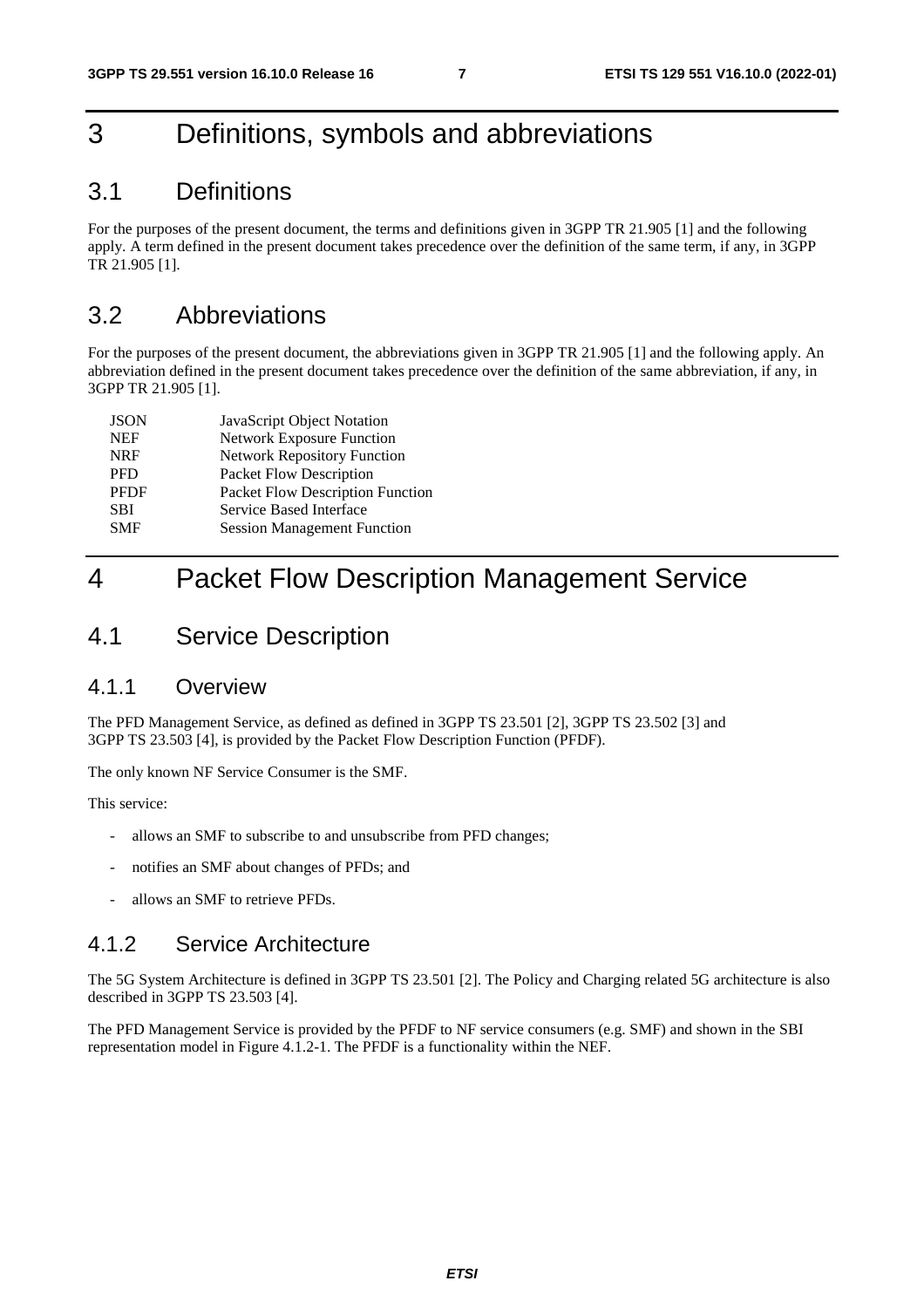# 3 Definitions, symbols and abbreviations

# 3.1 Definitions

For the purposes of the present document, the terms and definitions given in 3GPP TR 21.905 [1] and the following apply. A term defined in the present document takes precedence over the definition of the same term, if any, in 3GPP TR 21.905 [1].

# 3.2 Abbreviations

For the purposes of the present document, the abbreviations given in 3GPP TR 21.905 [1] and the following apply. An abbreviation defined in the present document takes precedence over the definition of the same abbreviation, if any, in 3GPP TR 21.905 [1].

| <b>JSON</b> | JavaScript Object Notation         |
|-------------|------------------------------------|
| <b>NEF</b>  | <b>Network Exposure Function</b>   |
| <b>NRF</b>  | <b>Network Repository Function</b> |
| <b>PFD</b>  | Packet Flow Description            |
| <b>PFDF</b> | Packet Flow Description Function   |
| <b>SBI</b>  | Service Based Interface            |
| <b>SMF</b>  | <b>Session Management Function</b> |

# 4 Packet Flow Description Management Service

# 4.1 Service Description

### 4.1.1 Overview

The PFD Management Service, as defined as defined in 3GPP TS 23.501 [2], 3GPP TS 23.502 [3] and 3GPP TS 23.503 [4], is provided by the Packet Flow Description Function (PFDF).

The only known NF Service Consumer is the SMF.

This service:

- allows an SMF to subscribe to and unsubscribe from PFD changes;
- notifies an SMF about changes of PFDs; and
- allows an SMF to retrieve PFDs.

# 4.1.2 Service Architecture

The 5G System Architecture is defined in 3GPP TS 23.501 [2]. The Policy and Charging related 5G architecture is also described in 3GPP TS 23.503 [4].

The PFD Management Service is provided by the PFDF to NF service consumers (e.g. SMF) and shown in the SBI representation model in Figure 4.1.2-1. The PFDF is a functionality within the NEF.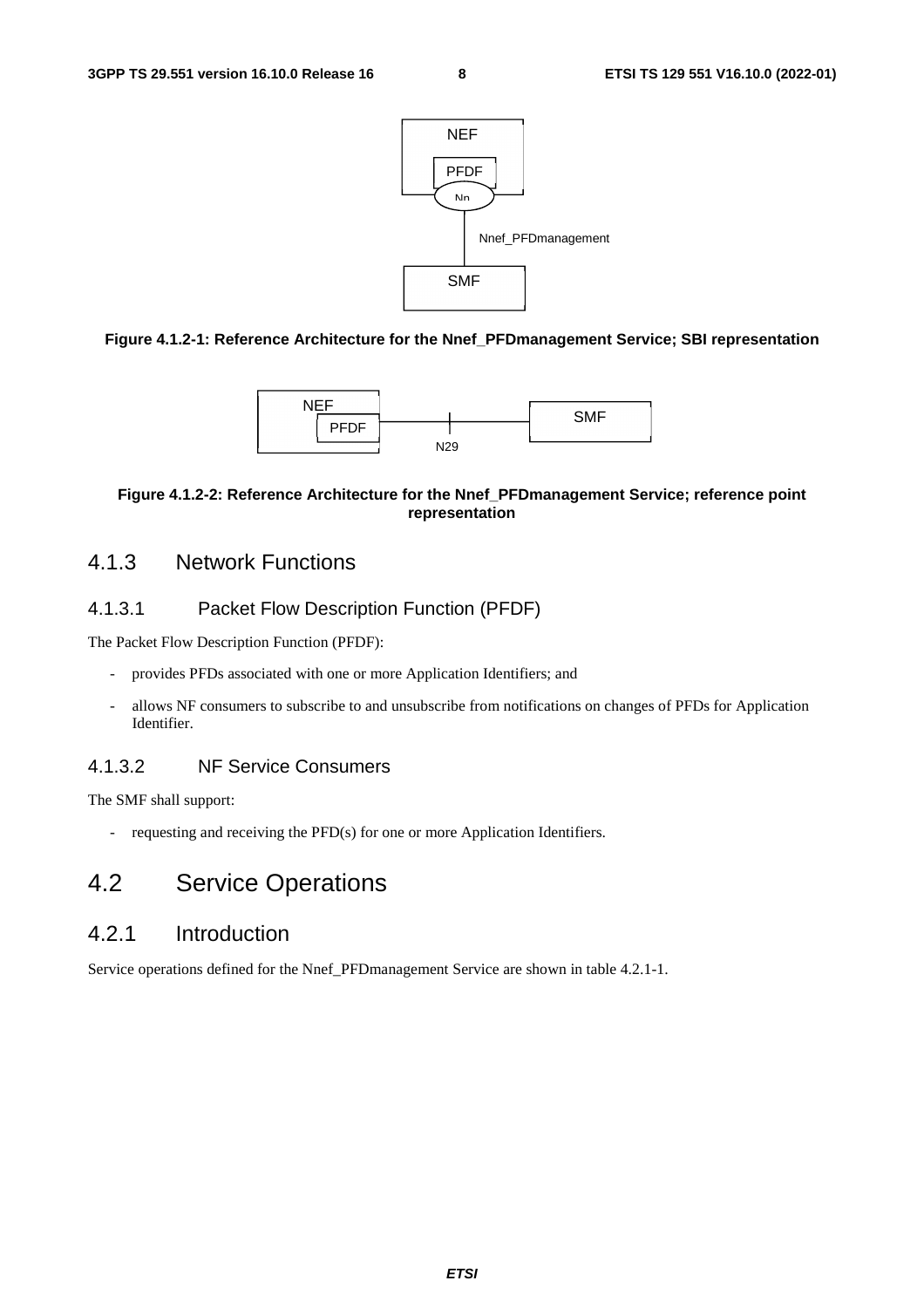

#### **Figure 4.1.2-1: Reference Architecture for the Nnef\_PFDmanagement Service; SBI representation**



#### **Figure 4.1.2-2: Reference Architecture for the Nnef\_PFDmanagement Service; reference point representation**

### 4.1.3 Network Functions

#### 4.1.3.1 Packet Flow Description Function (PFDF)

The Packet Flow Description Function (PFDF):

- provides PFDs associated with one or more Application Identifiers; and
- allows NF consumers to subscribe to and unsubscribe from notifications on changes of PFDs for Application Identifier.

### 4.1.3.2 NF Service Consumers

The SMF shall support:

- requesting and receiving the PFD(s) for one or more Application Identifiers.

# 4.2 Service Operations

# 4.2.1 Introduction

Service operations defined for the Nnef\_PFDmanagement Service are shown in table 4.2.1-1.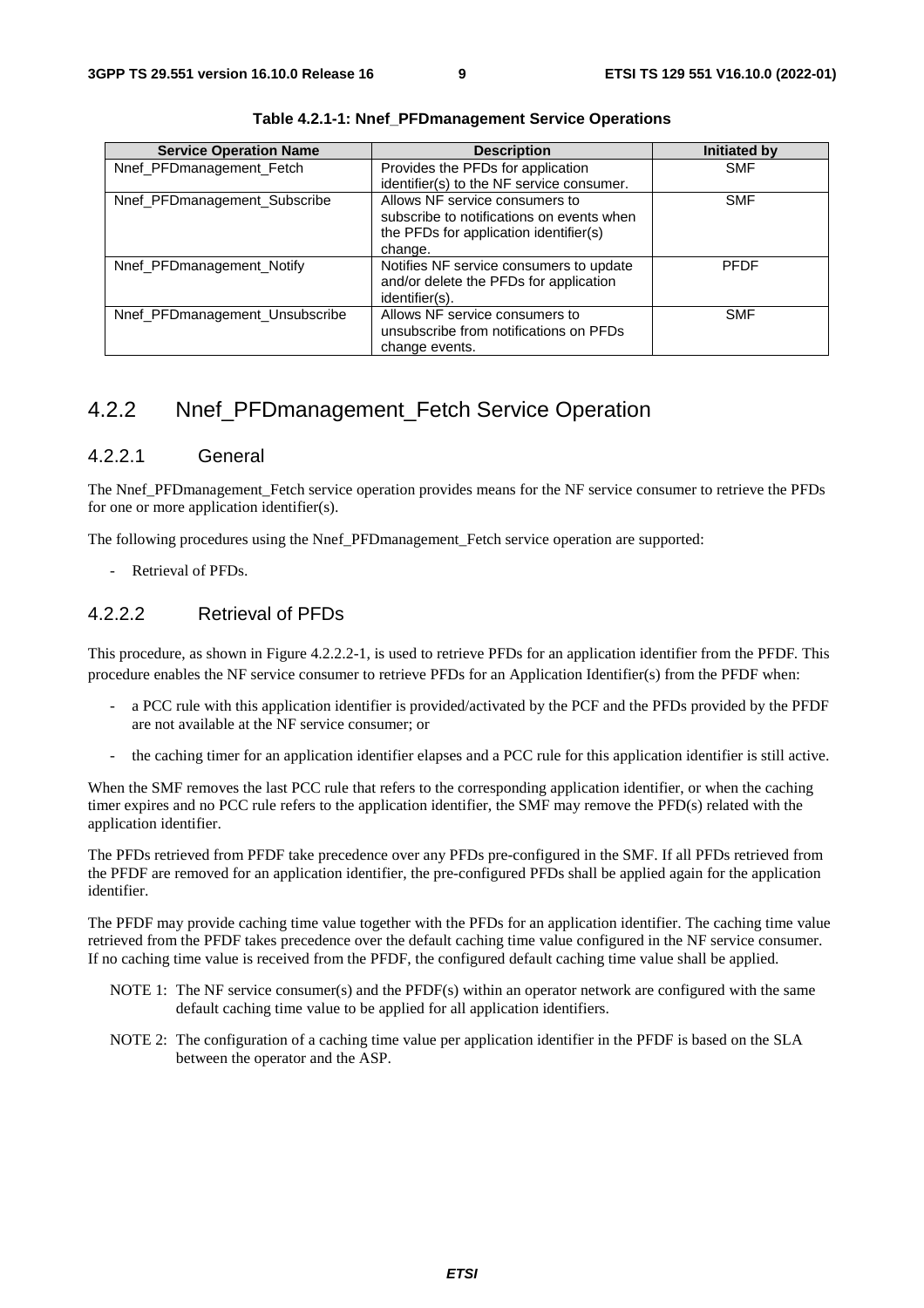| <b>Service Operation Name</b>  | <b>Description</b>                        | <b>Initiated by</b> |
|--------------------------------|-------------------------------------------|---------------------|
| Nnef PFDmanagement Fetch       | Provides the PFDs for application         | <b>SMF</b>          |
|                                | identifier(s) to the NF service consumer. |                     |
| Nnef_PFDmanagement_Subscribe   | Allows NF service consumers to            | <b>SMF</b>          |
|                                | subscribe to notifications on events when |                     |
|                                | the PFDs for application identifier(s)    |                     |
|                                | change.                                   |                     |
| Nnef_PFDmanagement_Notify      | Notifies NF service consumers to update   | <b>PFDF</b>         |
|                                | and/or delete the PFDs for application    |                     |
|                                | identifier(s).                            |                     |
| Nnef_PFDmanagement_Unsubscribe | Allows NF service consumers to            | <b>SMF</b>          |
|                                | unsubscribe from notifications on PFDs    |                     |
|                                | change events.                            |                     |

**Table 4.2.1-1: Nnef\_PFDmanagement Service Operations**

# 4.2.2 Nnef\_PFDmanagement\_Fetch Service Operation

#### 4.2.2.1 General

The Nnef\_PFDmanagement\_Fetch service operation provides means for the NF service consumer to retrieve the PFDs for one or more application identifier(s).

The following procedures using the Nnef PFDmanagement Fetch service operation are supported:

Retrieval of PFDs.

### 4.2.2.2 Retrieval of PFDs

This procedure, as shown in Figure 4.2.2.2-1, is used to retrieve PFDs for an application identifier from the PFDF. This procedure enables the NF service consumer to retrieve PFDs for an Application Identifier(s) from the PFDF when:

- a PCC rule with this application identifier is provided/activated by the PCF and the PFDs provided by the PFDF are not available at the NF service consumer; or
- the caching timer for an application identifier elapses and a PCC rule for this application identifier is still active.

When the SMF removes the last PCC rule that refers to the corresponding application identifier, or when the caching timer expires and no PCC rule refers to the application identifier, the SMF may remove the PFD(s) related with the application identifier.

The PFDs retrieved from PFDF take precedence over any PFDs pre-configured in the SMF. If all PFDs retrieved from the PFDF are removed for an application identifier, the pre-configured PFDs shall be applied again for the application identifier.

The PFDF may provide caching time value together with the PFDs for an application identifier. The caching time value retrieved from the PFDF takes precedence over the default caching time value configured in the NF service consumer. If no caching time value is received from the PFDF, the configured default caching time value shall be applied.

- NOTE 1: The NF service consumer(s) and the PFDF(s) within an operator network are configured with the same default caching time value to be applied for all application identifiers.
- NOTE 2: The configuration of a caching time value per application identifier in the PFDF is based on the SLA between the operator and the ASP.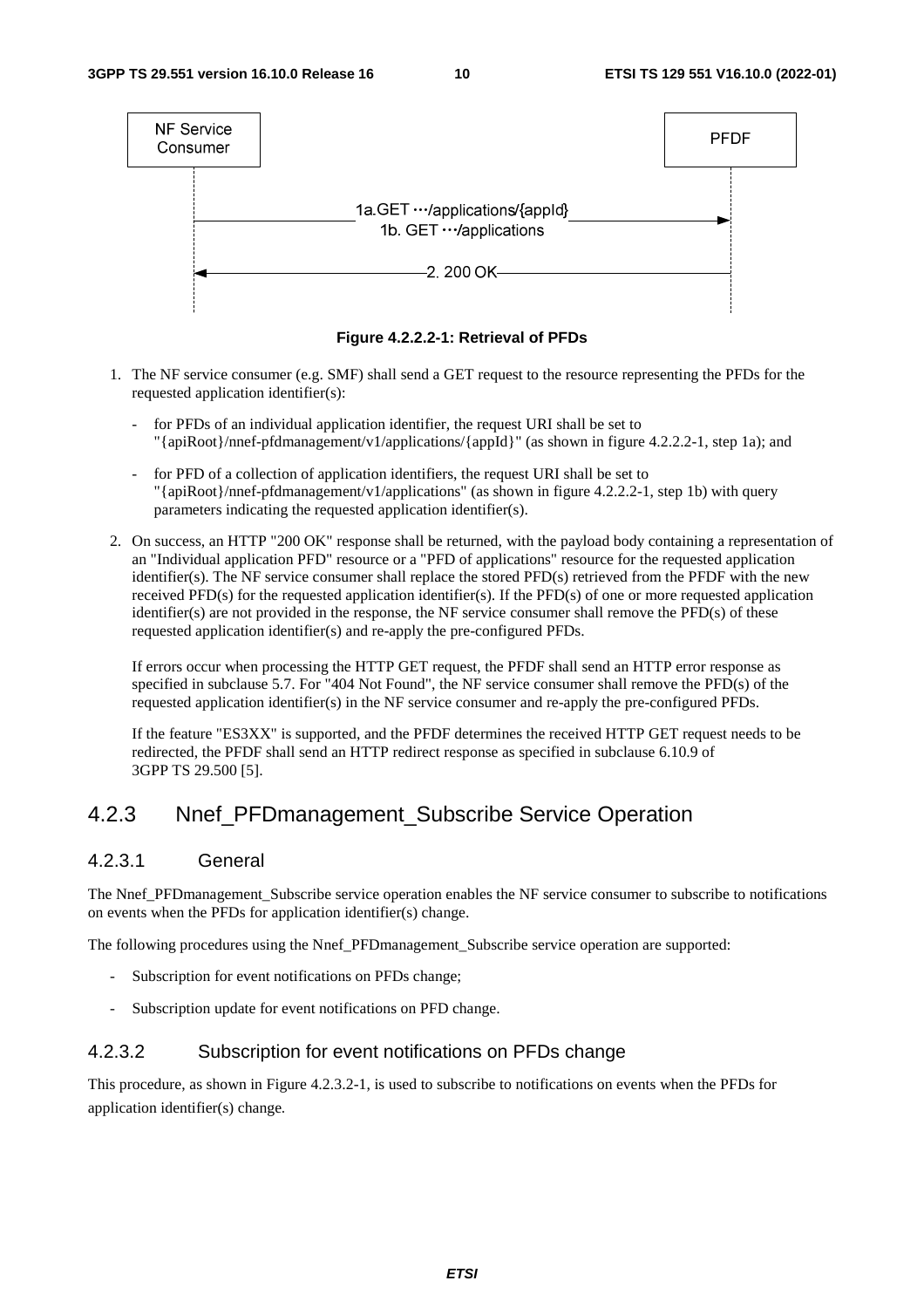

**Figure 4.2.2.2-1: Retrieval of PFDs** 

- 1. The NF service consumer (e.g. SMF) shall send a GET request to the resource representing the PFDs for the requested application identifier(s):
	- for PFDs of an individual application identifier, the request URI shall be set to "{apiRoot}/nnef-pfdmanagement/v1/applications/{appId}" (as shown in figure 4.2.2.2-1, step 1a); and
	- for PFD of a collection of application identifiers, the request URI shall be set to "{apiRoot}/nnef-pfdmanagement/v1/applications" (as shown in figure 4.2.2.2-1, step 1b) with query parameters indicating the requested application identifier(s).
- 2. On success, an HTTP "200 OK" response shall be returned, with the payload body containing a representation of an "Individual application PFD" resource or a "PFD of applications" resource for the requested application identifier(s). The NF service consumer shall replace the stored PFD(s) retrieved from the PFDF with the new received PFD(s) for the requested application identifier(s). If the PFD(s) of one or more requested application identifier(s) are not provided in the response, the NF service consumer shall remove the PFD(s) of these requested application identifier(s) and re-apply the pre-configured PFDs.

If errors occur when processing the HTTP GET request, the PFDF shall send an HTTP error response as specified in subclause 5.7. For "404 Not Found", the NF service consumer shall remove the PFD(s) of the requested application identifier(s) in the NF service consumer and re-apply the pre-configured PFDs.

If the feature "ES3XX" is supported, and the PFDF determines the received HTTP GET request needs to be redirected, the PFDF shall send an HTTP redirect response as specified in subclause 6.10.9 of 3GPP TS 29.500 [5].

# 4.2.3 Nnef\_PFDmanagement\_Subscribe Service Operation

#### 4.2.3.1 General

The Nnef PFDmanagement Subscribe service operation enables the NF service consumer to subscribe to notifications on events when the PFDs for application identifier(s) change.

The following procedures using the Nnef PFDmanagement Subscribe service operation are supported:

- Subscription for event notifications on PFDs change;
- Subscription update for event notifications on PFD change.

#### 4.2.3.2 Subscription for event notifications on PFDs change

This procedure, as shown in Figure 4.2.3.2-1, is used to subscribe to notifications on events when the PFDs for application identifier(s) change.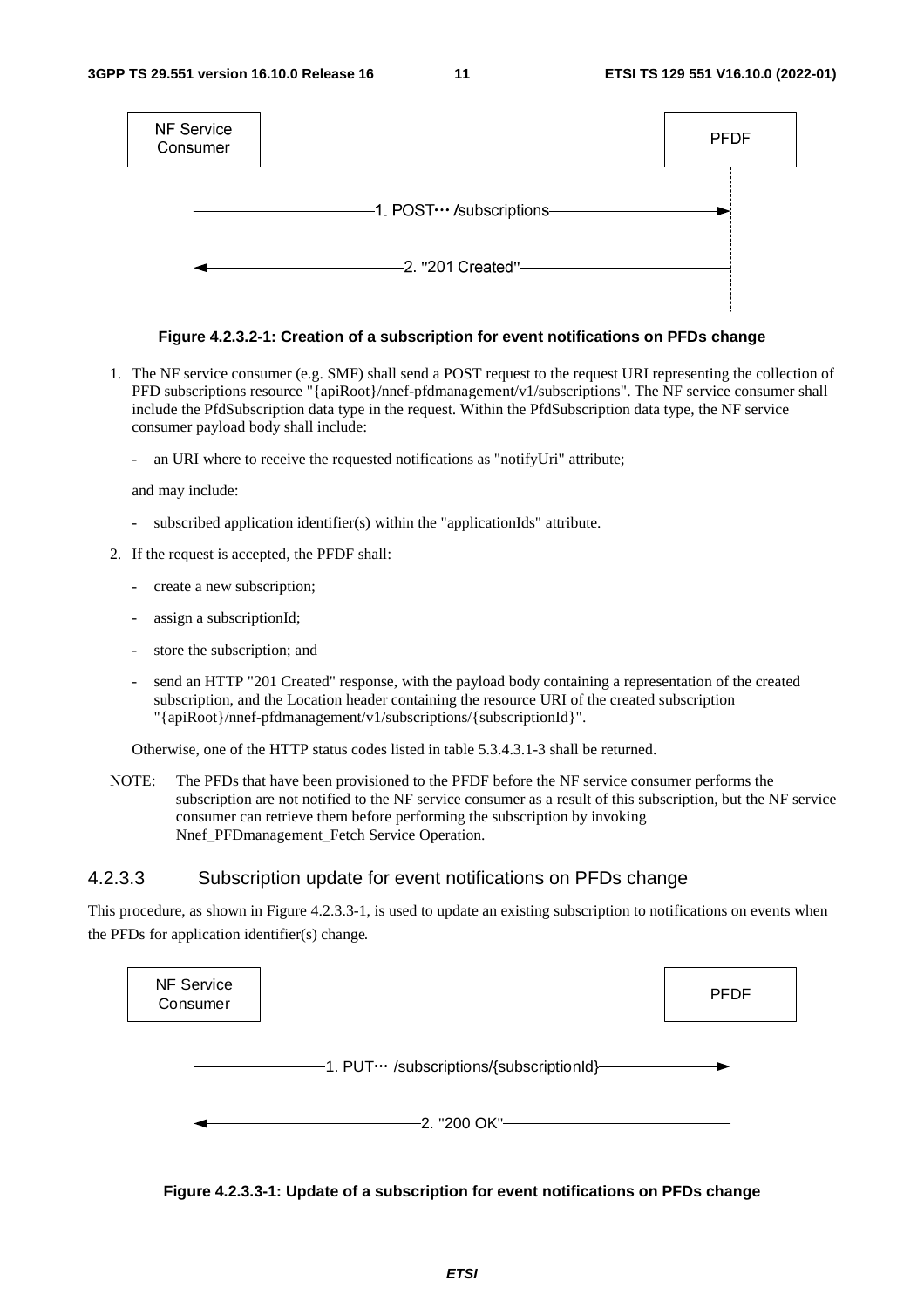

**Figure 4.2.3.2-1: Creation of a subscription for event notifications on PFDs change** 

- 1. The NF service consumer (e.g. SMF) shall send a POST request to the request URI representing the collection of PFD subscriptions resource "{apiRoot}/nnef-pfdmanagement/v1/subscriptions". The NF service consumer shall include the PfdSubscription data type in the request. Within the PfdSubscription data type, the NF service consumer payload body shall include:
	- an URI where to receive the requested notifications as "notifyUri" attribute;

and may include:

- subscribed application identifier(s) within the "applicationIds" attribute.
- 2. If the request is accepted, the PFDF shall:
	- create a new subscription;
	- assign a subscriptionId;
	- store the subscription; and
	- send an HTTP "201 Created" response, with the payload body containing a representation of the created subscription, and the Location header containing the resource URI of the created subscription "{apiRoot}/nnef-pfdmanagement/v1/subscriptions/{subscriptionId}".

Otherwise, one of the HTTP status codes listed in table 5.3.4.3.1-3 shall be returned.

NOTE: The PFDs that have been provisioned to the PFDF before the NF service consumer performs the subscription are not notified to the NF service consumer as a result of this subscription, but the NF service consumer can retrieve them before performing the subscription by invoking Nnef\_PFDmanagement\_Fetch Service Operation.

#### 4.2.3.3 Subscription update for event notifications on PFDs change

This procedure, as shown in Figure 4.2.3.3-1, is used to update an existing subscription to notifications on events when the PFDs for application identifier(s) change.



**Figure 4.2.3.3-1: Update of a subscription for event notifications on PFDs change**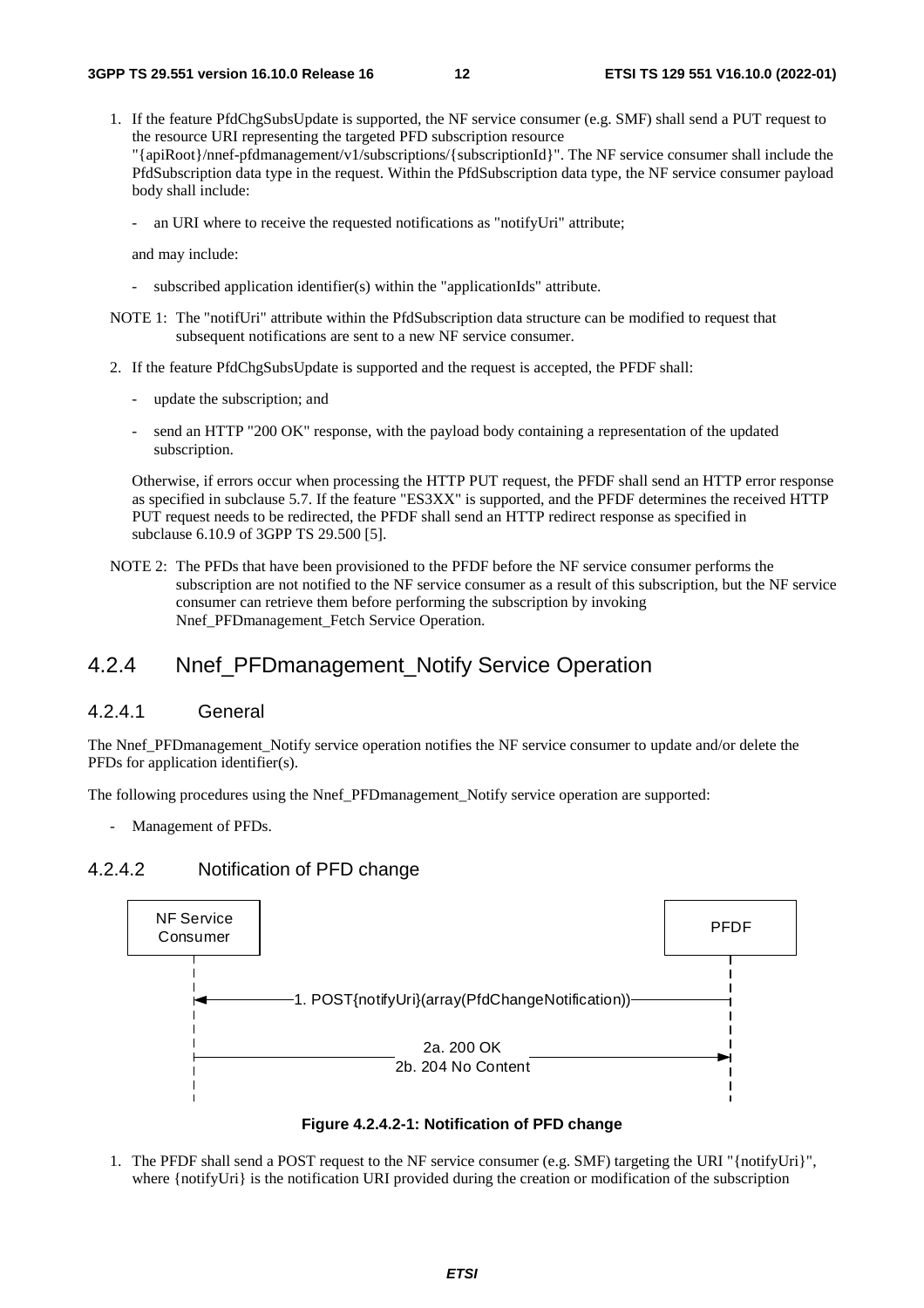- 1. If the feature PfdChgSubsUpdate is supported, the NF service consumer (e.g. SMF) shall send a PUT request to the resource URI representing the targeted PFD subscription resource "{apiRoot}/nnef-pfdmanagement/v1/subscriptions/{subscriptionId}". The NF service consumer shall include the PfdSubscription data type in the request. Within the PfdSubscription data type, the NF service consumer payload body shall include:
	- an URI where to receive the requested notifications as "notifyUri" attribute;

and may include:

- subscribed application identifier(s) within the "applicationIds" attribute.
- NOTE 1: The "notifUri" attribute within the PfdSubscription data structure can be modified to request that subsequent notifications are sent to a new NF service consumer.
- 2. If the feature PfdChgSubsUpdate is supported and the request is accepted, the PFDF shall:
	- update the subscription; and
	- send an HTTP "200 OK" response, with the payload body containing a representation of the updated subscription.

 Otherwise, if errors occur when processing the HTTP PUT request, the PFDF shall send an HTTP error response as specified in subclause 5.7. If the feature "ES3XX" is supported, and the PFDF determines the received HTTP PUT request needs to be redirected, the PFDF shall send an HTTP redirect response as specified in subclause 6.10.9 of 3GPP TS 29.500 [5].

NOTE 2: The PFDs that have been provisioned to the PFDF before the NF service consumer performs the subscription are not notified to the NF service consumer as a result of this subscription, but the NF service consumer can retrieve them before performing the subscription by invoking Nnef\_PFDmanagement\_Fetch Service Operation.

### 4.2.4 Nnef PFDmanagement Notify Service Operation

#### 4.2.4.1 General

The Nnef PFDmanagement Notify service operation notifies the NF service consumer to update and/or delete the PFDs for application identifier(s).

The following procedures using the Nnef\_PFDmanagement\_Notify service operation are supported:

Management of PFDs.

#### 4.2.4.2 Notification of PFD change





1. The PFDF shall send a POST request to the NF service consumer (e.g. SMF) targeting the URI "{notifyUri}", where {notifyUri} is the notification URI provided during the creation or modification of the subscription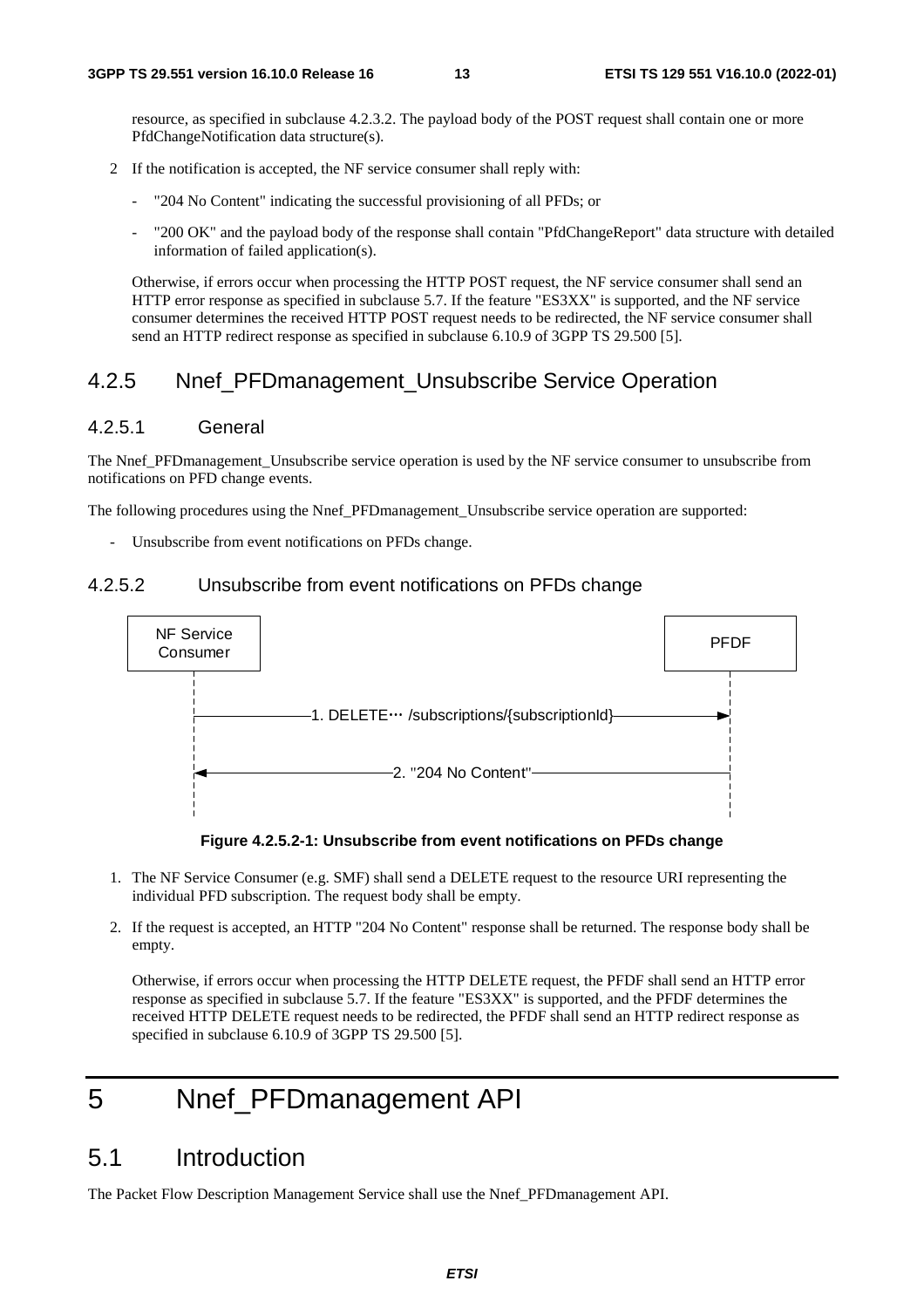resource, as specified in subclause 4.2.3.2. The payload body of the POST request shall contain one or more PfdChangeNotification data structure(s).

- 2 If the notification is accepted, the NF service consumer shall reply with:
	- "204 No Content" indicating the successful provisioning of all PFDs; or
	- "200 OK" and the payload body of the response shall contain "PfdChangeReport" data structure with detailed information of failed application(s).

 Otherwise, if errors occur when processing the HTTP POST request, the NF service consumer shall send an HTTP error response as specified in subclause 5.7. If the feature "ES3XX" is supported, and the NF service consumer determines the received HTTP POST request needs to be redirected, the NF service consumer shall send an HTTP redirect response as specified in subclause 6.10.9 of 3GPP TS 29.500 [5].

### 4.2.5 Nnef\_PFDmanagement\_Unsubscribe Service Operation

#### 4.2.5.1 General

The Nnef\_PFDmanagement\_Unsubscribe service operation is used by the NF service consumer to unsubscribe from notifications on PFD change events.

The following procedures using the Nnef\_PFDmanagement\_Unsubscribe service operation are supported:

- Unsubscribe from event notifications on PFDs change.

#### 4.2.5.2 Unsubscribe from event notifications on PFDs change



**Figure 4.2.5.2-1: Unsubscribe from event notifications on PFDs change** 

- 1. The NF Service Consumer (e.g. SMF) shall send a DELETE request to the resource URI representing the individual PFD subscription. The request body shall be empty.
- 2. If the request is accepted, an HTTP "204 No Content" response shall be returned. The response body shall be empty.

Otherwise, if errors occur when processing the HTTP DELETE request, the PFDF shall send an HTTP error response as specified in subclause 5.7. If the feature "ES3XX" is supported, and the PFDF determines the received HTTP DELETE request needs to be redirected, the PFDF shall send an HTTP redirect response as specified in subclause 6.10.9 of 3GPP TS 29.500 [5].

# 5 Nnef\_PFDmanagement API

# 5.1 Introduction

The Packet Flow Description Management Service shall use the Nnef\_PFDmanagement API.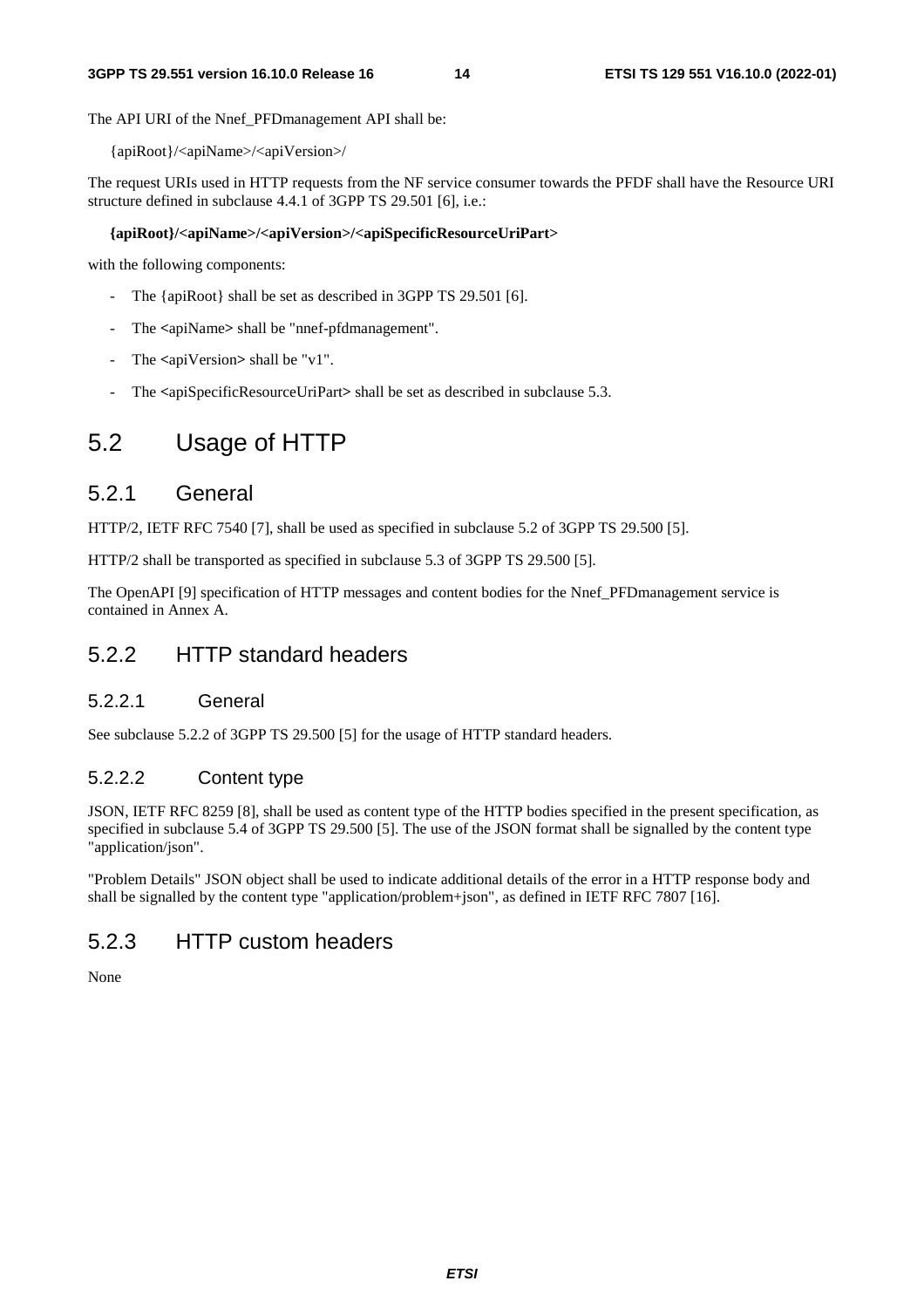The API URI of the Nnef\_PFDmanagement API shall be:

{apiRoot}/<apiName>/<apiVersion>/

The request URIs used in HTTP requests from the NF service consumer towards the PFDF shall have the Resource URI structure defined in subclause 4.4.1 of 3GPP TS 29.501 [6], i.e.:

#### **{apiRoot}/<apiName>/<apiVersion>/<apiSpecificResourceUriPart>**

with the following components:

- The {apiRoot} shall be set as described in 3GPP TS 29.501 [6].
- The **<**apiName**>** shall be "nnef-pfdmanagement".
- The  $\langle$ apiVersion $\rangle$  shall be "v1".
- The  $\leq$ apiSpecificResourceUriPart> shall be set as described in subclause 5.3.

# 5.2 Usage of HTTP

### 5.2.1 General

HTTP/2, IETF RFC 7540 [7], shall be used as specified in subclause 5.2 of 3GPP TS 29.500 [5].

HTTP/2 shall be transported as specified in subclause 5.3 of 3GPP TS 29.500 [5].

The OpenAPI [9] specification of HTTP messages and content bodies for the Nnef\_PFDmanagement service is contained in Annex A.

### 5.2.2 HTTP standard headers

#### 5.2.2.1 General

See subclause 5.2.2 of 3GPP TS 29.500 [5] for the usage of HTTP standard headers.

#### 5.2.2.2 Content type

JSON, IETF RFC 8259 [8], shall be used as content type of the HTTP bodies specified in the present specification, as specified in subclause 5.4 of 3GPP TS 29.500 [5]. The use of the JSON format shall be signalled by the content type "application/json".

"Problem Details" JSON object shall be used to indicate additional details of the error in a HTTP response body and shall be signalled by the content type "application/problem+json", as defined in IETF RFC 7807 [16].

### 5.2.3 HTTP custom headers

None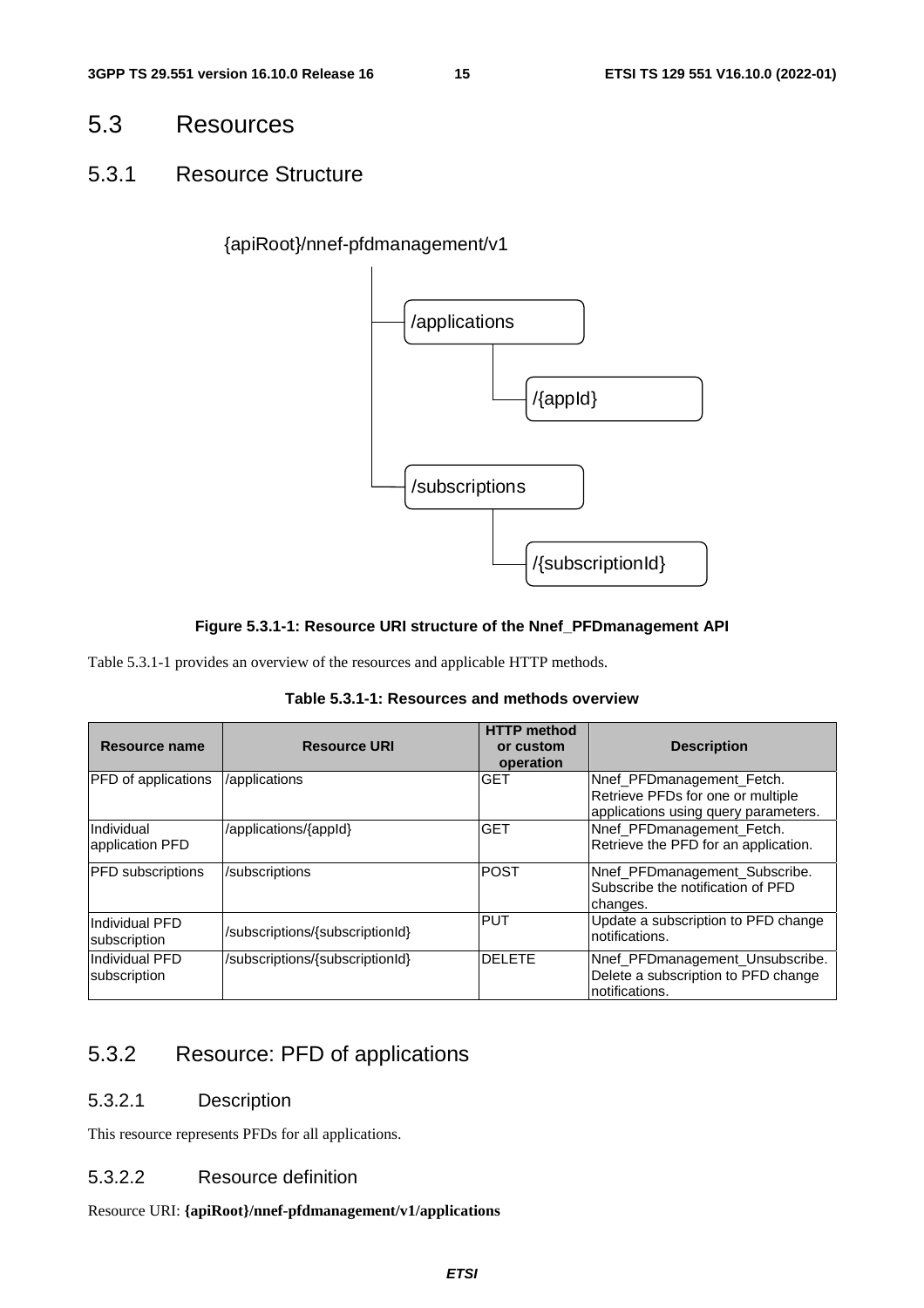# 5.3 Resources

# 5.3.1 Resource Structure

#### {apiRoot}/nnef-pfdmanagement/v1



#### **Figure 5.3.1-1: Resource URI structure of the Nnef\_PFDmanagement API**

Table 5.3.1-1 provides an overview of the resources and applicable HTTP methods.

| Table 5.3.1-1: Resources and methods overview |  |
|-----------------------------------------------|--|
|-----------------------------------------------|--|

| Resource name                  | <b>Resource URI</b>             | <b>HTTP</b> method<br>or custom<br>operation | <b>Description</b>                                                                                     |
|--------------------------------|---------------------------------|----------------------------------------------|--------------------------------------------------------------------------------------------------------|
| <b>PFD</b> of applications     | /applications                   | <b>GET</b>                                   | Nnef PFDmanagement Fetch.<br>Retrieve PFDs for one or multiple<br>applications using query parameters. |
| Individual<br>application PFD  | /applications/{appld}           | <b>GET</b>                                   | Nnef PFDmanagement Fetch.<br>Retrieve the PFD for an application.                                      |
| <b>PFD</b> subscriptions       | /subscriptions                  | <b>POST</b>                                  | Nnef_PFDmanagement_Subscribe.<br>Subscribe the notification of PFD<br>lchanges.                        |
| Individual PFD<br>subscription | /subscriptions/{subscriptionId} | <b>PUT</b>                                   | Update a subscription to PFD change<br>Inotifications.                                                 |
| Individual PFD<br>subscription | /subscriptions/{subscriptionId} | <b>DELETE</b>                                | Nnef_PFDmanagement_Unsubscribe.<br>Delete a subscription to PFD change<br>notifications.               |

# 5.3.2 Resource: PFD of applications

#### 5.3.2.1 Description

This resource represents PFDs for all applications.

#### 5.3.2.2 Resource definition

#### Resource URI: **{apiRoot}/nnef-pfdmanagement/v1/applications**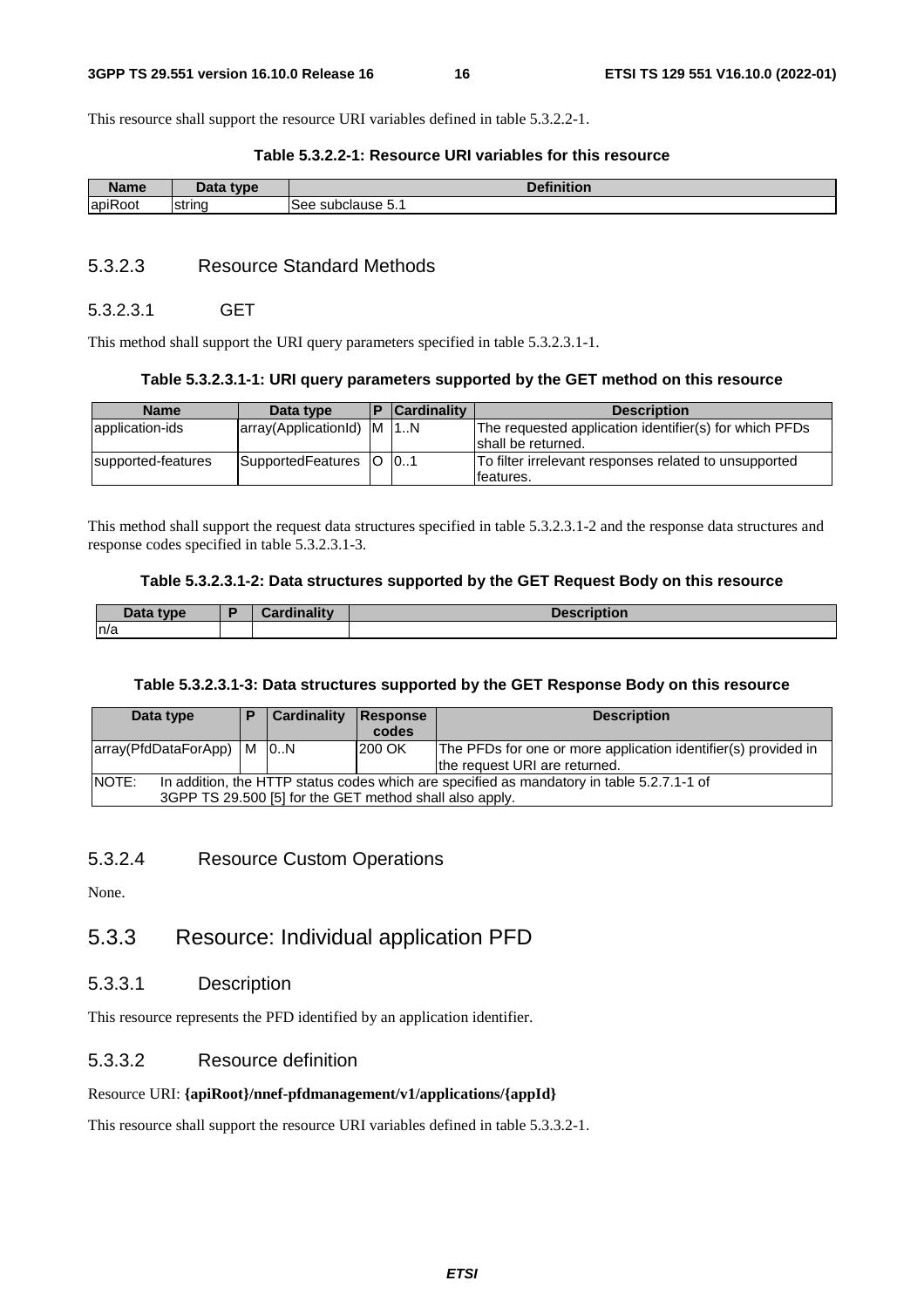This resource shall support the resource URI variables defined in table 5.3.2.2-1.

#### **Table 5.3.2.2-1: Resource URI variables for this resource**

| <b>TATIL</b><br>Name | - - -<br>tvne<br>Putu | $-1.1$<br>----            |
|----------------------|-----------------------|---------------------------|
| .<br>lapih<br>oot    | Istring               | -<br>subclause 5.1<br>see |

#### 5.3.2.3 Resource Standard Methods

#### 5.3.2.3.1 GET

This method shall support the URI query parameters specified in table 5.3.2.3.1-1.

#### **Table 5.3.2.3.1-1: URI query parameters supported by the GET method on this resource**

| <b>Name</b>        | Data type                  | <b>Cardinality</b> | <b>Description</b>                                                            |
|--------------------|----------------------------|--------------------|-------------------------------------------------------------------------------|
| application-ids    | array(ApplicationId) M 1.N |                    | The requested application identifier(s) for which PFDs<br>Ishall be returned. |
| supported-features | SupportedFeatures   O   01 |                    | To filter irrelevant responses related to unsupported<br>features.            |

This method shall support the request data structures specified in table 5.3.2.3.1-2 and the response data structures and response codes specified in table 5.3.2.3.1-3.

#### **Table 5.3.2.3.1-2: Data structures supported by the GET Request Body on this resource**

| Data type | $\blacksquare$ Cardinality<br><u>unality</u> | <b><i>CONTACT OF THE CONTACT OF</i></b><br>NOTION. |
|-----------|----------------------------------------------|----------------------------------------------------|
| ln/a      |                                              |                                                    |

#### **Table 5.3.2.3.1-3: Data structures supported by the GET Response Body on this resource**

| Data type                                                                                                 | D | Cardinality | Response<br>codes | <b>Description</b>                                                                              |  |  |
|-----------------------------------------------------------------------------------------------------------|---|-------------|-------------------|-------------------------------------------------------------------------------------------------|--|--|
| array(PfdDataForApp)   M   0N                                                                             |   |             | <b>200 OK</b>     | The PFDs for one or more application identifier(s) provided in<br>the request URI are returned. |  |  |
| <b>NOTE:</b><br>In addition, the HTTP status codes which are specified as mandatory in table 5.2.7.1-1 of |   |             |                   |                                                                                                 |  |  |
| 3GPP TS 29.500 [5] for the GET method shall also apply.                                                   |   |             |                   |                                                                                                 |  |  |

#### 5.3.2.4 Resource Custom Operations

None.

# 5.3.3 Resource: Individual application PFD

### 5.3.3.1 Description

This resource represents the PFD identified by an application identifier.

#### 5.3.3.2 Resource definition

#### Resource URI: **{apiRoot}/nnef-pfdmanagement/v1/applications/{appId}**

This resource shall support the resource URI variables defined in table 5.3.3.2-1.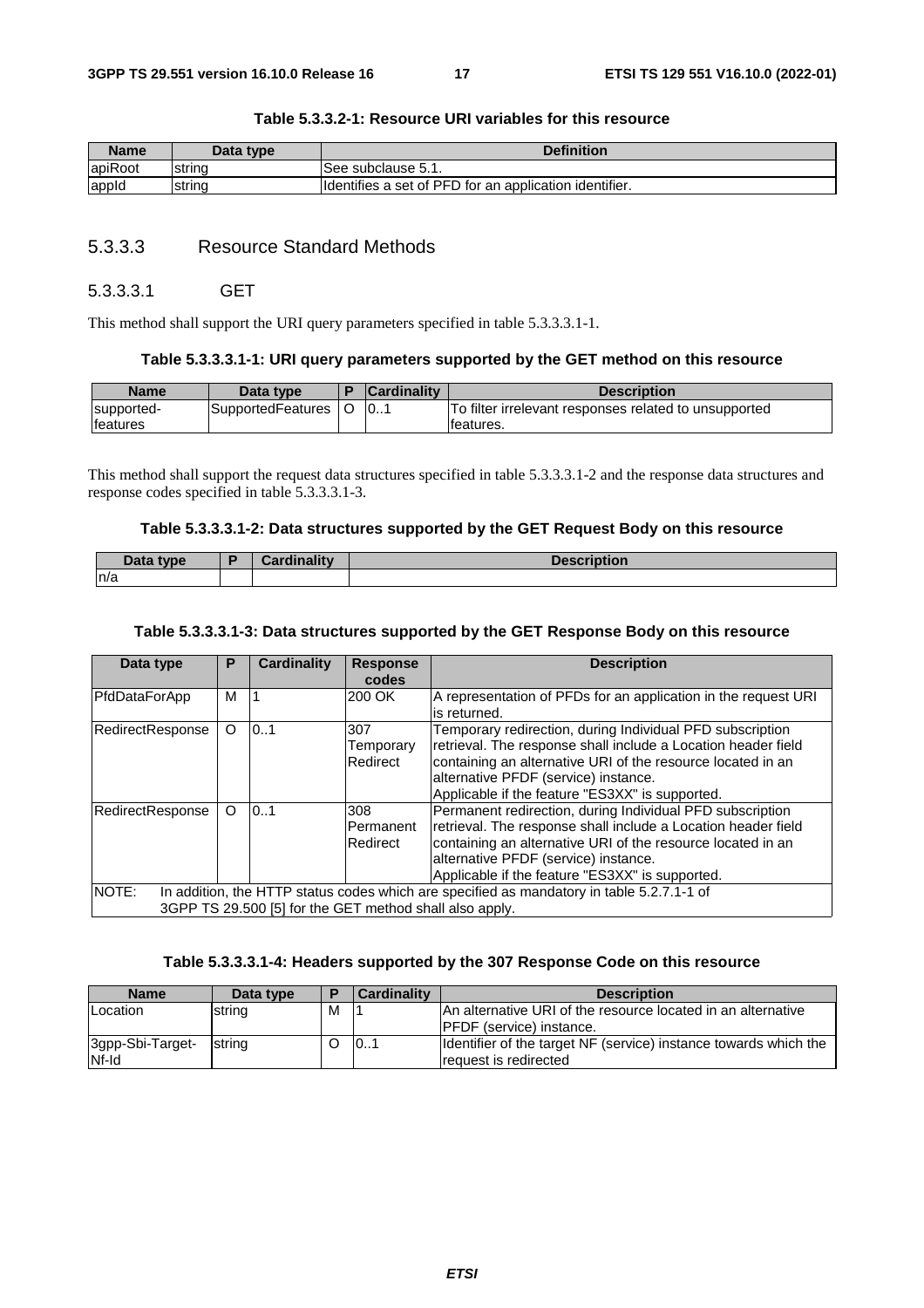| <b>Name</b> | Data type | <b>Definition</b>                                      |
|-------------|-----------|--------------------------------------------------------|
| apiRoot     | strina    | ISee subclause 5.1.                                    |
| appid       | string    | Identifies a set of PFD for an application identifier. |

#### **Table 5.3.3.2-1: Resource URI variables for this resource**

#### 5.3.3.3 Resource Standard Methods

#### 5.3.3.3.1 GET

This method shall support the URI query parameters specified in table 5.3.3.3.1-1.

#### **Table 5.3.3.3.1-1: URI query parameters supported by the GET method on this resource**

| <b>Name</b>      | Data type         | <b>Cardinality</b> | Description                                           |
|------------------|-------------------|--------------------|-------------------------------------------------------|
| supported-       | SupportedFeatures | 10                 | To filter irrelevant responses related to unsupported |
| <b>Ifeatures</b> |                   |                    | Iteatures.                                            |

This method shall support the request data structures specified in table 5.3.3.3.1-2 and the response data structures and response codes specified in table 5.3.3.3.1-3.

#### **Table 5.3.3.3.1-2: Data structures supported by the GET Request Body on this resource**

| <b>Data type</b> | <b>Cardinality</b> | <b>Description</b> |
|------------------|--------------------|--------------------|
| ln/a             |                    |                    |

#### **Table 5.3.3.3.1-3: Data structures supported by the GET Response Body on this resource**

| Data type                                                                                                                                                     | Ρ | <b>Cardinality</b> | <b>Response</b><br>codes      | <b>Description</b>                                                                                                                                                                                                                                                                   |
|---------------------------------------------------------------------------------------------------------------------------------------------------------------|---|--------------------|-------------------------------|--------------------------------------------------------------------------------------------------------------------------------------------------------------------------------------------------------------------------------------------------------------------------------------|
| PfdDataForApp                                                                                                                                                 | м |                    | 200 OK                        | A representation of PFDs for an application in the request URI<br>is returned.                                                                                                                                                                                                       |
| RedirectResponse                                                                                                                                              | O | 0.1                | 307<br>Temporary<br>Redirect  | Temporary redirection, during Individual PFD subscription<br>retrieval. The response shall include a Location header field<br>containing an alternative URI of the resource located in an<br>alternative PFDF (service) instance.<br>Applicable if the feature "ES3XX" is supported. |
| RedirectResponse                                                                                                                                              | O | 0.1                | 308<br>lPermanent<br>Redirect | Permanent redirection, during Individual PFD subscription<br>retrieval. The response shall include a Location header field<br>containing an alternative URI of the resource located in an<br>alternative PFDF (service) instance.<br>Applicable if the feature "ES3XX" is supported. |
| NOTE:<br>In addition, the HTTP status codes which are specified as mandatory in table 5.2.7.1-1 of<br>3GPP TS 29.500 [5] for the GET method shall also apply. |   |                    |                               |                                                                                                                                                                                                                                                                                      |

#### **Table 5.3.3.3.1-4: Headers supported by the 307 Response Code on this resource**

| <b>Name</b>      | Data type | Ð | <b>Cardinality</b> | <b>Description</b>                                               |
|------------------|-----------|---|--------------------|------------------------------------------------------------------|
| Location         | string    | M |                    | IAn alternative URI of the resource located in an alternative    |
|                  |           |   |                    | <b>IPFDF</b> (service) instance.                                 |
| 3gpp-Sbi-Target- | string    |   | 101                | Identifier of the target NF (service) instance towards which the |
| Nf-Id            |           |   |                    | Irequest is redirected                                           |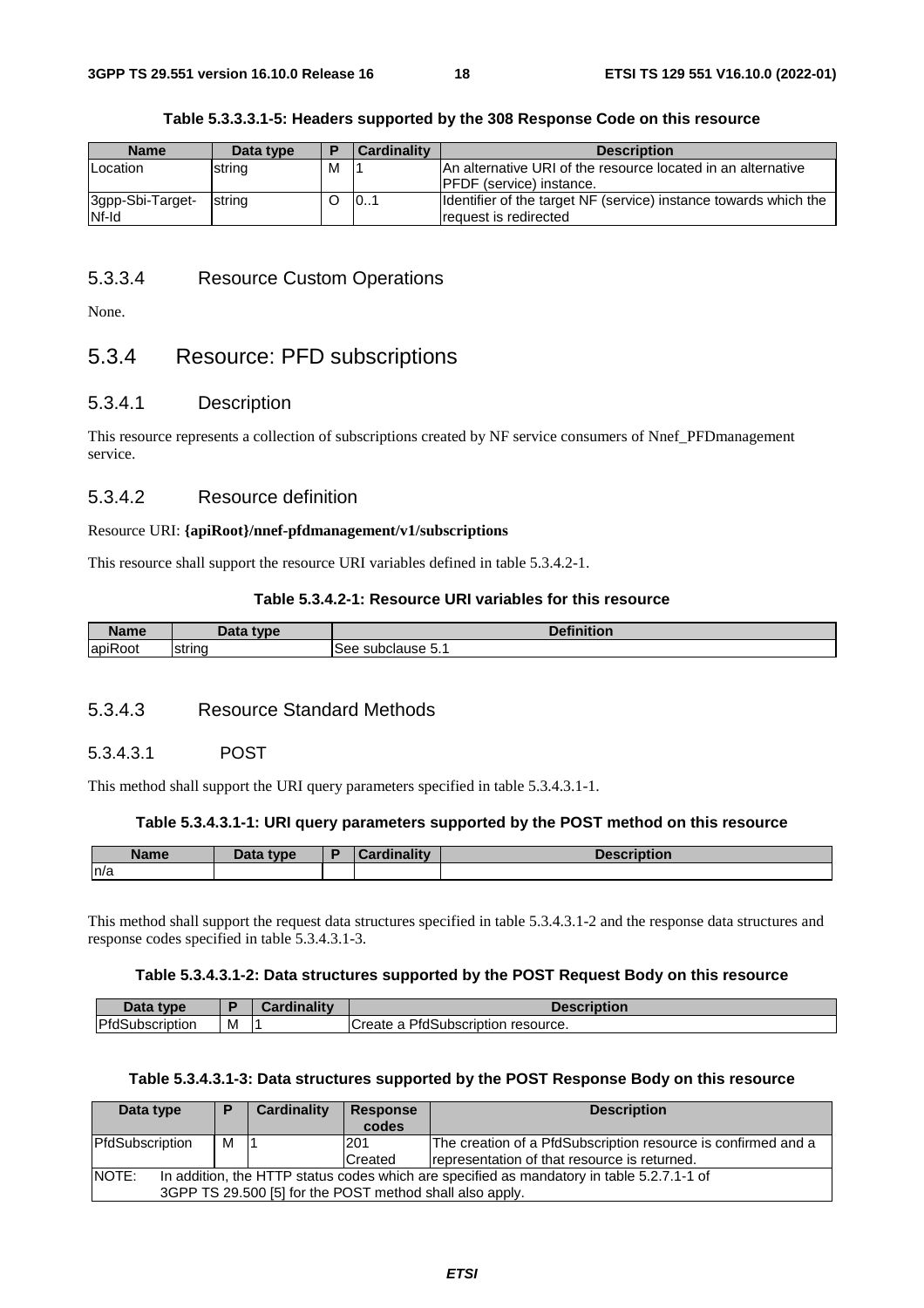#### **Table 5.3.3.3.1-5: Headers supported by the 308 Response Code on this resource**

| <b>Name</b>               | Data type | E | <b>Cardinality</b> | <b>Description</b>                                                                               |
|---------------------------|-----------|---|--------------------|--------------------------------------------------------------------------------------------------|
| Location                  | string    | м |                    | An alternative URI of the resource located in an alternative<br><b>IPFDF</b> (service) instance. |
| 3gpp-Sbi-Target-<br>Nf-Id | strina    |   | 101                | Identifier of the target NF (service) instance towards which the<br>request is redirected        |

#### 5.3.3.4 Resource Custom Operations

None.

### 5.3.4 Resource: PFD subscriptions

#### 5.3.4.1 Description

This resource represents a collection of subscriptions created by NF service consumers of Nnef\_PFDmanagement service.

#### 5.3.4.2 Resource definition

#### Resource URI: **{apiRoot}/nnef-pfdmanagement/v1/subscriptions**

This resource shall support the resource URI variables defined in table 5.3.4.2-1.

#### **Table 5.3.4.2-1: Resource URI variables for this resource**

| lame                                      | ה+הר<br>tvne  | .<br>$-1$<br>---      |
|-------------------------------------------|---------------|-----------------------|
| $\overline{\phantom{a}}$<br>lapih<br>⊀oot | <b>Strinc</b> | subclause 5.1<br>ISee |

#### 5.3.4.3 Resource Standard Methods

#### 5.3.4.3.1 POST

This method shall support the URI query parameters specified in table 5.3.4.3.1-1.

#### **Table 5.3.4.3.1-1: URI query parameters supported by the POST method on this resource**

| <b>Name</b> | <b>Data type</b><br>Data | مستقال والمستقا | <b>Description</b> |
|-------------|--------------------------|-----------------|--------------------|
| ln/a        |                          |                 |                    |

This method shall support the request data structures specified in table 5.3.4.3.1-2 and the response data structures and response codes specified in table 5.3.4.3.1-3.

#### **Table 5.3.4.3.1-2: Data structures supported by the POST Request Body on this resource**

| 3.4.2<br>:VD6   |   | المتحافظ والمستحدث | Description                                          |
|-----------------|---|--------------------|------------------------------------------------------|
| PfdSubscription | м |                    | <b>PfdS</b><br>resource.<br>Create<br>dSubscription_ |

#### **Table 5.3.4.3.1-3: Data structures supported by the POST Response Body on this resource**

| Data type                                                                                                                                                      | D | Cardinality | <b>Response</b><br>codes | <b>Description</b>                                                                                            |
|----------------------------------------------------------------------------------------------------------------------------------------------------------------|---|-------------|--------------------------|---------------------------------------------------------------------------------------------------------------|
| PfdSubscription                                                                                                                                                | м |             | 201<br>Created           | The creation of a PfdSubscription resource is confirmed and a<br>representation of that resource is returned. |
| NOTE:<br>In addition, the HTTP status codes which are specified as mandatory in table 5.2.7.1-1 of<br>3GPP TS 29.500 [5] for the POST method shall also apply. |   |             |                          |                                                                                                               |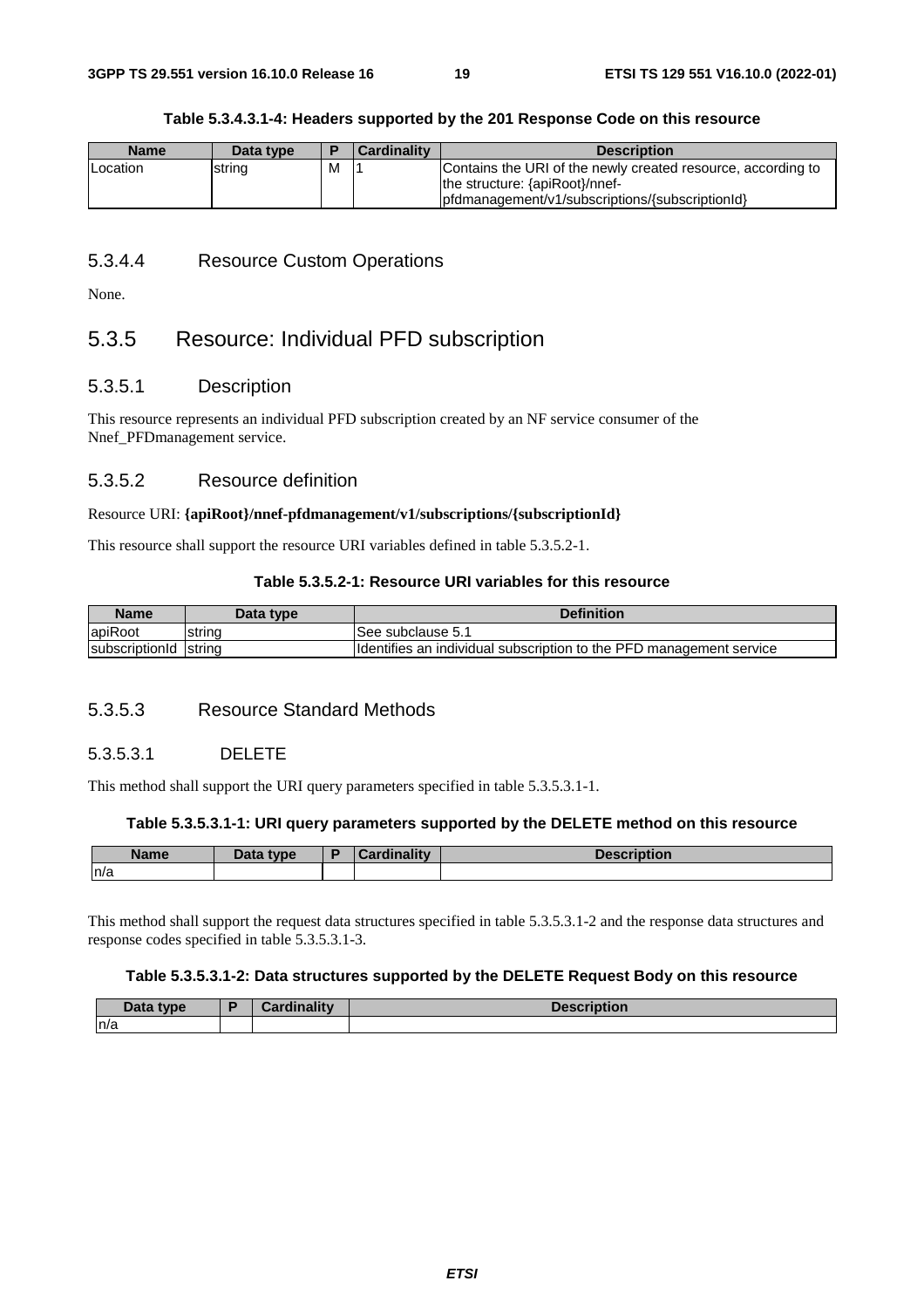#### **Table 5.3.4.3.1-4: Headers supported by the 201 Response Code on this resource**

| <b>Name</b> | Data type | Ð | <b>Cardinality</b> | <b>Description</b>                                                                                                                                 |
|-------------|-----------|---|--------------------|----------------------------------------------------------------------------------------------------------------------------------------------------|
| Location    | string    | M |                    | Contains the URI of the newly created resource, according to<br>the structure: {apiRoot}/nnef-<br> pfdmanagement/v1/subscriptions/{subscriptionId} |

#### 5.3.4.4 Resource Custom Operations

None.

### 5.3.5 Resource: Individual PFD subscription

#### 5.3.5.1 Description

This resource represents an individual PFD subscription created by an NF service consumer of the Nnef\_PFDmanagement service.

### 5.3.5.2 Resource definition

#### Resource URI: **{apiRoot}/nnef-pfdmanagement/v1/subscriptions/{subscriptionId}**

This resource shall support the resource URI variables defined in table 5.3.5.2-1.

#### **Table 5.3.5.2-1: Resource URI variables for this resource**

| <b>Name</b>            | Data type | <b>Definition</b>                                                   |
|------------------------|-----------|---------------------------------------------------------------------|
| apiRoot                | Istrina   | lSee subclause 5.1                                                  |
| <b>IsubscriptionId</b> | Istrina   | Identifies an individual subscription to the PFD management service |

#### 5.3.5.3 Resource Standard Methods

#### 5.3.5.3.1 DELETE

This method shall support the URI query parameters specified in table 5.3.5.3.1-1.

#### **Table 5.3.5.3.1-1: URI query parameters supported by the DELETE method on this resource**

| <b>Name</b> | $D2$ type<br>- Put- | - 1945 -<br> |  |
|-------------|---------------------|--------------|--|
| ln/a        |                     |              |  |

This method shall support the request data structures specified in table 5.3.5.3.1-2 and the response data structures and response codes specified in table 5.3.5.3.1-3.

#### **Table 5.3.5.3.1-2: Data structures supported by the DELETE Request Body on this resource**

| Data type | 9 - - - - - - - - - - - - - | <b>Description</b><br><b>TIDUON.</b> |
|-----------|-----------------------------|--------------------------------------|
| n/a       |                             |                                      |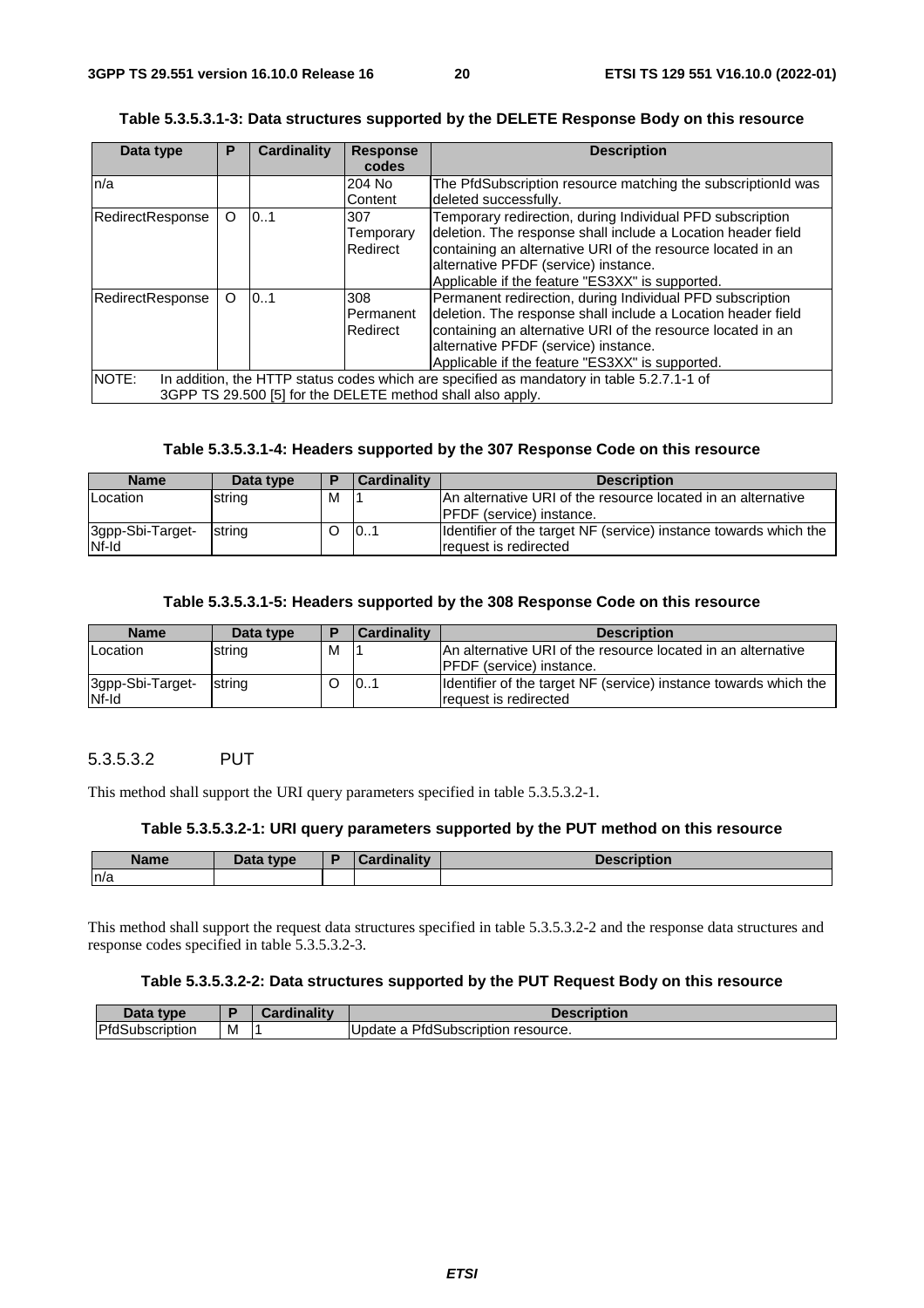#### **Table 5.3.5.3.1-3: Data structures supported by the DELETE Response Body on this resource**

| Data type        | Р | <b>Cardinality</b> | <b>Response</b>                                                  | <b>Description</b>                                                                        |
|------------------|---|--------------------|------------------------------------------------------------------|-------------------------------------------------------------------------------------------|
|                  |   |                    | codes                                                            |                                                                                           |
| n/a              |   |                    | 204 No                                                           | The PfdSubscription resource matching the subscriptionId was                              |
|                  |   |                    | Content                                                          | deleted successfully.                                                                     |
| RedirectResponse | O | 0.1                | 307                                                              | Temporary redirection, during Individual PFD subscription                                 |
|                  |   |                    | Temporary                                                        | deletion. The response shall include a Location header field                              |
|                  |   |                    | Redirect                                                         | containing an alternative URI of the resource located in an                               |
|                  |   |                    |                                                                  | alternative PFDF (service) instance.                                                      |
|                  |   |                    |                                                                  | Applicable if the feature "ES3XX" is supported.                                           |
| RedirectResponse | O | 10.1               | Permanent redirection, during Individual PFD subscription<br>308 |                                                                                           |
|                  |   |                    | Permanent                                                        | deletion. The response shall include a Location header field                              |
|                  |   |                    | Redirect                                                         | containing an alternative URI of the resource located in an                               |
|                  |   |                    |                                                                  | alternative PFDF (service) instance.                                                      |
|                  |   |                    |                                                                  | Applicable if the feature "ES3XX" is supported.                                           |
| NOTE:            |   |                    |                                                                  | In addition, the HTTP status codes which are specified as mandatory in table 5.2.7.1-1 of |
|                  |   |                    |                                                                  | 3GPP TS 29.500 [5] for the DELETE method shall also apply.                                |

#### **Table 5.3.5.3.1-4: Headers supported by the 307 Response Code on this resource**

| <b>Name</b>               | Data type |   | <b>Cardinality</b> | <b>Description</b>                                                                                |
|---------------------------|-----------|---|--------------------|---------------------------------------------------------------------------------------------------|
| Location                  | string    | M |                    | IAn alternative URI of the resource located in an alternative<br><b>IPFDF</b> (service) instance. |
| 3gpp-Sbi-Target-<br>Nf-Id | string    |   | 101                | Identifier of the target NF (service) instance towards which the<br>request is redirected         |

#### **Table 5.3.5.3.1-5: Headers supported by the 308 Response Code on this resource**

| <b>Name</b>               | Data type | Е | <b>Cardinality</b> | <b>Description</b>                                                                                |
|---------------------------|-----------|---|--------------------|---------------------------------------------------------------------------------------------------|
| <b>Location</b>           | string    | м |                    | IAn alternative URI of the resource located in an alternative<br><b>IPFDF</b> (service) instance. |
| 3gpp-Sbi-Target-<br>Nf-Id | string    |   | 10.1               | Identifier of the target NF (service) instance towards which the<br>request is redirected         |

### 5.3.5.3.2 PUT

This method shall support the URI query parameters specified in table 5.3.5.3.2-1.

#### **Table 5.3.5.3.2-1: URI query parameters supported by the PUT method on this resource**

| <b>Name</b> | Data type | <b>Cordinality</b><br>arantv | <b>Pascription</b> |
|-------------|-----------|------------------------------|--------------------|
| ln/a        |           |                              |                    |

This method shall support the request data structures specified in table 5.3.5.3.2-2 and the response data structures and response codes specified in table 5.3.5.3.2-3.

#### **Table 5.3.5.3.2-2: Data structures supported by the PUT Request Body on this resource**

| Data type       |   | Cardinality | <b>Description</b>                      |
|-----------------|---|-------------|-----------------------------------------|
| PfdSubscription | М |             | e a PfdSubscription resource.<br>Update |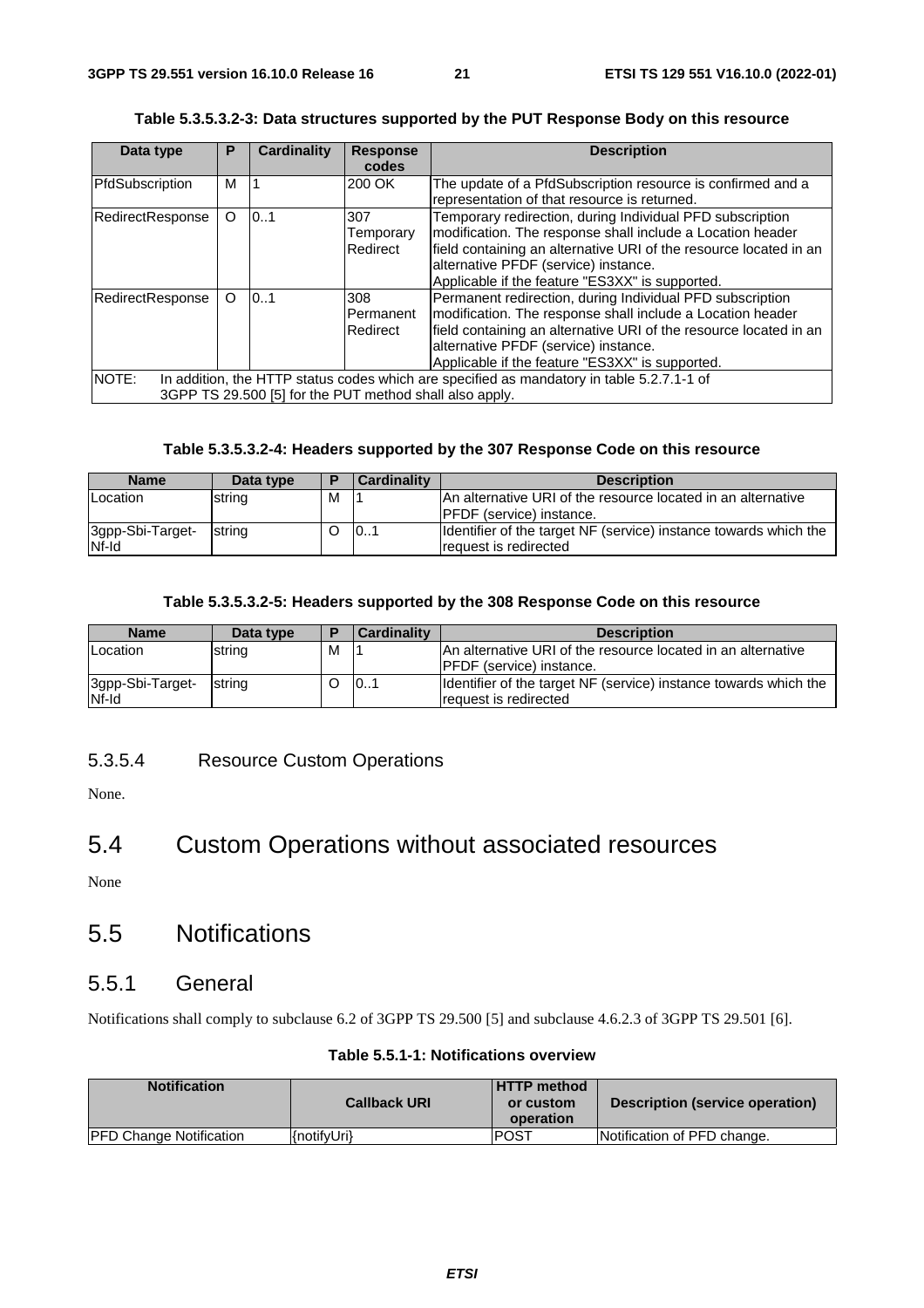|  |  |  |  | Table 5.3.5.3.2-3: Data structures supported by the PUT Response Body on this resource |
|--|--|--|--|----------------------------------------------------------------------------------------|
|--|--|--|--|----------------------------------------------------------------------------------------|

| Data type              | Р        | Cardinality                                             | <b>Response</b> | <b>Description</b>                                                                        |
|------------------------|----------|---------------------------------------------------------|-----------------|-------------------------------------------------------------------------------------------|
|                        |          |                                                         | codes           |                                                                                           |
| <b>PfdSubscription</b> | М        |                                                         | 200 OK          | The update of a PfdSubscription resource is confirmed and a                               |
|                        |          |                                                         |                 | representation of that resource is returned.                                              |
| RedirectResponse       | O        | 0.1                                                     | 307             | Temporary redirection, during Individual PFD subscription                                 |
|                        |          |                                                         | Temporary       | modification. The response shall include a Location header                                |
|                        |          |                                                         | Redirect        | field containing an alternative URI of the resource located in an                         |
|                        |          |                                                         |                 | alternative PFDF (service) instance.                                                      |
|                        |          |                                                         |                 | Applicable if the feature "ES3XX" is supported.                                           |
| RedirectResponse       | $\Omega$ | 0.1                                                     | 308             | Permanent redirection, during Individual PFD subscription                                 |
|                        |          |                                                         | Permanent       | modification. The response shall include a Location header                                |
|                        |          |                                                         | Redirect        | field containing an alternative URI of the resource located in an                         |
|                        |          |                                                         |                 | alternative PFDF (service) instance.                                                      |
|                        |          |                                                         |                 | Applicable if the feature "ES3XX" is supported.                                           |
| NOTE:                  |          |                                                         |                 | In addition, the HTTP status codes which are specified as mandatory in table 5.2.7.1-1 of |
|                        |          | 3GPP TS 29.500 [5] for the PUT method shall also apply. |                 |                                                                                           |

#### **Table 5.3.5.3.2-4: Headers supported by the 307 Response Code on this resource**

| <b>Name</b>               | Data type | E | <b>Cardinality</b> | <b>Description</b>                                                                               |
|---------------------------|-----------|---|--------------------|--------------------------------------------------------------------------------------------------|
| Location                  | string    | м |                    | An alternative URI of the resource located in an alternative<br><b>IPFDF</b> (service) instance. |
| 3gpp-Sbi-Target-<br>Nf-Id | string    |   | 101                | Identifier of the target NF (service) instance towards which the<br>request is redirected        |

#### **Table 5.3.5.3.2-5: Headers supported by the 308 Response Code on this resource**

| <b>Name</b>               | Data type | ▪ | <b>Cardinality</b> | <b>Description</b>                                                                               |
|---------------------------|-----------|---|--------------------|--------------------------------------------------------------------------------------------------|
| Location                  | string    | м |                    | An alternative URI of the resource located in an alternative<br><b>IPFDF</b> (service) instance. |
| 3gpp-Sbi-Target-<br>Nf-Id | string    |   | 101                | Identifier of the target NF (service) instance towards which the<br>request is redirected        |

### 5.3.5.4 Resource Custom Operations

None.

# 5.4 Custom Operations without associated resources

None

# 5.5 Notifications

### 5.5.1 General

Notifications shall comply to subclause 6.2 of 3GPP TS 29.500 [5] and subclause 4.6.2.3 of 3GPP TS 29.501 [6].

#### **Table 5.5.1-1: Notifications overview**

| <b>Notification</b>            | <b>Callback URI</b> | <b>HTTP</b> method<br>or custom<br>operation | Description (service operation) |
|--------------------------------|---------------------|----------------------------------------------|---------------------------------|
| <b>PFD Change Notification</b> | {notifyUri}         | IPOST                                        | Notification of PFD change.     |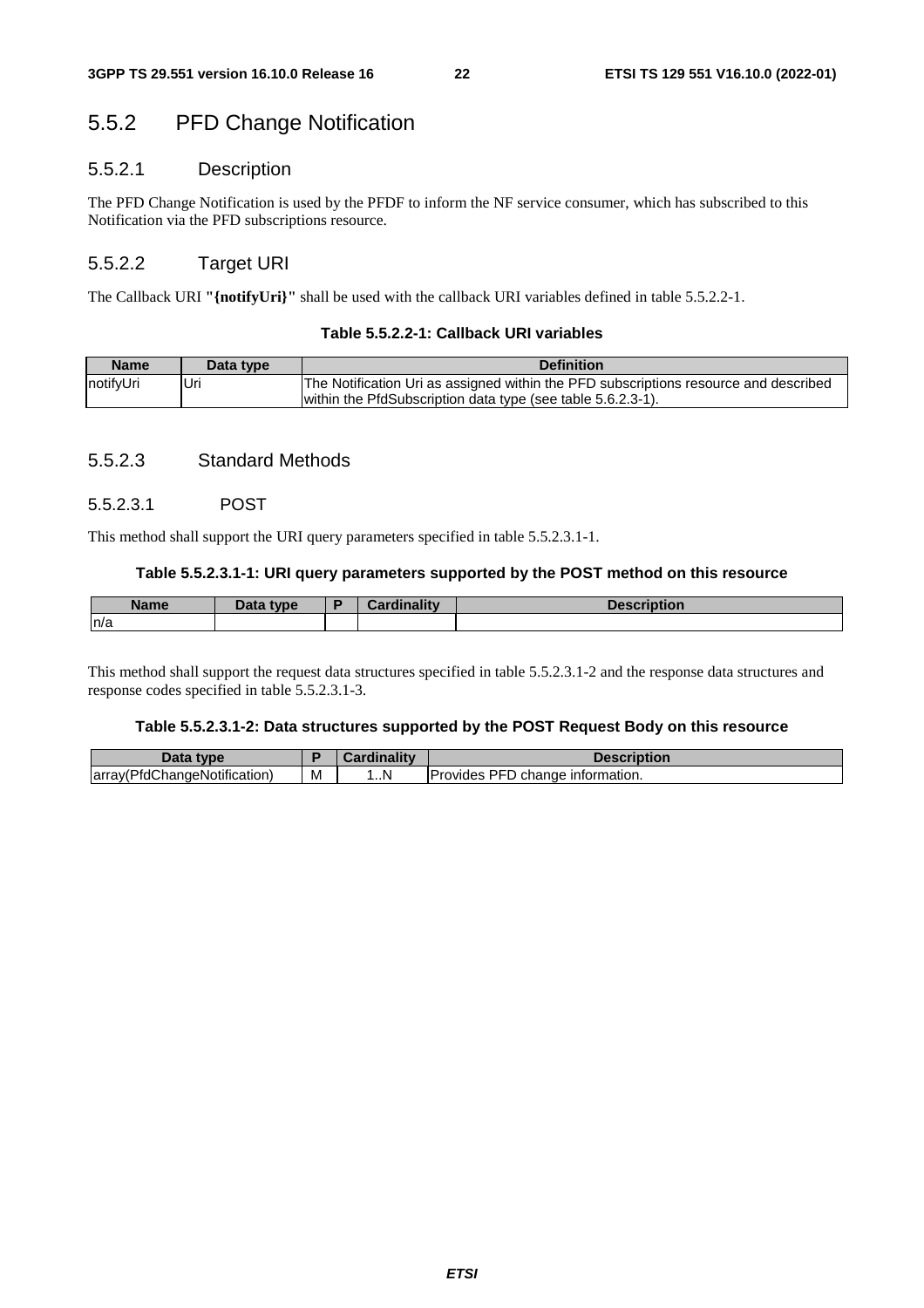# 5.5.2 PFD Change Notification

#### 5.5.2.1 Description

The PFD Change Notification is used by the PFDF to inform the NF service consumer, which has subscribed to this Notification via the PFD subscriptions resource.

#### 5.5.2.2 Target URI

The Callback URI **"{notifyUri}"** shall be used with the callback URI variables defined in table 5.5.2.2-1.

#### **Table 5.5.2.2-1: Callback URI variables**

| <b>Name</b> | Data type | Definition                                                                           |
|-------------|-----------|--------------------------------------------------------------------------------------|
| notifyUri   | Uri       | The Notification Uri as assigned within the PFD subscriptions resource and described |
|             |           | within the PfdSubscription data type (see table 5.6.2.3-1).                          |

#### 5.5.2.3 Standard Methods

#### 5.5.2.3.1 POST

This method shall support the URI query parameters specified in table 5.5.2.3.1-1.

#### **Table 5.5.2.3.1-1: URI query parameters supported by the POST method on this resource**

| Name | <b>Pata type</b> | Cardinality<br>Cardinality | <b>Description</b> |
|------|------------------|----------------------------|--------------------|
| n/a  |                  |                            |                    |

This method shall support the request data structures specified in table 5.5.2.3.1-2 and the response data structures and response codes specified in table 5.5.2.3.1-3.

#### **Table 5.5.2.3.1-2: Data structures supported by the POST Request Body on this resource**

| Data type                    |   | <br>Cardinality | <b>Description</b>                                 |
|------------------------------|---|-----------------|----------------------------------------------------|
| array(PfdChangeNotification) | M | N<br>.          | . PEF<br><b>IProvides</b><br>· change information. |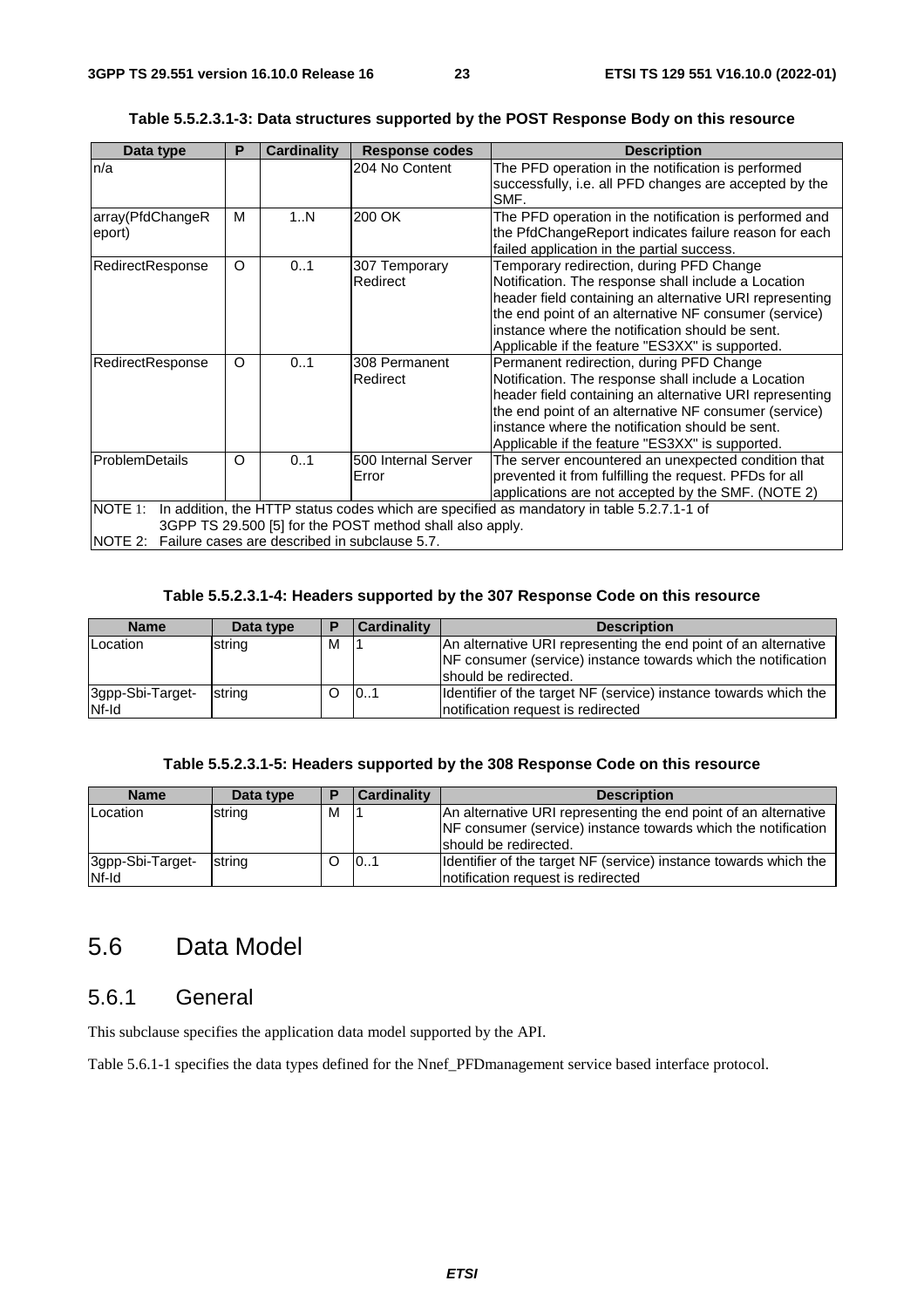| Data type                                                                                                                                                                                                                         | P        | <b>Cardinality</b> | <b>Response codes</b>        | <b>Description</b>                                                                                                                                                                                                                                                                                                        |  |
|-----------------------------------------------------------------------------------------------------------------------------------------------------------------------------------------------------------------------------------|----------|--------------------|------------------------------|---------------------------------------------------------------------------------------------------------------------------------------------------------------------------------------------------------------------------------------------------------------------------------------------------------------------------|--|
| n/a                                                                                                                                                                                                                               |          |                    | 204 No Content               | The PFD operation in the notification is performed<br>successfully, i.e. all PFD changes are accepted by the<br>SMF.                                                                                                                                                                                                      |  |
| array(PfdChangeR<br>eport)                                                                                                                                                                                                        | м        | 1N                 | 200 OK                       | The PFD operation in the notification is performed and<br>the PfdChangeReport indicates failure reason for each<br>failed application in the partial success.                                                                                                                                                             |  |
| RedirectResponse                                                                                                                                                                                                                  | O        | 01                 | 307 Temporary<br>Redirect    | Temporary redirection, during PFD Change<br>Notification. The response shall include a Location<br>header field containing an alternative URI representing<br>the end point of an alternative NF consumer (service)<br>instance where the notification should be sent.<br>Applicable if the feature "ES3XX" is supported. |  |
| RedirectResponse                                                                                                                                                                                                                  | $\Omega$ | 0.1                | 308 Permanent<br>Redirect    | Permanent redirection, during PFD Change<br>Notification. The response shall include a Location<br>header field containing an alternative URI representing<br>the end point of an alternative NF consumer (service)<br>instance where the notification should be sent.<br>Applicable if the feature "ES3XX" is supported. |  |
| <b>IProblemDetails</b>                                                                                                                                                                                                            | $\circ$  | 0.1                | 500 Internal Server<br>Error | The server encountered an unexpected condition that<br>prevented it from fulfilling the request. PFDs for all<br>applications are not accepted by the SMF. (NOTE 2)                                                                                                                                                       |  |
| <b>NOTE 1:</b><br>In addition, the HTTP status codes which are specified as mandatory in table 5.2.7.1-1 of<br>3GPP TS 29.500 [5] for the POST method shall also apply.<br>INOTE 2: Failure cases are described in subclause 5.7. |          |                    |                              |                                                                                                                                                                                                                                                                                                                           |  |

#### **Table 5.5.2.3.1-3: Data structures supported by the POST Response Body on this resource**

#### **Table 5.5.2.3.1-4: Headers supported by the 307 Response Code on this resource**

| <b>Name</b>                      | Data type | E | <b>Cardinality</b> | <b>Description</b>                                                                                                                                        |
|----------------------------------|-----------|---|--------------------|-----------------------------------------------------------------------------------------------------------------------------------------------------------|
| Location                         | string    | м |                    | An alternative URI representing the end point of an alternative<br>NF consumer (service) instance towards which the notification<br>should be redirected. |
| 3gpp-Sbi-Target-<br><b>Nf-Id</b> | string    |   | 101                | Identifier of the target NF (service) instance towards which the<br>notification request is redirected                                                    |

#### **Table 5.5.2.3.1-5: Headers supported by the 308 Response Code on this resource**

| <b>Name</b>               | Data type |   | <b>Cardinality</b> | <b>Description</b>                                                                                                                                         |
|---------------------------|-----------|---|--------------------|------------------------------------------------------------------------------------------------------------------------------------------------------------|
| Location                  | string    | м |                    | An alternative URI representing the end point of an alternative<br>NF consumer (service) instance towards which the notification<br>Ishould be redirected. |
| 3gpp-Sbi-Target-<br>Nf-Id | string    |   | 0.1                | Identifier of the target NF (service) instance towards which the<br>notification request is redirected                                                     |

# 5.6 Data Model

# 5.6.1 General

This subclause specifies the application data model supported by the API.

Table 5.6.1-1 specifies the data types defined for the Nnef\_PFDmanagement service based interface protocol.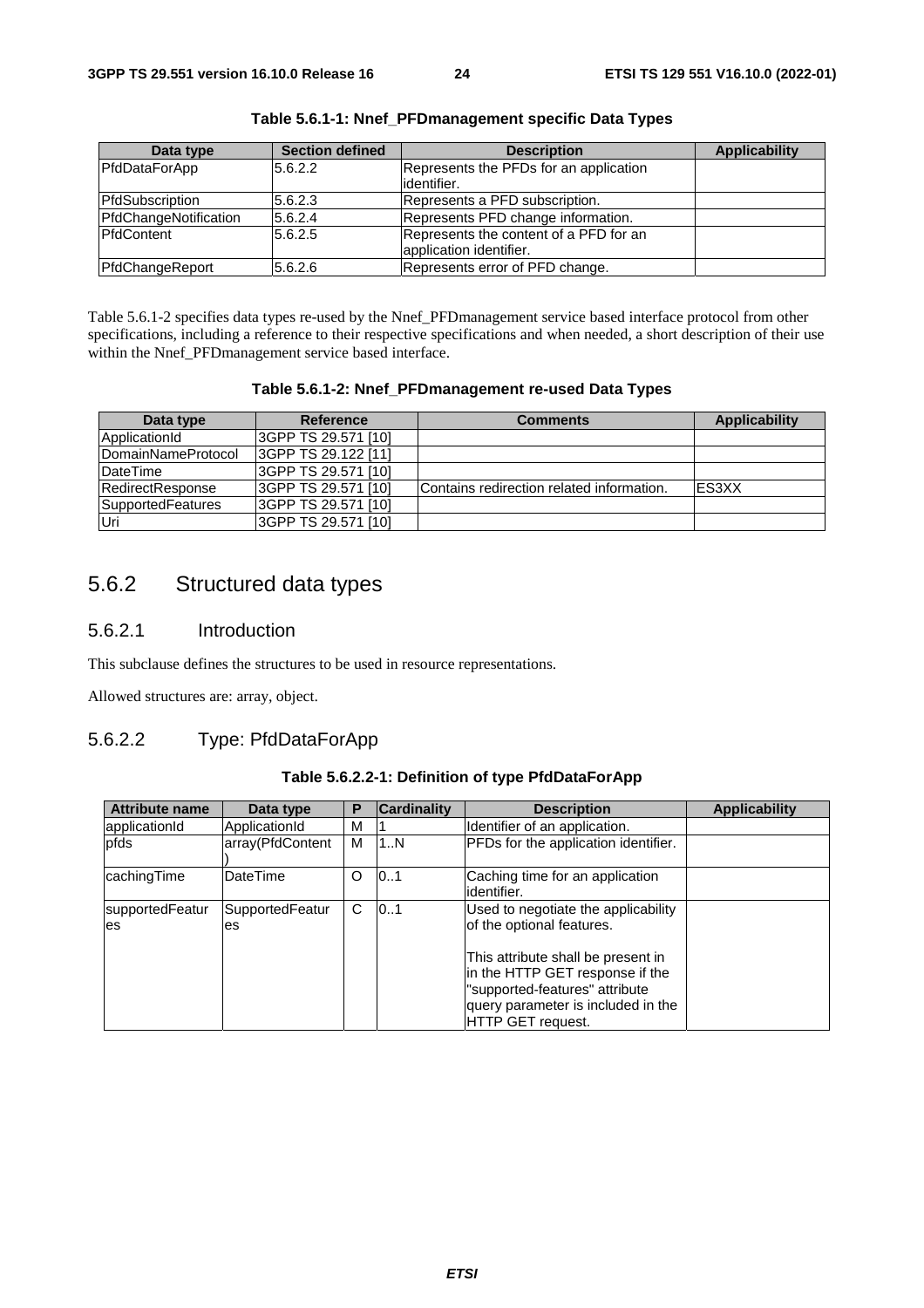| Data type             | <b>Section defined</b> | <b>Description</b>                     | <b>Applicability</b> |
|-----------------------|------------------------|----------------------------------------|----------------------|
| PfdDataForApp         | 5.6.2.2                | Represents the PFDs for an application |                      |
|                       |                        | lidentifier.                           |                      |
| PfdSubscription       | 5.6.2.3                | Represents a PFD subscription.         |                      |
| PfdChangeNotification | 5.6.2.4                | Represents PFD change information.     |                      |
| <b>IPfdContent</b>    | 5.6.2.5                | Represents the content of a PFD for an |                      |
|                       |                        | application identifier.                |                      |
| PfdChangeReport       | 5.6.2.6                | Represents error of PFD change.        |                      |

| Table 5.6.1-1: Nnef_PFDmanagement specific Data Types |  |  |  |
|-------------------------------------------------------|--|--|--|
|-------------------------------------------------------|--|--|--|

Table 5.6.1-2 specifies data types re-used by the Nnef\_PFDmanagement service based interface protocol from other specifications, including a reference to their respective specifications and when needed, a short description of their use within the Nnef\_PFDmanagement service based interface.

#### **Table 5.6.1-2: Nnef\_PFDmanagement re-used Data Types**

| Data type                 | <b>Reference</b>    | <b>Comments</b>                           | Applicability |
|---------------------------|---------------------|-------------------------------------------|---------------|
| ApplicationId             | 3GPP TS 29.571 [10] |                                           |               |
| <b>DomainNameProtocol</b> | 3GPP TS 29.122 [11] |                                           |               |
| DateTime                  | 3GPP TS 29.571 [10] |                                           |               |
| RedirectResponse          | 3GPP TS 29.571 [10] | Contains redirection related information. | <b>IES3XX</b> |
| SupportedFeatures         | 3GPP TS 29.571 [10] |                                           |               |
| Uri                       | 3GPP TS 29.571 [10] |                                           |               |

### 5.6.2 Structured data types

#### 5.6.2.1 Introduction

This subclause defines the structures to be used in resource representations.

Allowed structures are: array, object.

#### 5.6.2.2 Type: PfdDataForApp

#### **Table 5.6.2.2-1: Definition of type PfdDataForApp**

| <b>Attribute name</b> | Data type             | Ρ | <b>Cardinality</b> | <b>Description</b>                                                                                                                                                        | <b>Applicability</b> |
|-----------------------|-----------------------|---|--------------------|---------------------------------------------------------------------------------------------------------------------------------------------------------------------------|----------------------|
| applicationId         | ApplicationId         | М |                    | Identifier of an application.                                                                                                                                             |                      |
| pfds                  | array(PfdContent      | м | 1N                 | PFDs for the application identifier.                                                                                                                                      |                      |
| cachingTime           | DateTime              | O | 10.1               | Caching time for an application<br>identifier.                                                                                                                            |                      |
| supportedFeatur<br>es | SupportedFeatur<br>es | C | 101                | Used to negotiate the applicability<br>of the optional features.                                                                                                          |                      |
|                       |                       |   |                    | This attribute shall be present in<br>in the HTTP GET response if the<br>"supported-features" attribute<br>query parameter is included in the<br><b>HTTP GET request.</b> |                      |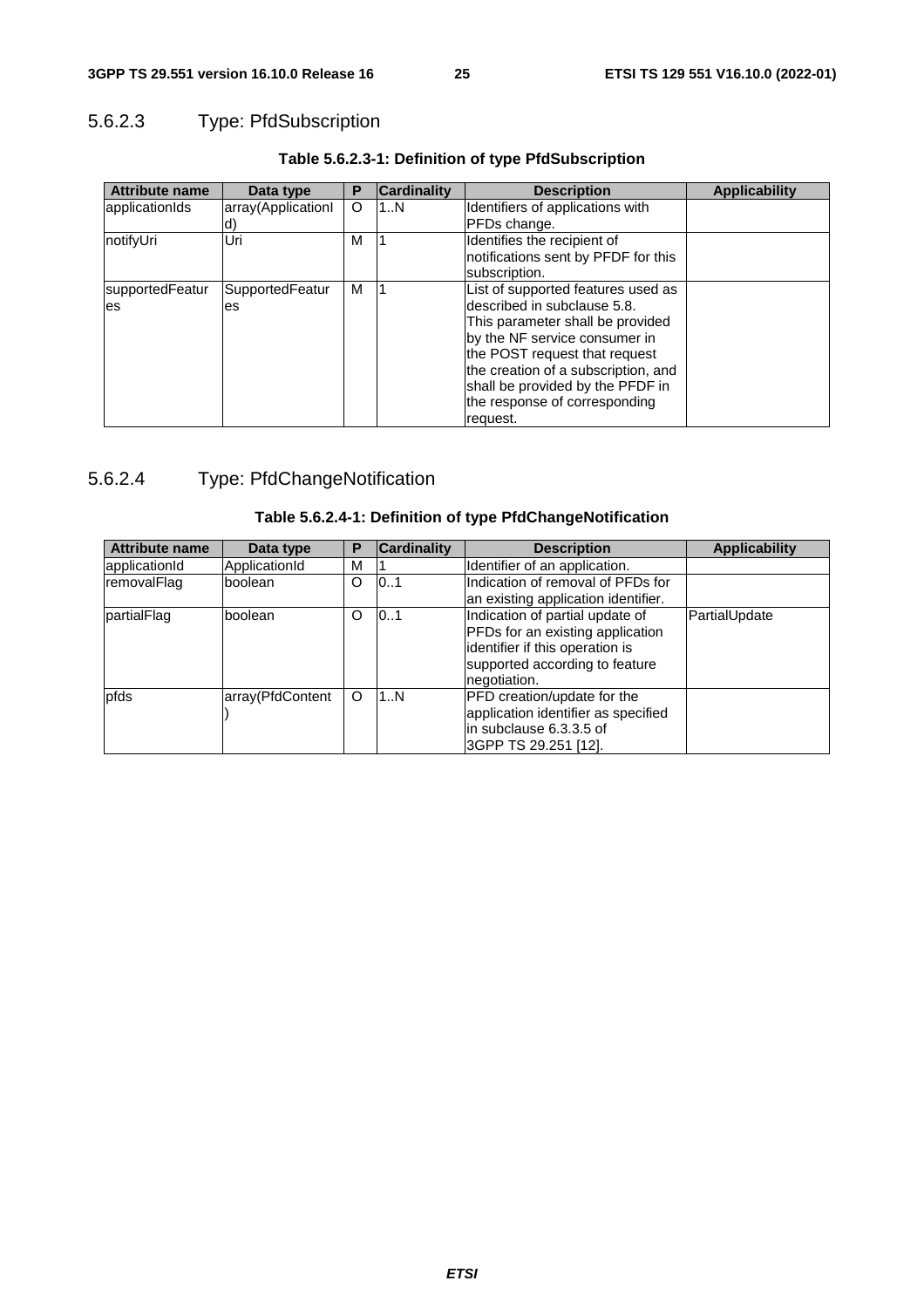## 5.6.2.3 Type: PfdSubscription

| <b>Attribute name</b> | Data type          | Р | <b>Cardinality</b> | <b>Description</b>                                                                  | Applicability |
|-----------------------|--------------------|---|--------------------|-------------------------------------------------------------------------------------|---------------|
| lapplicationIds       | array(Applicationl | O | 1N                 | Identifiers of applications with                                                    |               |
|                       |                    |   |                    | PFDs change.                                                                        |               |
| notifyUri             | Uri                | м |                    | Identifies the recipient of<br>notifications sent by PFDF for this<br>subscription. |               |
| supportedFeatur       | SupportedFeatur    | м |                    | List of supported features used as                                                  |               |
| les                   | es                 |   |                    | ldescribed in subclause 5.8.                                                        |               |
|                       |                    |   |                    | This parameter shall be provided                                                    |               |
|                       |                    |   |                    | by the NF service consumer in                                                       |               |
|                       |                    |   |                    | the POST request that request                                                       |               |
|                       |                    |   |                    | the creation of a subscription, and                                                 |               |
|                       |                    |   |                    | shall be provided by the PFDF in                                                    |               |
|                       |                    |   |                    | the response of corresponding                                                       |               |
|                       |                    |   |                    | request.                                                                            |               |

### **Table 5.6.2.3-1: Definition of type PfdSubscription**

# 5.6.2.4 Type: PfdChangeNotification

#### **Table 5.6.2.4-1: Definition of type PfdChangeNotification**

| <b>Attribute name</b> | Data type        | Ρ | <b>Cardinality</b> | <b>Description</b>                                                                                                                                       | <b>Applicability</b> |
|-----------------------|------------------|---|--------------------|----------------------------------------------------------------------------------------------------------------------------------------------------------|----------------------|
| applicationId         | ApplicationId    | М |                    | Identifier of an application.                                                                                                                            |                      |
| removalFlag           | boolean          | O | 0.1                | Indication of removal of PFDs for<br>an existing application identifier.                                                                                 |                      |
| partialFlag           | boolean          | O | 101                | Indication of partial update of<br>PFDs for an existing application<br>identifier if this operation is<br>supported according to feature<br>negotiation. | PartialUpdate        |
| pfds                  | array(PfdContent | O | 1N                 | PFD creation/update for the<br>application identifier as specified<br>in subclause 6.3.3.5 of<br>3GPP TS 29.251 [12].                                    |                      |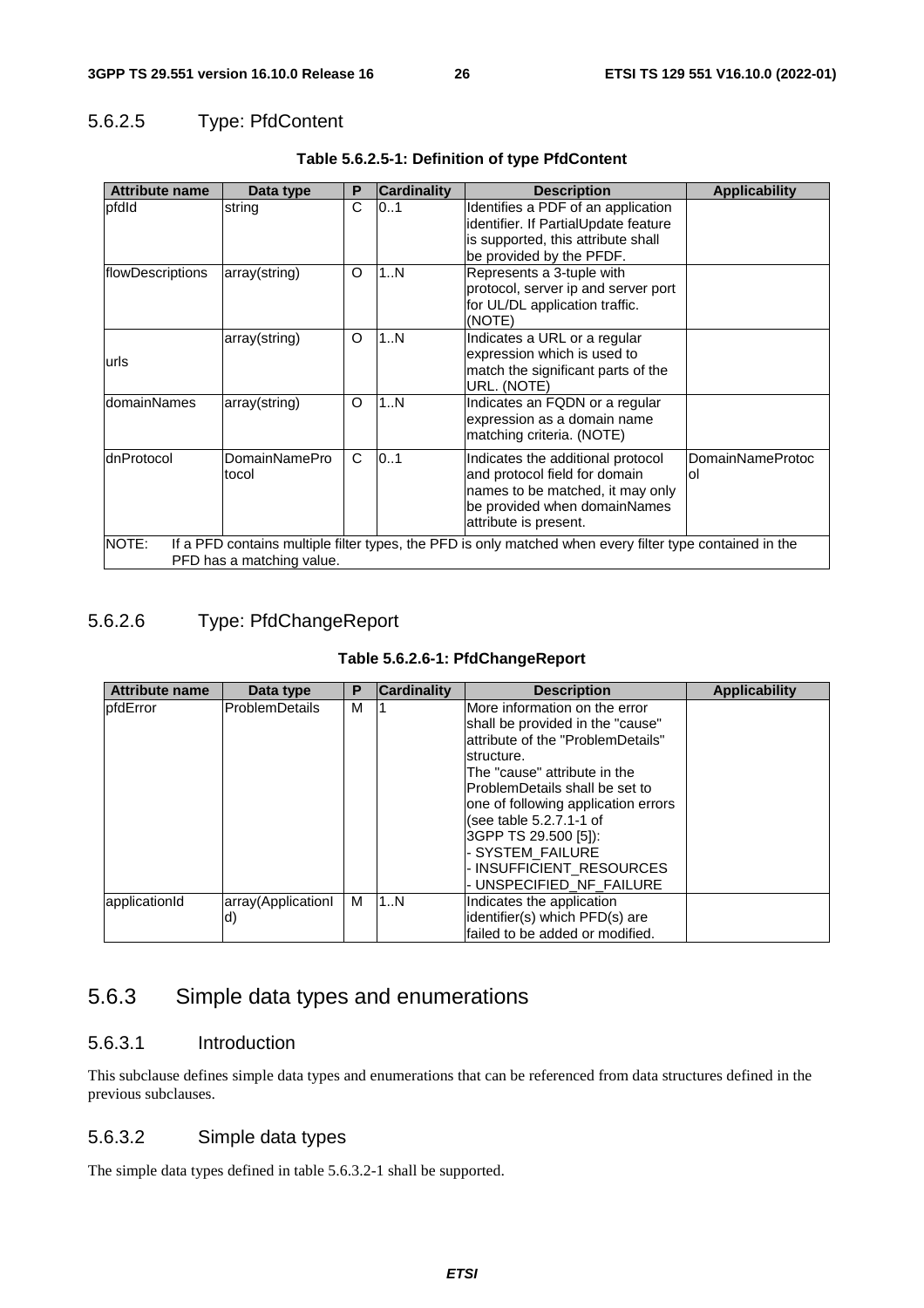### 5.6.2.5 Type: PfdContent

| <b>Attribute name</b> | Data type                                                                                                                             | P | <b>Cardinality</b> | <b>Description</b>                                                                                                                                              | <b>Applicability</b>           |  |  |
|-----------------------|---------------------------------------------------------------------------------------------------------------------------------------|---|--------------------|-----------------------------------------------------------------------------------------------------------------------------------------------------------------|--------------------------------|--|--|
| pfdld                 | string                                                                                                                                | C | 01                 | Identifies a PDF of an application<br>identifier. If PartialUpdate feature<br>is supported, this attribute shall<br>be provided by the PFDF.                    |                                |  |  |
| flowDescriptions      | array(string)                                                                                                                         | O | 1N                 | Represents a 3-tuple with<br>protocol, server ip and server port<br>for UL/DL application traffic.<br>(NOTE)                                                    |                                |  |  |
| lurls                 | array(string)                                                                                                                         | O | 1N                 | Indicates a URL or a regular<br>expression which is used to<br>match the significant parts of the<br>URL. (NOTE)                                                |                                |  |  |
| domainNames           | array(string)                                                                                                                         | O | 1N                 | Indicates an FQDN or a regular<br>expression as a domain name<br>matching criteria. (NOTE)                                                                      |                                |  |  |
| dnProtocol            | DomainNamePro<br>tocol                                                                                                                | C | 0.1                | Indicates the additional protocol<br>and protocol field for domain<br>names to be matched, it may only<br>be provided when domainNames<br>attribute is present. | <b>DomainNameProtoc</b><br>lol |  |  |
| NOTE:                 | If a PFD contains multiple filter types, the PFD is only matched when every filter type contained in the<br>PFD has a matching value. |   |                    |                                                                                                                                                                 |                                |  |  |

#### **Table 5.6.2.5-1: Definition of type PfdContent**

### 5.6.2.6 Type: PfdChangeReport

| <b>Attribute name</b> | Data type                | Р | <b>Cardinality</b> | <b>Description</b>                                                                                                                                                                                                                                                                                                                                              | Applicability |
|-----------------------|--------------------------|---|--------------------|-----------------------------------------------------------------------------------------------------------------------------------------------------------------------------------------------------------------------------------------------------------------------------------------------------------------------------------------------------------------|---------------|
| <b>I</b> pfdError     | <b>ProblemDetails</b>    | М |                    | More information on the error<br>shall be provided in the "cause"<br>lattribute of the "ProblemDetails"<br>lstructure.<br>The "cause" attribute in the<br>lProblemDetails shall be set to<br>one of following application errors<br>(see table 5.2.7.1-1 of<br>3GPP TS 29.500 [5]):<br>- SYSTEM FAILURE<br>- INSUFFICIENT RESOURCES<br>- UNSPECIFIED NF FAILURE |               |
| applicationId         | array(Applicationl<br>d) | м | 1N                 | Indicates the application<br>identifier(s) which PFD(s) are<br>failed to be added or modified.                                                                                                                                                                                                                                                                  |               |

# 5.6.3 Simple data types and enumerations

#### 5.6.3.1 Introduction

This subclause defines simple data types and enumerations that can be referenced from data structures defined in the previous subclauses.

#### 5.6.3.2 Simple data types

The simple data types defined in table 5.6.3.2-1 shall be supported.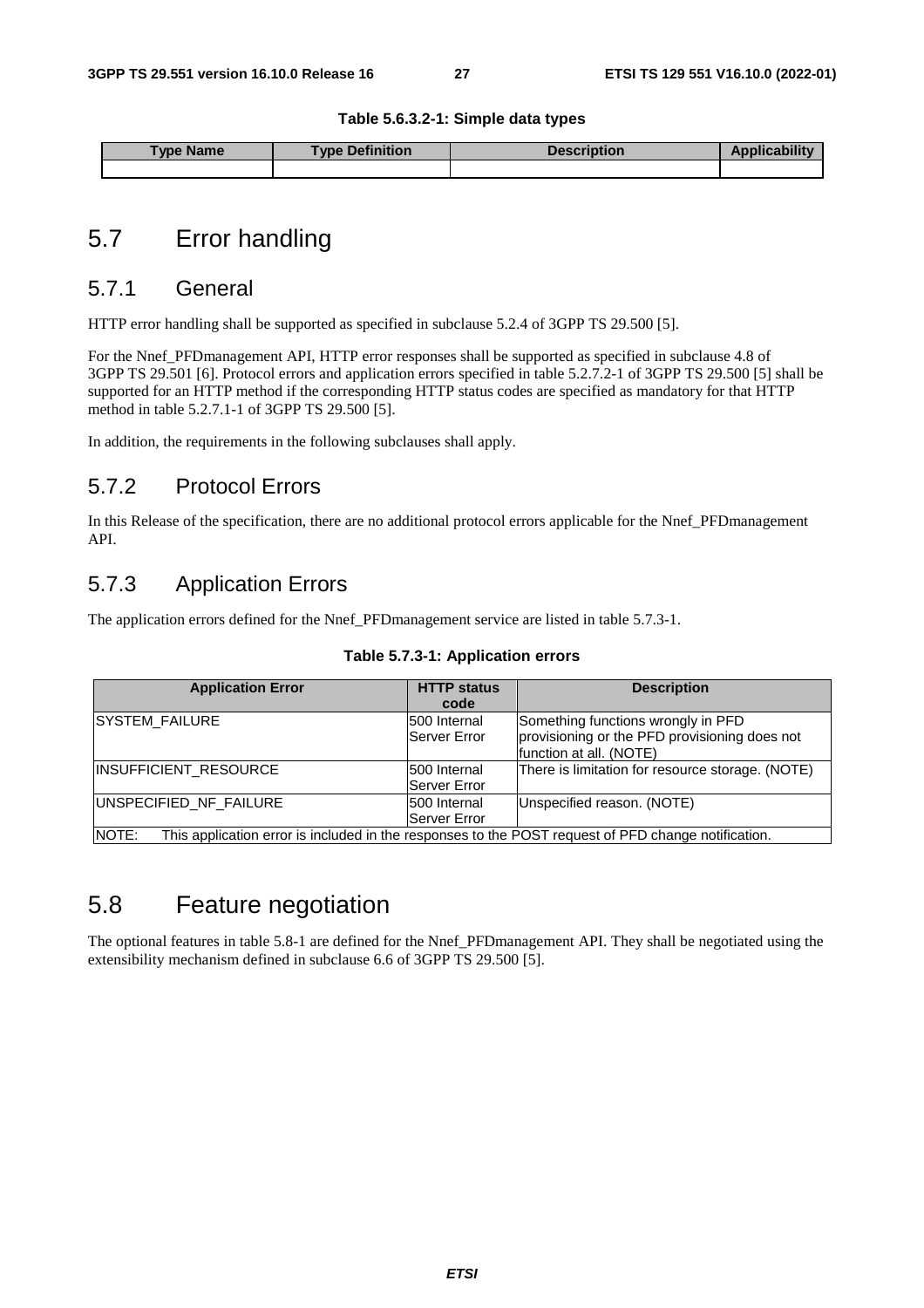#### **Table 5.6.3.2-1: Simple data types**

| <b>Type Name</b> | <b>Type Definition</b> | <b>Description</b> | Applicability |
|------------------|------------------------|--------------------|---------------|
|                  |                        |                    |               |

# 5.7 Error handling

# 5.7.1 General

HTTP error handling shall be supported as specified in subclause 5.2.4 of 3GPP TS 29.500 [5].

For the Nnef\_PFDmanagement API, HTTP error responses shall be supported as specified in subclause 4.8 of 3GPP TS 29.501 [6]. Protocol errors and application errors specified in table 5.2.7.2-1 of 3GPP TS 29.500 [5] shall be supported for an HTTP method if the corresponding HTTP status codes are specified as mandatory for that HTTP method in table 5.2.7.1-1 of 3GPP TS 29.500 [5].

In addition, the requirements in the following subclauses shall apply.

# 5.7.2 Protocol Errors

In this Release of the specification, there are no additional protocol errors applicable for the Nnef\_PFDmanagement API.

# 5.7.3 Application Errors

The application errors defined for the Nnef PFDmanagement service are listed in table 5.7.3-1.

| <b>Application Error</b>                                                                                     | <b>HTTP status</b><br>code | <b>Description</b>                                                       |  |  |
|--------------------------------------------------------------------------------------------------------------|----------------------------|--------------------------------------------------------------------------|--|--|
| SYSTEM_FAILURE                                                                                               | 500 Internal               | Something functions wrongly in PFD                                       |  |  |
|                                                                                                              | <b>Server Error</b>        | provisioning or the PFD provisioning does not<br>function at all. (NOTE) |  |  |
| INSUFFICIENT_RESOURCE                                                                                        | 500 Internal               | There is limitation for resource storage. (NOTE)                         |  |  |
|                                                                                                              | Server Error               |                                                                          |  |  |
| UNSPECIFIED NF FAILURE                                                                                       | 500 Internal               | Unspecified reason. (NOTE)                                               |  |  |
|                                                                                                              | <b>Server Error</b>        |                                                                          |  |  |
| NOTE:<br>This application error is included in the responses to the POST request of PFD change notification. |                            |                                                                          |  |  |

#### **Table 5.7.3-1: Application errors**

# 5.8 Feature negotiation

The optional features in table 5.8-1 are defined for the Nnef\_PFDmanagement API. They shall be negotiated using the extensibility mechanism defined in subclause 6.6 of 3GPP TS 29.500 [5].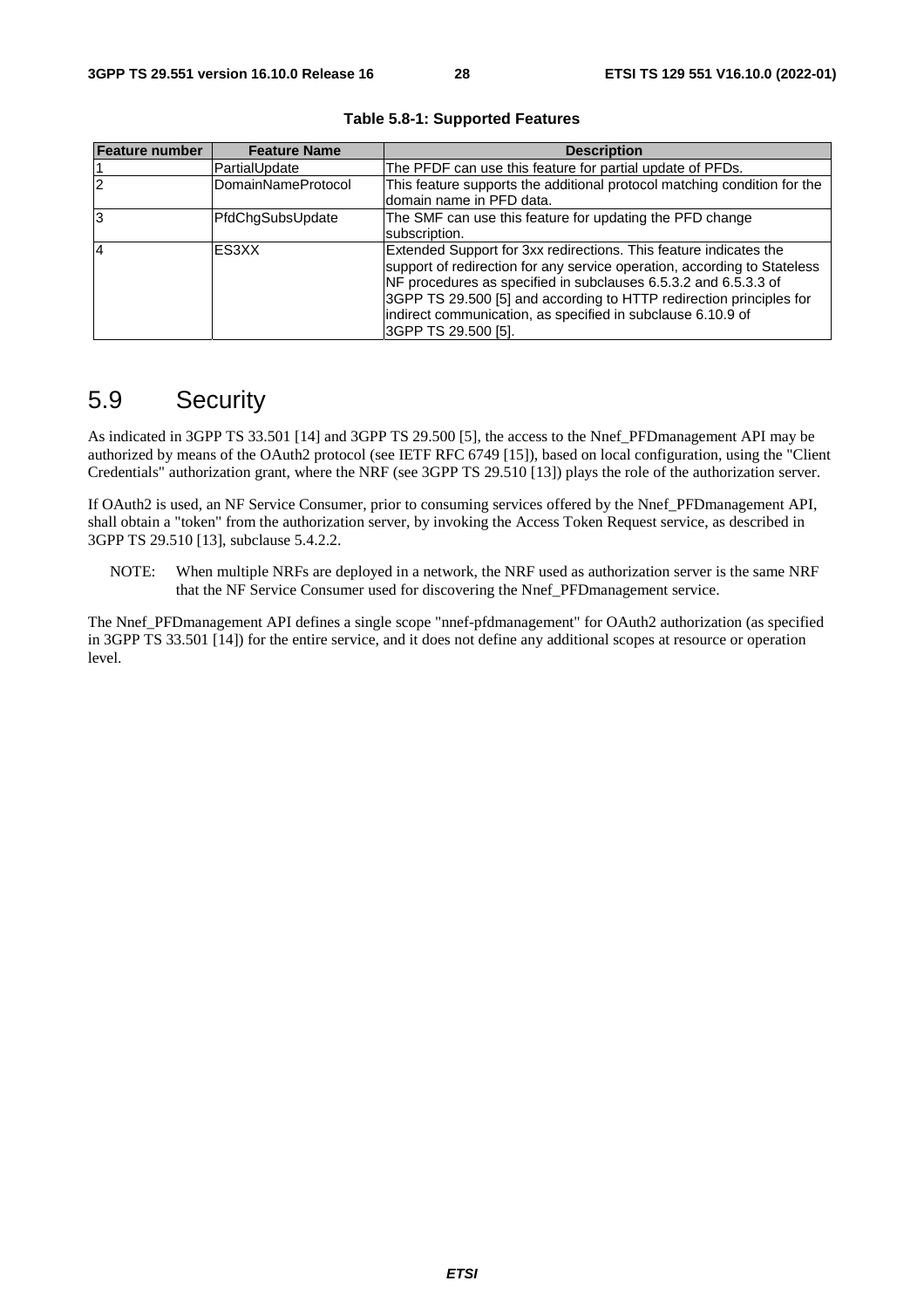| Feature number | <b>Feature Name</b>       | <b>Description</b>                                                                                                                                                                                                                                                                                                                                                            |
|----------------|---------------------------|-------------------------------------------------------------------------------------------------------------------------------------------------------------------------------------------------------------------------------------------------------------------------------------------------------------------------------------------------------------------------------|
|                | PartialUpdate             | The PFDF can use this feature for partial update of PFDs.                                                                                                                                                                                                                                                                                                                     |
| 2              | <b>DomainNameProtocol</b> | This feature supports the additional protocol matching condition for the<br>domain name in PFD data.                                                                                                                                                                                                                                                                          |
|                | <b>PfdChgSubsUpdate</b>   | The SMF can use this feature for updating the PFD change<br>subscription.                                                                                                                                                                                                                                                                                                     |
| 14             | <b>ES3XX</b>              | Extended Support for 3xx redirections. This feature indicates the<br>support of redirection for any service operation, according to Stateless<br>NF procedures as specified in subclauses 6.5.3.2 and 6.5.3.3 of<br>3GPP TS 29.500 [5] and according to HTTP redirection principles for<br>indirect communication, as specified in subclause 6.10.9 of<br>3GPP TS 29.500 [5]. |

**Table 5.8-1: Supported Features** 

# 5.9 Security

As indicated in 3GPP TS 33.501 [14] and 3GPP TS 29.500 [5], the access to the Nnef\_PFDmanagement API may be authorized by means of the OAuth2 protocol (see IETF RFC 6749 [15]), based on local configuration, using the "Client Credentials" authorization grant, where the NRF (see 3GPP TS 29.510 [13]) plays the role of the authorization server.

If OAuth2 is used, an NF Service Consumer, prior to consuming services offered by the Nnef\_PFDmanagement API, shall obtain a "token" from the authorization server, by invoking the Access Token Request service, as described in 3GPP TS 29.510 [13], subclause 5.4.2.2.

NOTE: When multiple NRFs are deployed in a network, the NRF used as authorization server is the same NRF that the NF Service Consumer used for discovering the Nnef\_PFDmanagement service.

The Nnef\_PFDmanagement API defines a single scope "nnef-pfdmanagement" for OAuth2 authorization (as specified in 3GPP TS 33.501 [14]) for the entire service, and it does not define any additional scopes at resource or operation level.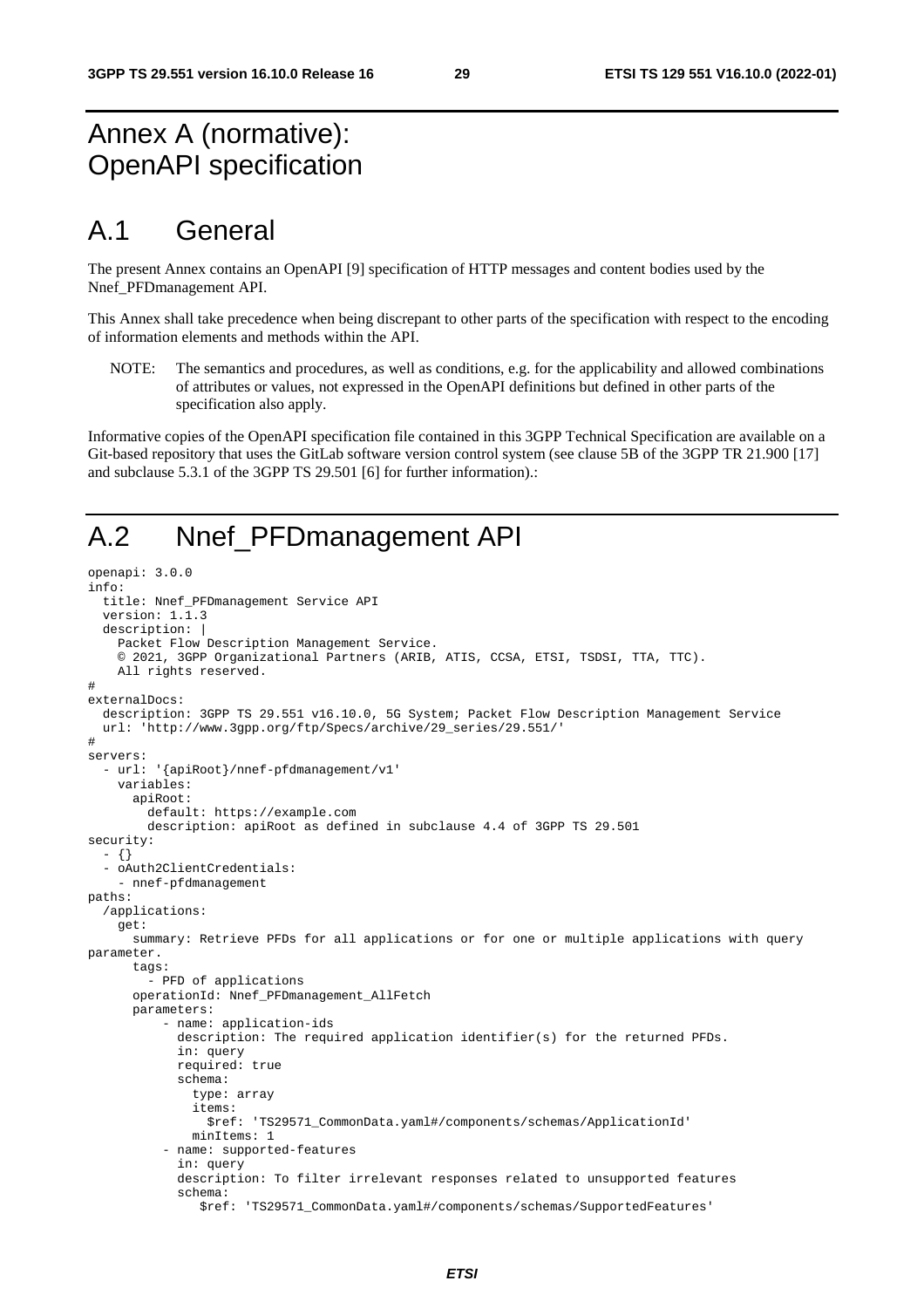# Annex A (normative): OpenAPI specification

# A.1 General

The present Annex contains an OpenAPI [9] specification of HTTP messages and content bodies used by the Nnef\_PFDmanagement API.

This Annex shall take precedence when being discrepant to other parts of the specification with respect to the encoding of information elements and methods within the API.

NOTE: The semantics and procedures, as well as conditions, e.g. for the applicability and allowed combinations of attributes or values, not expressed in the OpenAPI definitions but defined in other parts of the specification also apply.

Informative copies of the OpenAPI specification file contained in this 3GPP Technical Specification are available on a Git-based repository that uses the GitLab software version control system (see clause 5B of the 3GPP TR 21.900 [17] and subclause 5.3.1 of the 3GPP TS 29.501 [6] for further information).:

# A.2 Nnef\_PFDmanagement API

```
openapi: 3.0.0 
info: 
   title: Nnef_PFDmanagement Service API 
   version: 1.1.3 
  description:
     Packet Flow Description Management Service. 
     © 2021, 3GPP Organizational Partners (ARIB, ATIS, CCSA, ETSI, TSDSI, TTA, TTC). 
     All rights reserved. 
# 
externalDocs: 
   description: 3GPP TS 29.551 v16.10.0, 5G System; Packet Flow Description Management Service 
   url: 'http://www.3gpp.org/ftp/Specs/archive/29_series/29.551/' 
# 
servers: 
   - url: '{apiRoot}/nnef-pfdmanagement/v1' 
     variables: 
       apiRoot: 
         default: https://example.com 
         description: apiRoot as defined in subclause 4.4 of 3GPP TS 29.501 
security: 
   - {} 
   - oAuth2ClientCredentials: 
     - nnef-pfdmanagement 
paths: 
   /applications: 
     get: 
       summary: Retrieve PFDs for all applications or for one or multiple applications with query 
parameter. 
       tags: 
         - PFD of applications 
       operationId: Nnef_PFDmanagement_AllFetch 
       parameters: 
            - name: application-ids 
              description: The required application identifier(s) for the returned PFDs. 
              in: query 
              required: true 
              schema: 
                type: array 
                items: 
                  $ref: 'TS29571_CommonData.yaml#/components/schemas/ApplicationId' 
                minItems: 1 
            - name: supported-features 
              in: query 
              description: To filter irrelevant responses related to unsupported features 
              schema: 
                 $ref: 'TS29571_CommonData.yaml#/components/schemas/SupportedFeatures'
```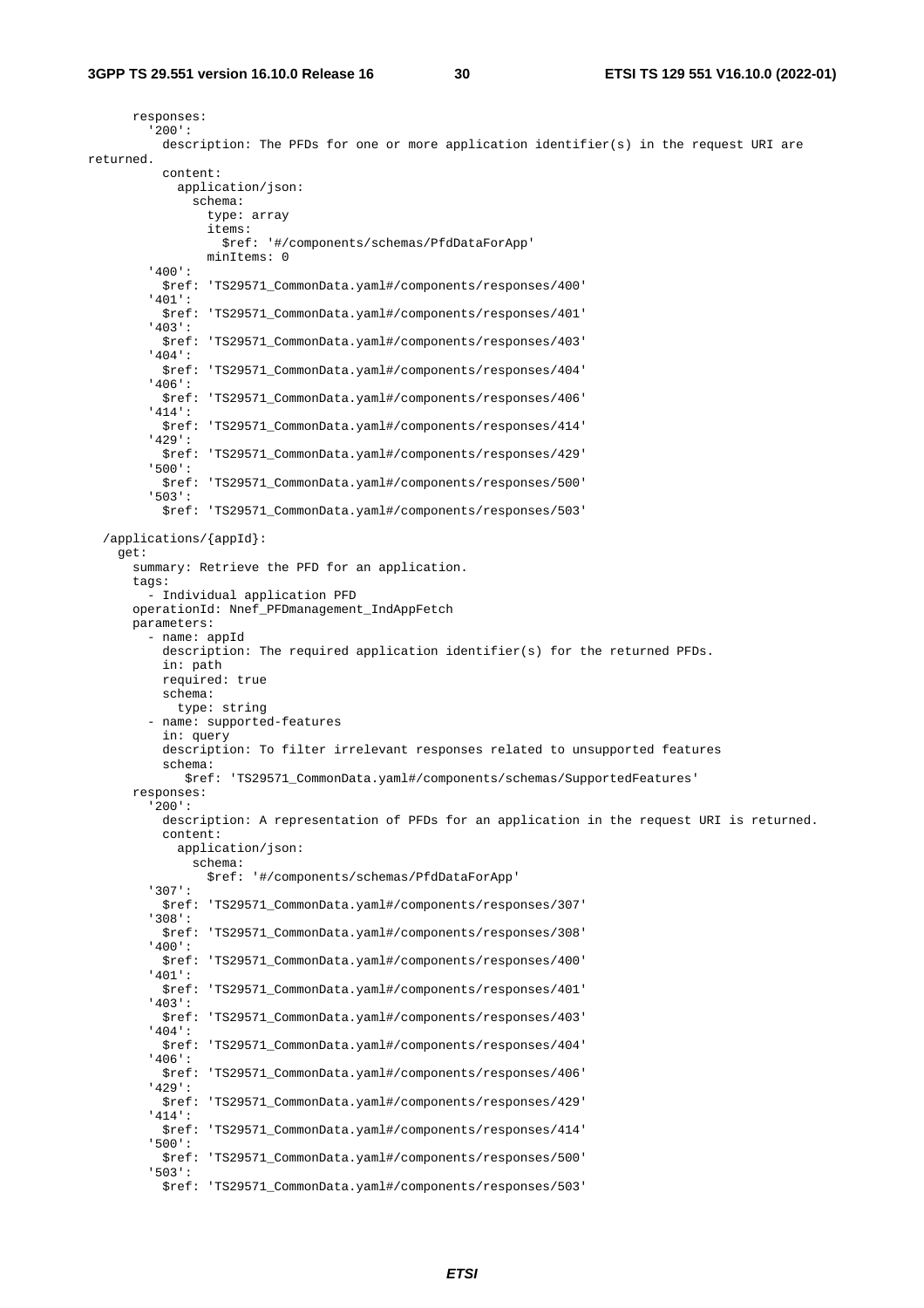responses: '200': description: The PFDs for one or more application identifier(s) in the request URI are returned. content: application/json: schema: type: array items: \$ref: '#/components/schemas/PfdDataForApp' minItems: 0 '400': \$ref: 'TS29571\_CommonData.yaml#/components/responses/400' '401': \$ref: 'TS29571\_CommonData.yaml#/components/responses/401' '403': \$ref: 'TS29571\_CommonData.yaml#/components/responses/403' '404': \$ref: 'TS29571\_CommonData.yaml#/components/responses/404' '406': \$ref: 'TS29571\_CommonData.yaml#/components/responses/406' '414': \$ref: 'TS29571\_CommonData.yaml#/components/responses/414' '429': \$ref: 'TS29571\_CommonData.yaml#/components/responses/429' '500': \$ref: 'TS29571\_CommonData.yaml#/components/responses/500' '503': \$ref: 'TS29571\_CommonData.yaml#/components/responses/503' /applications/{appId}: get: summary: Retrieve the PFD for an application. tags: - Individual application PFD operationId: Nnef\_PFDmanagement\_IndAppFetch parameters: - name: appId description: The required application identifier(s) for the returned PFDs. in: path required: true schema: type: string - name: supported-features in: query description: To filter irrelevant responses related to unsupported features schema: \$ref: 'TS29571\_CommonData.yaml#/components/schemas/SupportedFeatures' responses: '200': description: A representation of PFDs for an application in the request URI is returned. content: application/json: schema: \$ref: '#/components/schemas/PfdDataForApp' '307': \$ref: 'TS29571\_CommonData.yaml#/components/responses/307' '308': \$ref: 'TS29571\_CommonData.yaml#/components/responses/308' '400': \$ref: 'TS29571\_CommonData.yaml#/components/responses/400' '401': \$ref: 'TS29571\_CommonData.yaml#/components/responses/401' '403': \$ref: 'TS29571\_CommonData.yaml#/components/responses/403' '404': \$ref: 'TS29571\_CommonData.yaml#/components/responses/404' '406': \$ref: 'TS29571\_CommonData.yaml#/components/responses/406' '429': \$ref: 'TS29571\_CommonData.yaml#/components/responses/429' '414': \$ref: 'TS29571\_CommonData.yaml#/components/responses/414' '500': \$ref: 'TS29571\_CommonData.yaml#/components/responses/500' '503': \$ref: 'TS29571\_CommonData.yaml#/components/responses/503'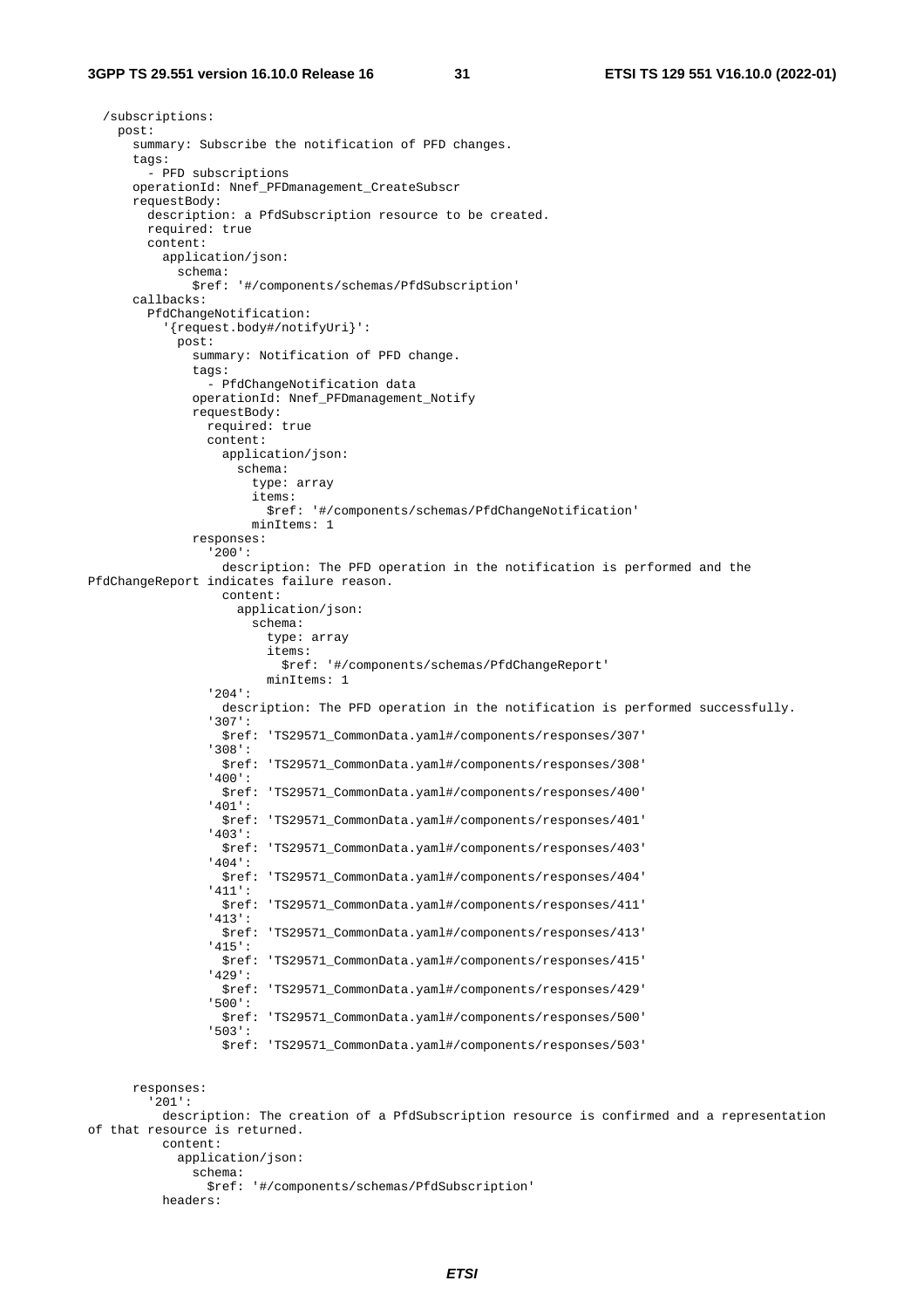```
 /subscriptions: 
     post: 
       summary: Subscribe the notification of PFD changes. 
       tags: 
          - PFD subscriptions 
       operationId: Nnef_PFDmanagement_CreateSubscr 
       requestBody: 
        description: a PfdSubscription resource to be created.
         required: true 
         content: 
           application/json: 
              schema: 
                $ref: '#/components/schemas/PfdSubscription' 
       callbacks: 
         PfdChangeNotification: 
            '{request.body#/notifyUri}': 
              post: 
                summary: Notification of PFD change. 
                tags: 
                  - PfdChangeNotification data 
                operationId: Nnef_PFDmanagement_Notify 
                requestBody: 
                  required: true 
                  content: 
                    application/json: 
                      schema: 
                         type: array 
                         items: 
                           $ref: '#/components/schemas/PfdChangeNotification' 
                         minItems: 1 
                responses: 
                   '200': 
                    description: The PFD operation in the notification is performed and the 
PfdChangeReport indicates failure reason. 
                    content: 
                      application/json: 
                         schema: 
                           type: array 
                           items: 
                             $ref: '#/components/schemas/PfdChangeReport' 
                           minItems: 1 
                  '204': 
                    description: The PFD operation in the notification is performed successfully. 
                  '307': 
                    $ref: 'TS29571_CommonData.yaml#/components/responses/307' 
                  '308': 
                    $ref: 'TS29571_CommonData.yaml#/components/responses/308' 
                  '400': 
                    $ref: 'TS29571_CommonData.yaml#/components/responses/400' 
                  '401': 
                    $ref: 'TS29571_CommonData.yaml#/components/responses/401' 
                   '403': 
                    $ref: 'TS29571_CommonData.yaml#/components/responses/403' 
                  '404': 
                    $ref: 'TS29571_CommonData.yaml#/components/responses/404' 
                  '411': 
                    $ref: 'TS29571_CommonData.yaml#/components/responses/411' 
                   '413': 
                    $ref: 'TS29571_CommonData.yaml#/components/responses/413' 
                   '415': 
                    $ref: 'TS29571_CommonData.yaml#/components/responses/415' 
                   '429': 
                    $ref: 'TS29571_CommonData.yaml#/components/responses/429' 
                   '500': 
                    $ref: 'TS29571_CommonData.yaml#/components/responses/500' 
                  '503': 
                    $ref: 'TS29571_CommonData.yaml#/components/responses/503' 
       responses: 
          '201': 
           description: The creation of a PfdSubscription resource is confirmed and a representation 
of that resource is returned. 
           content: 
              application/json: 
                schema: 
                  $ref: '#/components/schemas/PfdSubscription' 
           headers:
```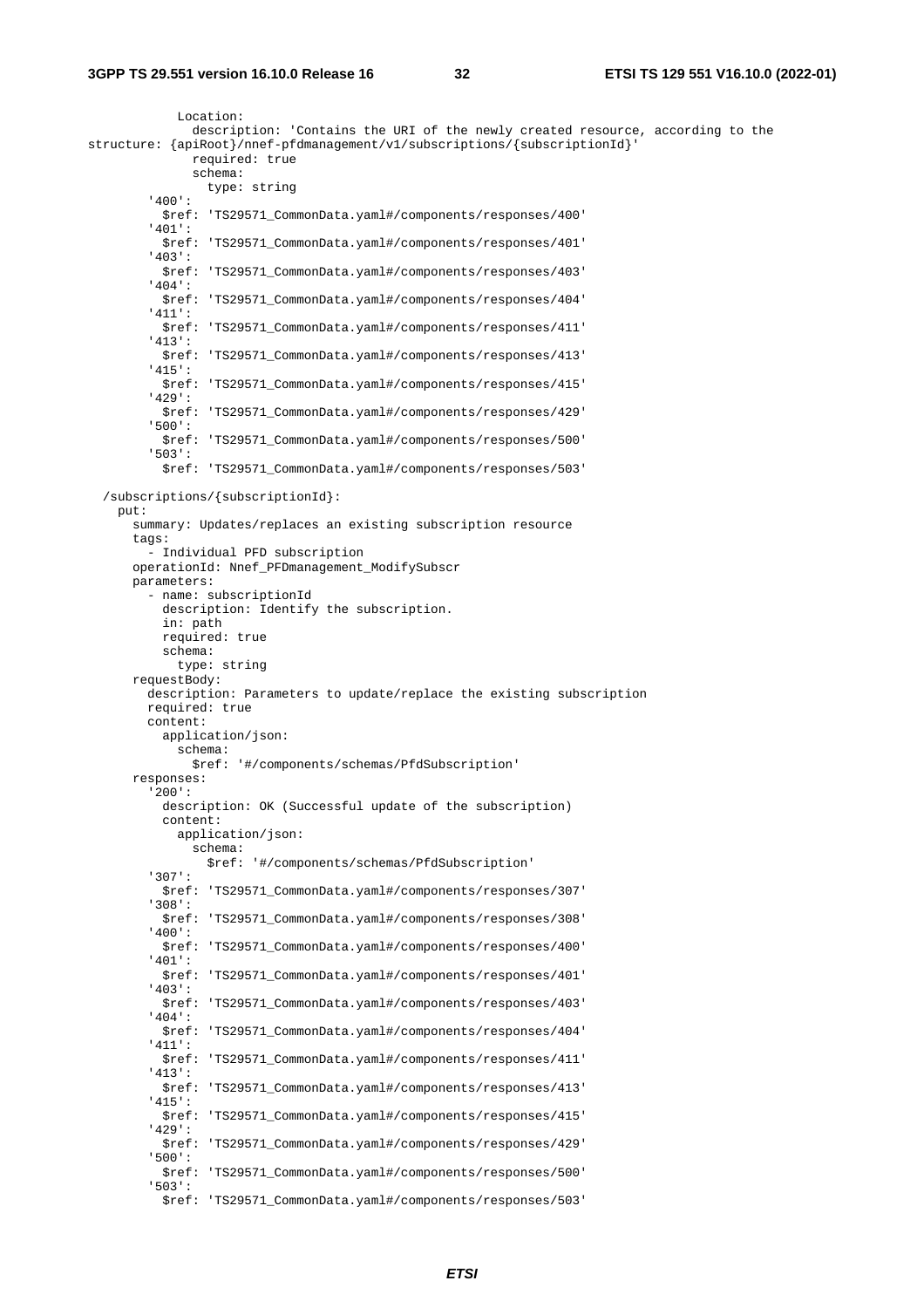Location: description: 'Contains the URI of the newly created resource, according to the structure: {apiRoot}/nnef-pfdmanagement/v1/subscriptions/{subscriptionId}' required: true schema: type: string '400': \$ref: 'TS29571\_CommonData.yaml#/components/responses/400' '401': \$ref: 'TS29571\_CommonData.yaml#/components/responses/401' '403': \$ref: 'TS29571\_CommonData.yaml#/components/responses/403' '404': \$ref: 'TS29571\_CommonData.yaml#/components/responses/404' '411': \$ref: 'TS29571\_CommonData.yaml#/components/responses/411' '413': \$ref: 'TS29571\_CommonData.yaml#/components/responses/413' '415': \$ref: 'TS29571\_CommonData.yaml#/components/responses/415' '429': \$ref: 'TS29571\_CommonData.yaml#/components/responses/429' '500': \$ref: 'TS29571\_CommonData.yaml#/components/responses/500' '503': \$ref: 'TS29571\_CommonData.yaml#/components/responses/503' /subscriptions/{subscriptionId}: put: summary: Updates/replaces an existing subscription resource tags: - Individual PFD subscription operationId: Nnef\_PFDmanagement\_ModifySubscr parameters: - name: subscriptionId description: Identify the subscription. in: path required: true schema: type: string requestBody: description: Parameters to update/replace the existing subscription required: true content: application/json: schema: \$ref: '#/components/schemas/PfdSubscription' responses: '200': description: OK (Successful update of the subscription) content: application/json: schema: \$ref: '#/components/schemas/PfdSubscription' '307': \$ref: 'TS29571\_CommonData.yaml#/components/responses/307' '308': \$ref: 'TS29571\_CommonData.yaml#/components/responses/308' '400': \$ref: 'TS29571\_CommonData.yaml#/components/responses/400' '401': \$ref: 'TS29571\_CommonData.yaml#/components/responses/401' '403': \$ref: 'TS29571\_CommonData.yaml#/components/responses/403' '404': \$ref: 'TS29571\_CommonData.yaml#/components/responses/404' '411': \$ref: 'TS29571\_CommonData.yaml#/components/responses/411' '413': \$ref: 'TS29571\_CommonData.yaml#/components/responses/413' '415': \$ref: 'TS29571\_CommonData.yaml#/components/responses/415' '429': \$ref: 'TS29571\_CommonData.yaml#/components/responses/429' '500': \$ref: 'TS29571\_CommonData.yaml#/components/responses/500' '503': \$ref: 'TS29571\_CommonData.yaml#/components/responses/503'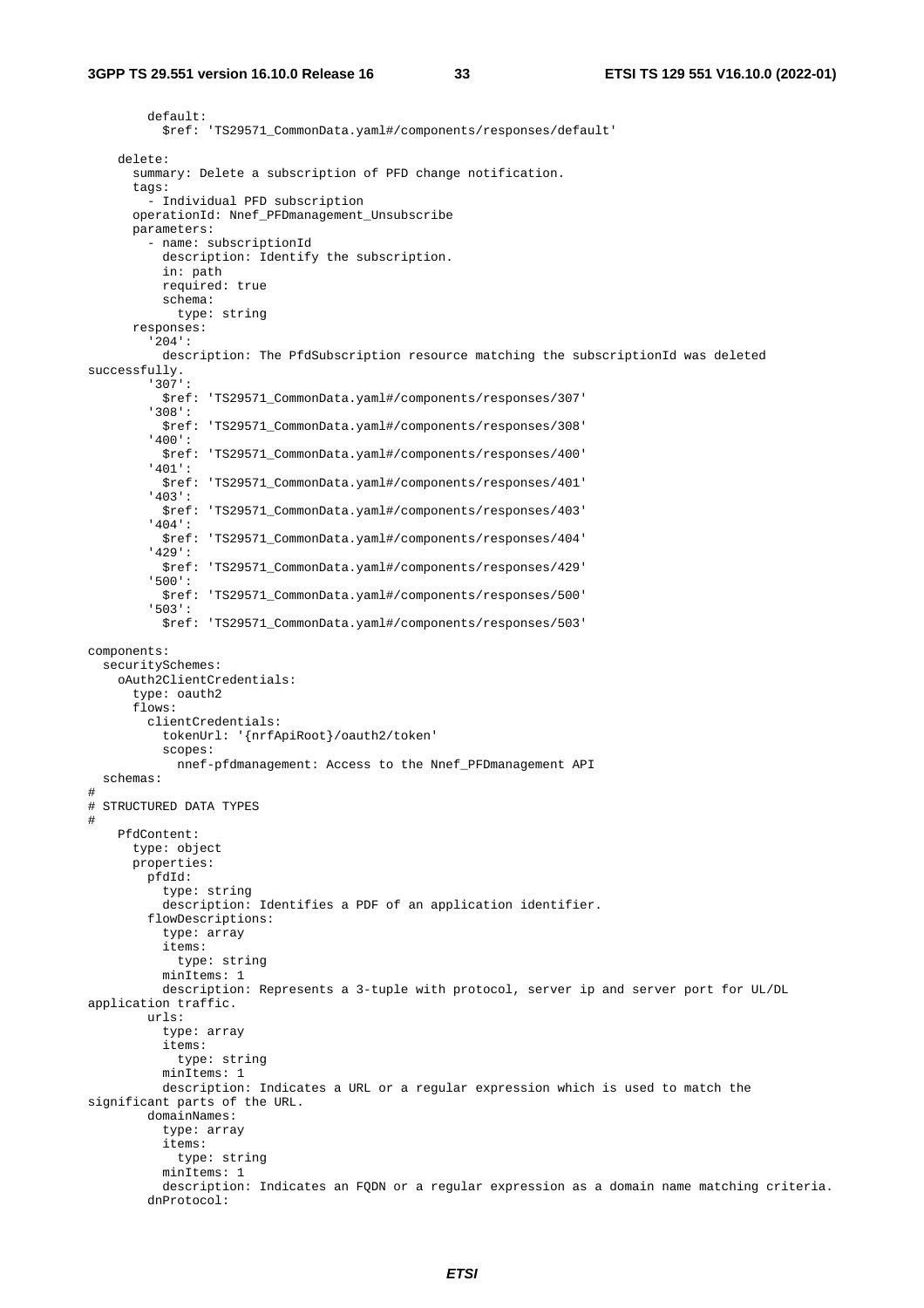#### **3GPP TS 29.551 version 16.10.0 Release 16 33 ETSI TS 129 551 V16.10.0 (2022-01)**

dnProtocol:

 default: \$ref: 'TS29571\_CommonData.yaml#/components/responses/default' delete: summary: Delete a subscription of PFD change notification. tags: - Individual PFD subscription operationId: Nnef\_PFDmanagement\_Unsubscribe parameters: - name: subscriptionId description: Identify the subscription. in: path required: true schema: type: string responses: '204': description: The PfdSubscription resource matching the subscriptionId was deleted successfully. '307': \$ref: 'TS29571\_CommonData.yaml#/components/responses/307' '308': \$ref: 'TS29571\_CommonData.yaml#/components/responses/308' '400': \$ref: 'TS29571\_CommonData.yaml#/components/responses/400' '401': \$ref: 'TS29571\_CommonData.yaml#/components/responses/401' '403': \$ref: 'TS29571\_CommonData.yaml#/components/responses/403' '404': \$ref: 'TS29571\_CommonData.yaml#/components/responses/404' '429': \$ref: 'TS29571\_CommonData.yaml#/components/responses/429' '500': \$ref: 'TS29571\_CommonData.yaml#/components/responses/500' '503': \$ref: 'TS29571\_CommonData.yaml#/components/responses/503' components: securitySchemes: oAuth2ClientCredentials: type: oauth2 flows: clientCredentials: tokenUrl: '{nrfApiRoot}/oauth2/token' scopes: nnef-pfdmanagement: Access to the Nnef\_PFDmanagement API schemas: # # STRUCTURED DATA TYPES # PfdContent: type: object properties: pfdId: type: string description: Identifies a PDF of an application identifier. flowDescriptions: type: array items: type: string minItems: 1 description: Represents a 3-tuple with protocol, server ip and server port for UL/DL application traffic. urls: type: array items: type: string minItems: 1 description: Indicates a URL or a regular expression which is used to match the significant parts of the URL. domainNames: type: array items: type: string minItems: 1 description: Indicates an FQDN or a regular expression as a domain name matching criteria.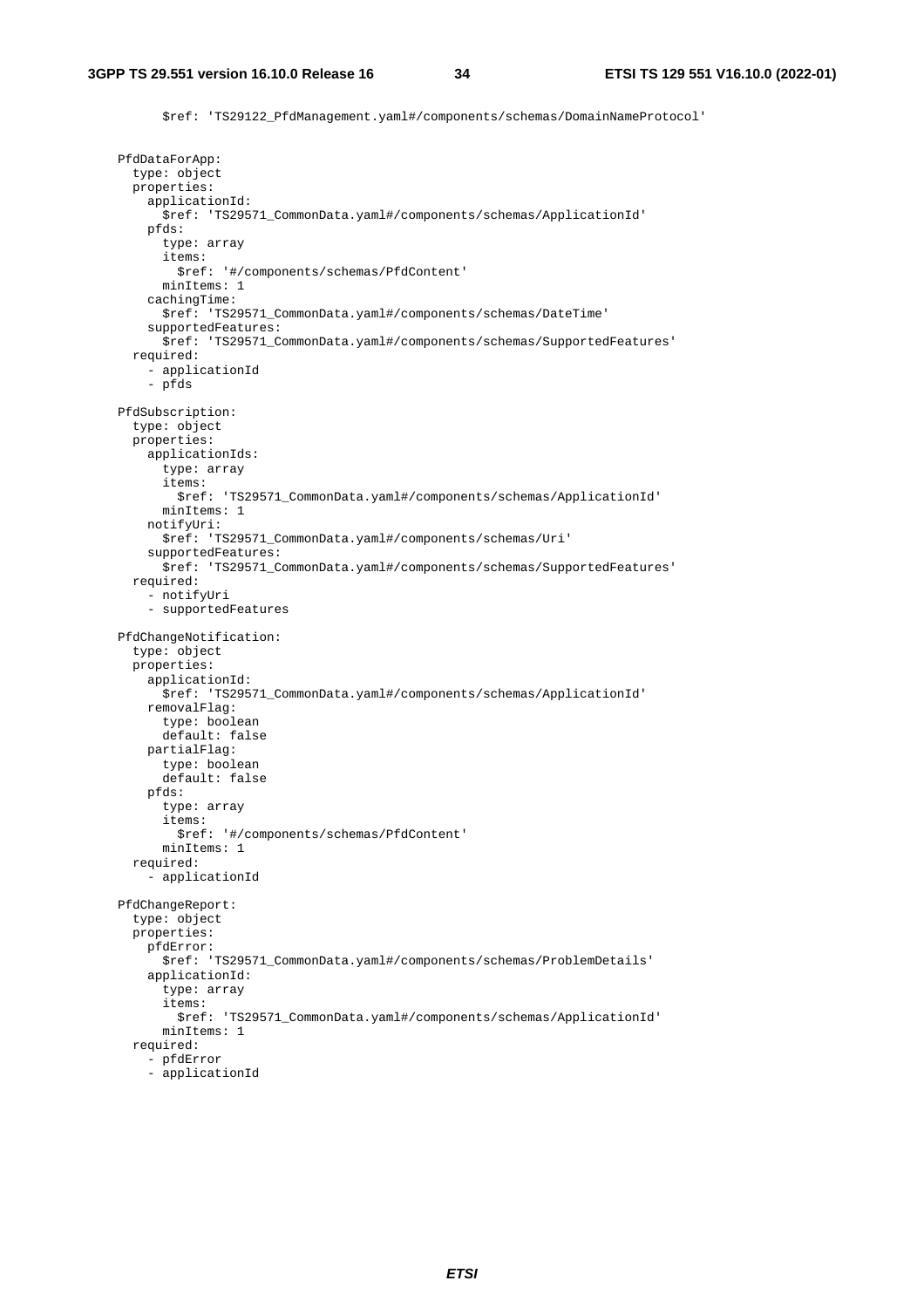\$ref: 'TS29122\_PfdManagement.yaml#/components/schemas/DomainNameProtocol'

```
 PfdDataForApp: 
   type: object 
   properties: 
     applicationId: 
      ..<br>$ref: 'TS29571 CommonData.yaml#/components/schemas/ApplicationId'
     pfds: 
       type: array 
       items: 
          $ref: '#/components/schemas/PfdContent' 
       minItems: 1 
     cachingTime: 
       $ref: 'TS29571_CommonData.yaml#/components/schemas/DateTime' 
     supportedFeatures: 
       $ref: 'TS29571_CommonData.yaml#/components/schemas/SupportedFeatures' 
   required: 
     - applicationId 
     - pfds 
 PfdSubscription: 
   type: object 
   properties: 
     applicationIds: 
       type: array 
       items: 
          $ref: 'TS29571_CommonData.yaml#/components/schemas/ApplicationId' 
       minItems: 1 
     notifyUri: 
       $ref: 'TS29571_CommonData.yaml#/components/schemas/Uri' 
     supportedFeatures: 
       $ref: 'TS29571_CommonData.yaml#/components/schemas/SupportedFeatures' 
   required: 
     - notifyUri 
     - supportedFeatures 
 PfdChangeNotification: 
   type: object 
   properties: 
     applicationId: 
      ..<br>$ref: 'TS29571 CommonData.yaml#/components/schemas/ApplicationId'
     removalFlag: 
       type: boolean 
       default: false 
     partialFlag: 
       type: boolean 
       default: false 
     pfds: 
       type: array 
       items: 
         $ref: '#/components/schemas/PfdContent' 
       minItems: 1 
   required: 
    -<br>- applicationId
 PfdChangeReport: 
   type: object 
   properties: 
     pfdError: 
       $ref: 'TS29571_CommonData.yaml#/components/schemas/ProblemDetails' 
     applicationId: 
       type: array 
       items: 
          $ref: 'TS29571_CommonData.yaml#/components/schemas/ApplicationId' 
       minItems: 1 
   required: 
     - pfdError 
     - applicationId
```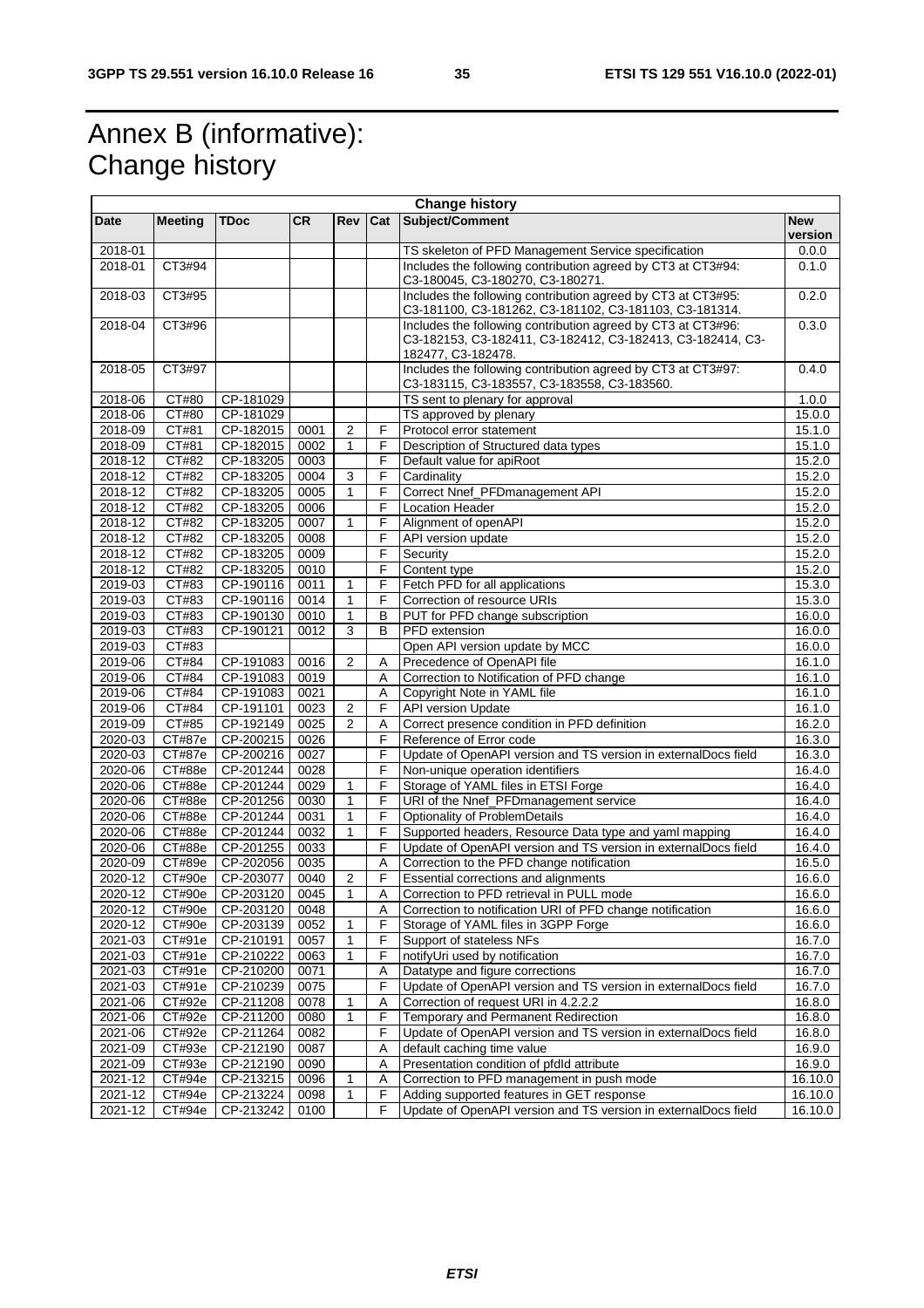# Annex B (informative): Change history

|                    | <b>Change history</b> |                        |              |                |                |                                                                                                                                                  |                       |
|--------------------|-----------------------|------------------------|--------------|----------------|----------------|--------------------------------------------------------------------------------------------------------------------------------------------------|-----------------------|
| <b>Date</b>        | <b>Meeting</b>        | <b>TDoc</b>            | <b>CR</b>    | Rev            | Cat            | Subject/Comment                                                                                                                                  | <b>New</b><br>version |
| 2018-01            |                       |                        |              |                |                | TS skeleton of PFD Management Service specification                                                                                              | 0.0.0                 |
| 2018-01            | CT3#94                |                        |              |                |                | Includes the following contribution agreed by CT3 at CT3#94:<br>C3-180045, C3-180270, C3-180271.                                                 | 0.1.0                 |
| 2018-03            | CT3#95                |                        |              |                |                | Includes the following contribution agreed by CT3 at CT3#95:<br>C3-181100, C3-181262, C3-181102, C3-181103, C3-181314.                           | 0.2.0                 |
| 2018-04            | CT3#96                |                        |              |                |                | Includes the following contribution agreed by CT3 at CT3#96:<br>C3-182153, C3-182411, C3-182412, C3-182413, C3-182414, C3-<br>182477, C3-182478. | 0.3.0                 |
| 2018-05            | CT3#97                |                        |              |                |                | Includes the following contribution agreed by CT3 at CT3#97:<br>C3-183115, C3-183557, C3-183558, C3-183560.                                      | 0.4.0                 |
| 2018-06            | CT#80                 | CP-181029              |              |                |                | TS sent to plenary for approval                                                                                                                  | 1.0.0                 |
| 2018-06            | CT#80                 | CP-181029              |              |                |                | TS approved by plenary                                                                                                                           | 15.0.0                |
| 2018-09            | CT#81                 | CP-182015              | 0001         | $\overline{2}$ | F              | Protocol error statement                                                                                                                         | 15.1.0                |
| 2018-09            | CT#81                 | CP-182015              | 0002         | $\mathbf{1}$   | F              | Description of Structured data types                                                                                                             | 15.1.0                |
| 2018-12            | CT#82                 | CP-183205              | 0003         |                | F              | Default value for apiRoot                                                                                                                        | 15.2.0                |
| 2018-12            | CT#82                 | CP-183205              | 0004         | 3              | F              | Cardinality                                                                                                                                      | 15.2.0                |
| 2018-12            | CT#82<br>CT#82        | CP-183205              | 0005<br>0006 | 1              | F<br>F         | Correct Nnef_PFDmanagement API<br><b>Location Header</b>                                                                                         | 15.2.0<br>15.2.0      |
| 2018-12<br>2018-12 | CT#82                 | CP-183205              | 0007         | 1              | F              | Alignment of openAPI                                                                                                                             |                       |
| $2018 - 12$        | CT#82                 | CP-183205<br>CP-183205 | 0008         |                | F              | API version update                                                                                                                               | 15.2.0<br>15.2.0      |
| 2018-12            | CT#82                 | CP-183205              | 0009         |                | F              | Security                                                                                                                                         | 15.2.0                |
| $2018 - 12$        | CT#82                 | CP-183205              | 0010         |                | F              | Content type                                                                                                                                     | 15.2.0                |
| 2019-03            | CT#83                 | CP-190116              | 0011         | 1              | F              | Fetch PFD for all applications                                                                                                                   | 15.3.0                |
| 2019-03            | CT#83                 | CP-190116              | 0014         | 1              | F              | Correction of resource URIs                                                                                                                      | 15.3.0                |
| 2019-03            | CT#83                 | CP-190130              | 0010         | $\mathbf{1}$   | B              | PUT for PFD change subscription                                                                                                                  | 16.0.0                |
| 2019-03            | CT#83                 | CP-190121              | 0012         | 3              | B              | PFD extension                                                                                                                                    | 16.0.0                |
| 2019-03            | CT#83                 |                        |              |                |                | Open API version update by MCC                                                                                                                   | 16.0.0                |
| 2019-06            | CT#84                 | CP-191083              | 0016         | 2              | Α              | Precedence of OpenAPI file                                                                                                                       | 16.1.0                |
| 2019-06            | CT#84                 | CP-191083              | 0019         |                | A              | Correction to Notification of PFD change                                                                                                         | 16.1.0                |
| 2019-06            | CT#84                 | CP-191083              | 0021         |                | Α              | Copyright Note in YAML file                                                                                                                      | 16.1.0                |
| 2019-06            | CT#84                 | CP-191101              | 0023         | 2              | F              | API version Update                                                                                                                               | 16.1.0                |
| 2019-09            | CT#85                 | CP-192149              | 0025         | 2              | Α              | Correct presence condition in PFD definition                                                                                                     | 16.2.0                |
| 2020-03            | CT#87e                | CP-200215              | 0026         |                | F              | Reference of Error code                                                                                                                          | 16.3.0                |
| 2020-03            | CT#87e                | CP-200216              | 0027         |                | F              | Update of OpenAPI version and TS version in externalDocs field                                                                                   | 16.3.0                |
| 2020-06            | CT#88e                | CP-201244              | 0028         |                | F              | Non-unique operation identifiers                                                                                                                 | 16.4.0                |
| 2020-06            | CT#88e                | CP-201244              | 0029         | 1              | F              | Storage of YAML files in ETSI Forge                                                                                                              | 16.4.0                |
| 2020-06            | CT#88e                | CP-201256              | 0030         | $\mathbf{1}$   | F              | URI of the Nnef_PFDmanagement service                                                                                                            | 16.4.0                |
| 2020-06            | CT#88e                | CP-201244              | 0031         | 1              | F              | Optionality of ProblemDetails                                                                                                                    | 16.4.0                |
| 2020-06            | CT#88e                | CP-201244              | 0032         | 1              | F              | Supported headers, Resource Data type and yaml mapping                                                                                           | 16.4.0                |
| 2020-06            | CT#88e                | CP-201255              | 0033         |                | F              | Update of OpenAPI version and TS version in externalDocs field                                                                                   | 16.4.0                |
| 2020-09            | CT#89e                | CP-202056              | 0035         |                | Α              | Correction to the PFD change notification                                                                                                        | 16.5.0                |
| 2020-12            | CT#90e                | CP-203077              | 0040         | 2              | F              | Essential corrections and alignments                                                                                                             | 16.6.0                |
| 2020-12            | CT#90e                | CP-203120              | 0045         | $\mathbf{1}$   | $\overline{A}$ | Correction to PFD retrieval in PULL mode                                                                                                         | 16.6.0                |
| 2020-12            | CT#90e                | CP-203120              | 0048         |                | Α<br>F         | Correction to notification URI of PFD change notification                                                                                        | 16.6.0                |
| 2020-12<br>2021-03 | CT#90e<br>CT#91e      | CP-203139<br>CP-210191 | 0052<br>0057 | 1              | F              | Storage of YAML files in 3GPP Forge<br>Support of stateless NFs                                                                                  | 16.6.0<br>16.7.0      |
| 2021-03            | CT#91e                | CP-210222              | 0063         | 1              | F              | notifyUri used by notification                                                                                                                   | 16.7.0                |
| 2021-03            | CT#91e                | CP-210200              | 0071         |                | Α              | Datatype and figure corrections                                                                                                                  | 16.7.0                |
| 2021-03            | CT#91e                | CP-210239              | 0075         |                | F              | Update of OpenAPI version and TS version in externalDocs field                                                                                   | 16.7.0                |
| 2021-06            | CT#92e                | CP-211208              | 0078         | 1              | Α              | Correction of request URI in 4.2.2.2                                                                                                             | 16.8.0                |
| 2021-06            | CT#92e                | CP-211200              | 0080         | 1              | F              | Temporary and Permanent Redirection                                                                                                              | 16.8.0                |
| 2021-06            | CT#92e                | CP-211264              | 0082         |                | F              | Update of OpenAPI version and TS version in externalDocs field                                                                                   | 16.8.0                |
| 2021-09            | CT#93e                | CP-212190              | 0087         |                | Α              | default caching time value                                                                                                                       | 16.9.0                |
| 2021-09            | CT#93e                | CP-212190              | 0090         |                | Α              | Presentation condition of pfdld attribute                                                                                                        | 16.9.0                |
| 2021-12            | CT#94e                | CP-213215              | 0096         | 1              | Α              | Correction to PFD management in push mode                                                                                                        | 16.10.0               |
| 2021-12            | CT#94e                | CP-213224              | 0098         | 1              | F              | Adding supported features in GET response                                                                                                        | 16.10.0               |
| 2021-12            | CT#94e                | CP-213242              | 0100         |                | F              | Update of OpenAPI version and TS version in externalDocs field                                                                                   | 16.10.0               |